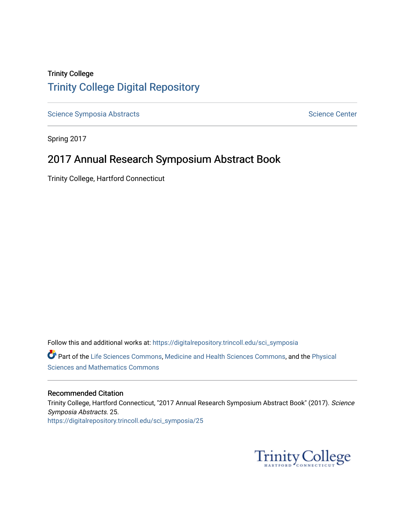### Trinity College [Trinity College Digital Repository](https://digitalrepository.trincoll.edu/)

[Science Symposia Abstracts](https://digitalrepository.trincoll.edu/sci_symposia) **Science Center** Science Center

Spring 2017

## 2017 Annual Research Symposium Abstract Book

Trinity College, Hartford Connecticut

Follow this and additional works at: [https://digitalrepository.trincoll.edu/sci\\_symposia](https://digitalrepository.trincoll.edu/sci_symposia?utm_source=digitalrepository.trincoll.edu%2Fsci_symposia%2F25&utm_medium=PDF&utm_campaign=PDFCoverPages)  Part of the [Life Sciences Commons,](http://network.bepress.com/hgg/discipline/1016?utm_source=digitalrepository.trincoll.edu%2Fsci_symposia%2F25&utm_medium=PDF&utm_campaign=PDFCoverPages) [Medicine and Health Sciences Commons,](http://network.bepress.com/hgg/discipline/648?utm_source=digitalrepository.trincoll.edu%2Fsci_symposia%2F25&utm_medium=PDF&utm_campaign=PDFCoverPages) and the Physical [Sciences and Mathematics Commons](http://network.bepress.com/hgg/discipline/114?utm_source=digitalrepository.trincoll.edu%2Fsci_symposia%2F25&utm_medium=PDF&utm_campaign=PDFCoverPages) 

#### Recommended Citation

Trinity College, Hartford Connecticut, "2017 Annual Research Symposium Abstract Book" (2017). Science Symposia Abstracts. 25. [https://digitalrepository.trincoll.edu/sci\\_symposia/25](https://digitalrepository.trincoll.edu/sci_symposia/25?utm_source=digitalrepository.trincoll.edu%2Fsci_symposia%2F25&utm_medium=PDF&utm_campaign=PDFCoverPages) 

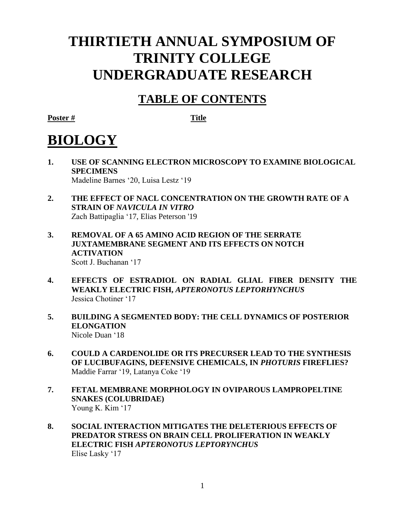# **THIRTIETH ANNUAL SYMPOSIUM OF TRINITY COLLEGE UNDERGRADUATE RESEARCH**

## **TABLE OF CONTENTS**

**Poster # Title**

# **BIOLOGY**

- **1. USE OF SCANNING ELECTRON MICROSCOPY TO EXAMINE BIOLOGICAL SPECIMENS**  Madeline Barnes '20, Luisa Lestz '19
- **2. THE EFFECT OF NACL CONCENTRATION ON THE GROWTH RATE OF A STRAIN OF** *NAVICULA IN VITRO* Zach Battipaglia '17, Elias Peterson '19
- **3. REMOVAL OF A 65 AMINO ACID REGION OF THE SERRATE JUXTAMEMBRANE SEGMENT AND ITS EFFECTS ON NOTCH ACTIVATION** Scott J. Buchanan '17
- **4. EFFECTS OF ESTRADIOL ON RADIAL GLIAL FIBER DENSITY THE WEAKLY ELECTRIC FISH,** *APTERONOTUS LEPTORHYNCHUS* Jessica Chotiner '17
- **5. BUILDING A SEGMENTED BODY: THE CELL DYNAMICS OF POSTERIOR ELONGATION** Nicole Duan '18
- **6. COULD A CARDENOLIDE OR ITS PRECURSER LEAD TO THE SYNTHESIS OF LUCIBUFAGINS, DEFENSIVE CHEMICALS, IN** *PHOTURIS* **FIREFLIES?** Maddie Farrar '19, Latanya Coke '19
- **7. FETAL MEMBRANE MORPHOLOGY IN OVIPAROUS LAMPROPELTINE SNAKES (COLUBRIDAE)** Young K. Kim '17
- **8. SOCIAL INTERACTION MITIGATES THE DELETERIOUS EFFECTS OF PREDATOR STRESS ON BRAIN CELL PROLIFERATION IN WEAKLY ELECTRIC FISH** *APTERONOTUS LEPTORYNCHUS* Elise Lasky '17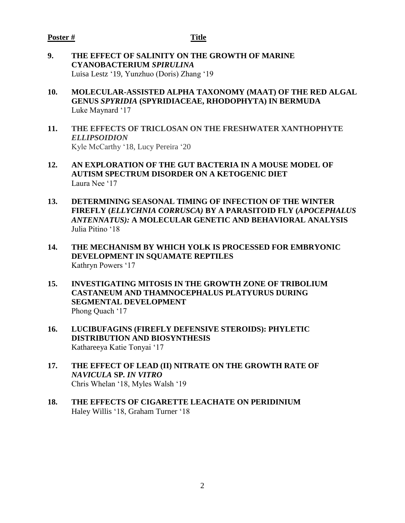- **9. THE EFFECT OF SALINITY ON THE GROWTH OF MARINE CYANOBACTERIUM** *SPIRULINA* Luisa Lestz '19, Yunzhuo (Doris) Zhang '19
- **10. MOLECULAR-ASSISTED ALPHA TAXONOMY (MAAT) OF THE RED ALGAL GENUS** *SPYRIDIA* **(SPYRIDIACEAE, RHODOPHYTA) IN BERMUDA** Luke Maynard '17
- **11. THE EFFECTS OF TRICLOSAN ON THE FRESHWATER XANTHOPHYTE**  *ELLIPSOIDION* Kyle McCarthy '18, Lucy Pereira '20
- **12. AN EXPLORATION OF THE GUT BACTERIA IN A MOUSE MODEL OF AUTISM SPECTRUM DISORDER ON A KETOGENIC DIET**  Laura Nee '17
- **13. DETERMINING SEASONAL TIMING OF INFECTION OF THE WINTER FIREFLY (***ELLYCHNIA CORRUSCA)* **BY A PARASITOID FLY (***APOCEPHALUS ANTENNATUS):* **A MOLECULAR GENETIC AND BEHAVIORAL ANALYSIS**  Julia Pitino '18
- **14. THE MECHANISM BY WHICH YOLK IS PROCESSED FOR EMBRYONIC DEVELOPMENT IN SQUAMATE REPTILES** Kathryn Powers '17
- **15. INVESTIGATING MITOSIS IN THE GROWTH ZONE OF TRIBOLIUM CASTANEUM AND THAMNOCEPHALUS PLATYURUS DURING SEGMENTAL DEVELOPMENT** Phong Quach '17
- **16. LUCIBUFAGINS (FIREFLY DEFENSIVE STEROIDS): PHYLETIC DISTRIBUTION AND BIOSYNTHESIS** Kathareeya Katie Tonyai '17
- **17. THE EFFECT OF LEAD (II) NITRATE ON THE GROWTH RATE OF**  *NAVICULA* **SP***. IN VITRO* Chris Whelan '18, Myles Walsh '19
- **18. THE EFFECTS OF CIGARETTE LEACHATE ON PERIDINIUM** Haley Willis '18, Graham Turner '18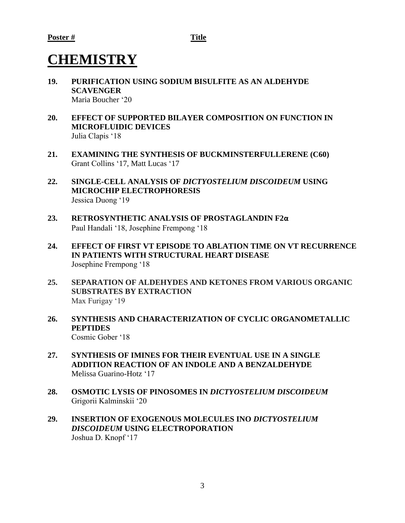# **CHEMISTRY**

- **19. PURIFICATION USING SODIUM BISULFITE AS AN ALDEHYDE SCAVENGER** Maria Boucher '20
- **20. EFFECT OF SUPPORTED BILAYER COMPOSITION ON FUNCTION IN MICROFLUIDIC DEVICES** Julia Clapis '18
- **21. EXAMINING THE SYNTHESIS OF BUCKMINSTERFULLERENE (C60)** Grant Collins '17, Matt Lucas '17
- **22. SINGLE-CELL ANALYSIS OF** *DICTYOSTELIUM DISCOIDEUM* **USING MICROCHIP ELECTROPHORESIS** Jessica Duong '19
- **23. RETROSYNTHETIC ANALYSIS OF PROSTAGLANDIN F2α** Paul Handali '18, Josephine Frempong '18
- **24. EFFECT OF FIRST VT EPISODE TO ABLATION TIME ON VT RECURRENCE IN PATIENTS WITH STRUCTURAL HEART DISEASE** Josephine Frempong '18
- **25. SEPARATION OF ALDEHYDES AND KETONES FROM VARIOUS ORGANIC SUBSTRATES BY EXTRACTION** Max Furigay '19
- **26. SYNTHESIS AND CHARACTERIZATION OF CYCLIC ORGANOMETALLIC PEPTIDES** Cosmic Gober '18
- **27. SYNTHESIS OF IMINES FOR THEIR EVENTUAL USE IN A SINGLE ADDITION REACTION OF AN INDOLE AND A BENZALDEHYDE** Melissa Guarino-Hotz '17
- **28. OSMOTIC LYSIS OF PINOSOMES IN** *DICTYOSTELIUM DISCOIDEUM* Grigorii Kalminskii '20
- **29. INSERTION OF EXOGENOUS MOLECULES INO** *DICTYOSTELIUM DISCOIDEUM* **USING ELECTROPORATION**  Joshua D. Knopf '17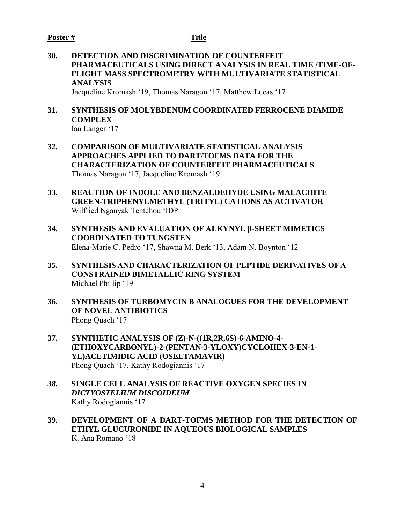#### **Poster # Title**

**30. DETECTION AND DISCRIMINATION OF COUNTERFEIT PHARMACEUTICALS USING DIRECT ANALYSIS IN REAL TIME /TIME-OF-FLIGHT MASS SPECTROMETRY WITH MULTIVARIATE STATISTICAL ANALYSIS** Jacqueline Kromash '19, Thomas Naragon '17, Matthew Lucas '17

#### **31. SYNTHESIS OF MOLYBDENUM COORDINATED FERROCENE DIAMIDE COMPLEX** Ian Langer '17

- **32. COMPARISON OF MULTIVARIATE STATISTICAL ANALYSIS APPROACHES APPLIED TO DART/TOFMS DATA FOR THE CHARACTERIZATION OF COUNTERFEIT PHARMACEUTICALS** Thomas Naragon '17, Jacqueline Kromash '19
- **33. REACTION OF INDOLE AND BENZALDEHYDE USING MALACHITE GREEN-TRIPHENYLMETHYL (TRITYL) CATIONS AS ACTIVATOR**  Wilfried Nganyak Tentchou 'IDP
- **34. SYNTHESIS AND EVALUATION OF ALKYNYL β-SHEET MIMETICS COORDINATED TO TUNGSTEN** Elena-Marie C. Pedro '17, Shawna M. Berk '13, Adam N. Boynton '12
- **35. SYNTHESIS AND CHARACTERIZATION OF PEPTIDE DERIVATIVES OF A CONSTRAINED BIMETALLIC RING SYSTEM** Michael Phillip '19
- **36. SYNTHESIS OF TURBOMYCIN B ANALOGUES FOR THE DEVELOPMENT OF NOVEL ANTIBIOTICS** Phong Quach '17
- **37. SYNTHETIC ANALYSIS OF (Z)-N-((1R,2R,6S)-6-AMINO-4- (ETHOXYCARBONYL)-2-(PENTAN-3-YLOXY)CYCLOHEX-3-EN-1- YL)ACETIMIDIC ACID (OSELTAMAVIR)**  Phong Quach '17, Kathy Rodogiannis '17
- *38.* **SINGLE CELL ANALYSIS OF REACTIVE OXYGEN SPECIES IN**  *DICTYOSTELIUM DISCOIDEUM* Kathy Rodogiannis '17
- **39. DEVELOPMENT OF A DART-TOFMS METHOD FOR THE DETECTION OF ETHYL GLUCURONIDE IN AQUEOUS BIOLOGICAL SAMPLES** K. Ana Romano '18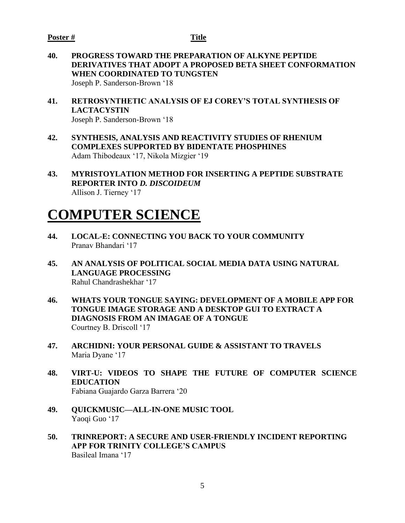**40. PROGRESS TOWARD THE PREPARATION OF ALKYNE PEPTIDE DERIVATIVES THAT ADOPT A PROPOSED BETA SHEET CONFORMATION WHEN COORDINATED TO TUNGSTEN** Joseph P. Sanderson-Brown '18

**41. RETROSYNTHETIC ANALYSIS OF EJ COREY'S TOTAL SYNTHESIS OF LACTACYSTIN** Joseph P. Sanderson-Brown '18

- **42. SYNTHESIS, ANALYSIS AND REACTIVITY STUDIES OF RHENIUM COMPLEXES SUPPORTED BY BIDENTATE PHOSPHINES** Adam Thibodeaux '17, Nikola Mizgier '19
- **43. MYRISTOYLATION METHOD FOR INSERTING A PEPTIDE SUBSTRATE REPORTER INTO** *D. DISCOIDEUM* Allison J. Tierney '17

# **COMPUTER SCIENCE**

- **44. LOCAL-E: CONNECTING YOU BACK TO YOUR COMMUNITY** Pranav Bhandari '17
- **45. AN ANALYSIS OF POLITICAL SOCIAL MEDIA DATA USING NATURAL LANGUAGE PROCESSING** Rahul Chandrashekhar '17
- **46. WHATS YOUR TONGUE SAYING: DEVELOPMENT OF A MOBILE APP FOR TONGUE IMAGE STORAGE AND A DESKTOP GUI TO EXTRACT A DIAGNOSIS FROM AN IMAGAE OF A TONGUE** Courtney B. Driscoll '17
- **47. ARCHIDNI: YOUR PERSONAL GUIDE & ASSISTANT TO TRAVELS**  Maria Dyane '17
- **48. VIRT-U: VIDEOS TO SHAPE THE FUTURE OF COMPUTER SCIENCE EDUCATION** Fabiana Guajardo Garza Barrera '20
- **49. QUICKMUSIC—ALL-IN-ONE MUSIC TOOL** Yaoqi Guo '17
- **50. TRINREPORT: A SECURE AND USER-FRIENDLY INCIDENT REPORTING APP FOR TRINITY COLLEGE'S CAMPUS** Basileal Imana '17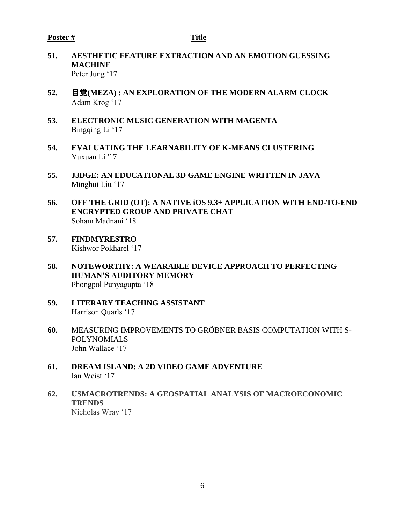- **51. AESTHETIC FEATURE EXTRACTION AND AN EMOTION GUESSING MACHINE** Peter Jung '17
- **52.** 目覚**(MEZA) : AN EXPLORATION OF THE MODERN ALARM CLOCK** Adam Krog '17
- **53. ELECTRONIC MUSIC GENERATION WITH MAGENTA** Bingqing Li '17
- **54. EVALUATING THE LEARNABILITY OF K-MEANS CLUSTERING** Yuxuan Li '17
- **55. J3DGE: AN EDUCATIONAL 3D GAME ENGINE WRITTEN IN JAVA** Minghui Liu '17
- **56. OFF THE GRID (OT): A NATIVE iOS 9.3+ APPLICATION WITH END-TO-END ENCRYPTED GROUP AND PRIVATE CHAT**  Soham Madnani '18
- **57. FINDMYRESTRO** Kishwor Pokharel '17
- **58. NOTEWORTHY: A WEARABLE DEVICE APPROACH TO PERFECTING HUMAN'S AUDITORY MEMORY** Phongpol Punyagupta '18
- **59. LITERARY TEACHING ASSISTANT** Harrison Quarls '17
- **60.** MEASURING IMPROVEMENTS TO GRÖBNER BASIS COMPUTATION WITH S-POLYNOMIALS John Wallace '17
- **61. DREAM ISLAND: A 2D VIDEO GAME ADVENTURE** Ian Weist '17
- **62. USMACROTRENDS: A GEOSPATIAL ANALYSIS OF MACROECONOMIC TRENDS** Nicholas Wray '17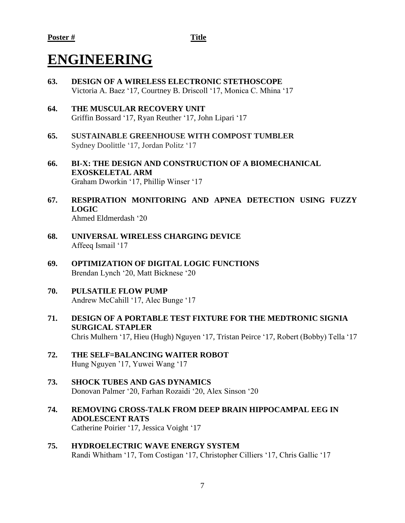# **ENGINEERING**

- **63. DESIGN OF A WIRELESS ELECTRONIC STETHOSCOPE** Victoria A. Baez '17, Courtney B. Driscoll '17, Monica C. Mhina '17
- **64. THE MUSCULAR RECOVERY UNIT** Griffin Bossard '17, Ryan Reuther '17, John Lipari '17
- **65. SUSTAINABLE GREENHOUSE WITH COMPOST TUMBLER**  Sydney Doolittle '17, Jordan Politz '17
- **66. BI-X: THE DESIGN AND CONSTRUCTION OF A BIOMECHANICAL EXOSKELETAL ARM** Graham Dworkin '17, Phillip Winser '17
- **67. RESPIRATION MONITORING AND APNEA DETECTION USING FUZZY LOGIC** Ahmed Eldmerdash '20
- **68. UNIVERSAL WIRELESS CHARGING DEVICE** Affeeq Ismail '17
- **69. OPTIMIZATION OF DIGITAL LOGIC FUNCTIONS** Brendan Lynch '20, Matt Bicknese '20
- **70. PULSATILE FLOW PUMP** Andrew McCahill '17, Alec Bunge '17
- **71. DESIGN OF A PORTABLE TEST FIXTURE FOR THE MEDTRONIC SIGNIA SURGICAL STAPLER** Chris Mulhern '17, Hieu (Hugh) Nguyen '17, Tristan Peirce '17, Robert (Bobby) Tella '17
- **72. THE SELF=BALANCING WAITER ROBOT** Hung Nguyen '17, Yuwei Wang '17
- **73. SHOCK TUBES AND GAS DYNAMICS** Donovan Palmer '20, Farhan Rozaidi '20, Alex Sinson '20
- **74. REMOVING CROSS-TALK FROM DEEP BRAIN HIPPOCAMPAL EEG IN ADOLESCENT RATS** Catherine Poirier '17, Jessica Voight '17
- **75. HYDROELECTRIC WAVE ENERGY SYSTEM** Randi Whitham '17, Tom Costigan '17, Christopher Cilliers '17, Chris Gallic '17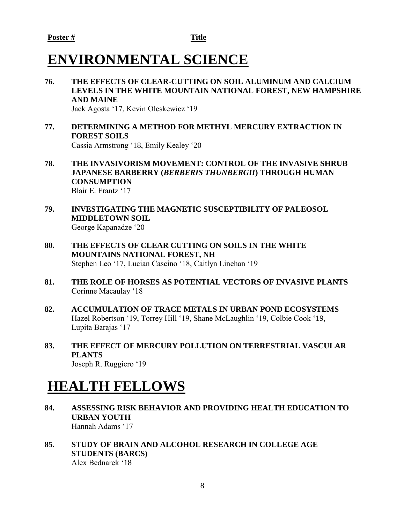# **ENVIRONMENTAL SCIENCE**

- **76. THE EFFECTS OF CLEAR-CUTTING ON SOIL ALUMINUM AND CALCIUM LEVELS IN THE WHITE MOUNTAIN NATIONAL FOREST, NEW HAMPSHIRE AND MAINE** Jack Agosta '17, Kevin Oleskewicz '19
- **77. DETERMINING A METHOD FOR METHYL MERCURY EXTRACTION IN FOREST SOILS**

Cassia Armstrong '18, Emily Kealey '20

- **78. THE INVASIVORISM MOVEMENT: CONTROL OF THE INVASIVE SHRUB JAPANESE BARBERRY (***BERBERIS THUNBERGII***) THROUGH HUMAN CONSUMPTION** Blair E. Frantz '17
- **79. INVESTIGATING THE MAGNETIC SUSCEPTIBILITY OF PALEOSOL MIDDLETOWN SOIL**  George Kapanadze '20
- **80. THE EFFECTS OF CLEAR CUTTING ON SOILS IN THE WHITE MOUNTAINS NATIONAL FOREST, NH** Stephen Leo '17, Lucian Cascino '18, Caitlyn Linehan '19
- **81. THE ROLE OF HORSES AS POTENTIAL VECTORS OF INVASIVE PLANTS** Corinne Macaulay '18
- **82. ACCUMULATION OF TRACE METALS IN URBAN POND ECOSYSTEMS** Hazel Robertson '19, Torrey Hill '19, Shane McLaughlin '19, Colbie Cook '19, Lupita Barajas '17
- **83. THE EFFECT OF MERCURY POLLUTION ON TERRESTRIAL VASCULAR PLANTS** Joseph R. Ruggiero '19

# **HEALTH FELLOWS**

- **84. ASSESSING RISK BEHAVIOR AND PROVIDING HEALTH EDUCATION TO URBAN YOUTH**  Hannah Adams '17
- **85. STUDY OF BRAIN AND ALCOHOL RESEARCH IN COLLEGE AGE STUDENTS (BARCS)** Alex Bednarek '18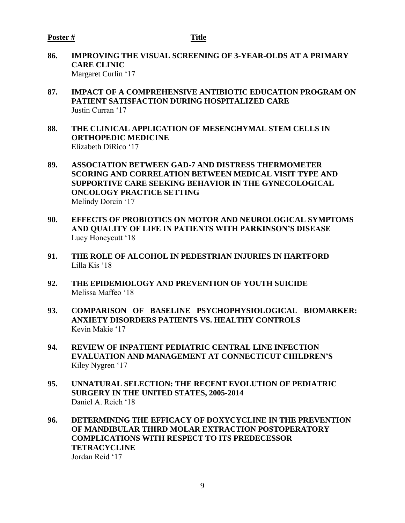- **86. IMPROVING THE VISUAL SCREENING OF 3-YEAR-OLDS AT A PRIMARY CARE CLINIC** Margaret Curlin '17
- **87. IMPACT OF A COMPREHENSIVE ANTIBIOTIC EDUCATION PROGRAM ON PATIENT SATISFACTION DURING HOSPITALIZED CARE** Justin Curran '17
- **88. THE CLINICAL APPLICATION OF MESENCHYMAL STEM CELLS IN ORTHOPEDIC MEDICINE** Elizabeth DiRico '17
- **89. ASSOCIATION BETWEEN GAD-7 AND DISTRESS THERMOMETER SCORING AND CORRELATION BETWEEN MEDICAL VISIT TYPE AND SUPPORTIVE CARE SEEKING BEHAVIOR IN THE GYNECOLOGICAL ONCOLOGY PRACTICE SETTING** Melindy Dorcin '17
- **90. EFFECTS OF PROBIOTICS ON MOTOR AND NEUROLOGICAL SYMPTOMS AND QUALITY OF LIFE IN PATIENTS WITH PARKINSON'S DISEASE** Lucy Honeycutt '18
- **91. THE ROLE OF ALCOHOL IN PEDESTRIAN INJURIES IN HARTFORD** Lilla Kis '18
- **92. THE EPIDEMIOLOGY AND PREVENTION OF YOUTH SUICIDE** Melissa Maffeo '18
- **93. COMPARISON OF BASELINE PSYCHOPHYSIOLOGICAL BIOMARKER: ANXIETY DISORDERS PATIENTS VS. HEALTHY CONTROLS** Kevin Makie '17
- **94. REVIEW OF INPATIENT PEDIATRIC CENTRAL LINE INFECTION EVALUATION AND MANAGEMENT AT CONNECTICUT CHILDREN'S** Kiley Nygren '17
- **95. UNNATURAL SELECTION: THE RECENT EVOLUTION OF PEDIATRIC SURGERY IN THE UNITED STATES, 2005-2014** Daniel A. Reich '18
- **96. DETERMINING THE EFFICACY OF DOXYCYCLINE IN THE PREVENTION OF MANDIBULAR THIRD MOLAR EXTRACTION POSTOPERATORY COMPLICATIONS WITH RESPECT TO ITS PREDECESSOR TETRACYCLINE** Jordan Reid '17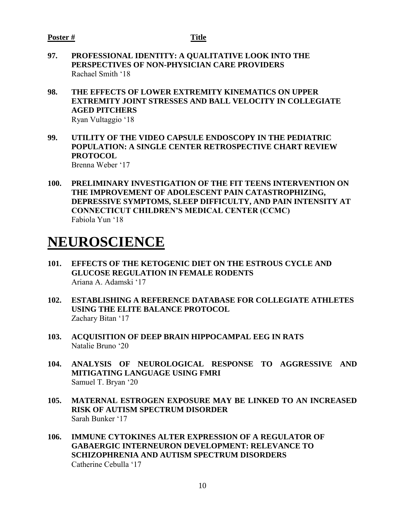- **97. PROFESSIONAL IDENTITY: A QUALITATIVE LOOK INTO THE PERSPECTIVES OF NON-PHYSICIAN CARE PROVIDERS**  Rachael Smith '18
- **98. THE EFFECTS OF LOWER EXTREMITY KINEMATICS ON UPPER EXTREMITY JOINT STRESSES AND BALL VELOCITY IN COLLEGIATE AGED PITCHERS** Ryan Vultaggio '18
- **99. UTILITY OF THE VIDEO CAPSULE ENDOSCOPY IN THE PEDIATRIC POPULATION: A SINGLE CENTER RETROSPECTIVE CHART REVIEW PROTOCOL** Brenna Weber '17
- **100. PRELIMINARY INVESTIGATION OF THE FIT TEENS INTERVENTION ON THE IMPROVEMENT OF ADOLESCENT PAIN CATASTROPHIZING, DEPRESSIVE SYMPTOMS, SLEEP DIFFICULTY, AND PAIN INTENSITY AT CONNECTICUT CHILDREN'S MEDICAL CENTER (CCMC)** Fabiola Yun '18

# **NEUROSCIENCE**

- **101. EFFECTS OF THE KETOGENIC DIET ON THE ESTROUS CYCLE AND GLUCOSE REGULATION IN FEMALE RODENTS** Ariana A. Adamski '17
- **102. ESTABLISHING A REFERENCE DATABASE FOR COLLEGIATE ATHLETES USING THE ELITE BALANCE PROTOCOL** Zachary Bitan '17
- **103. ACQUISITION OF DEEP BRAIN HIPPOCAMPAL EEG IN RATS** Natalie Bruno '20
- **104. ANALYSIS OF NEUROLOGICAL RESPONSE TO AGGRESSIVE AND MITIGATING LANGUAGE USING FMRI** Samuel T. Bryan '20
- **105. MATERNAL ESTROGEN EXPOSURE MAY BE LINKED TO AN INCREASED RISK OF AUTISM SPECTRUM DISORDER** Sarah Bunker '17
- **106. IMMUNE CYTOKINES ALTER EXPRESSION OF A REGULATOR OF GABAERGIC INTERNEURON DEVELOPMENT: RELEVANCE TO SCHIZOPHRENIA AND AUTISM SPECTRUM DISORDERS** Catherine Cebulla '17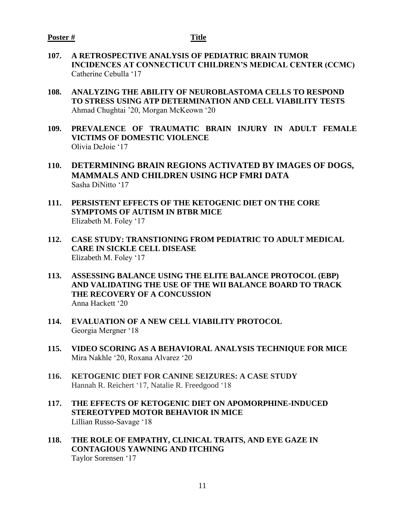- **107. A RETROSPECTIVE ANALYSIS OF PEDIATRIC BRAIN TUMOR INCIDENCES AT CONNECTICUT CHILDREN'S MEDICAL CENTER (CCMC)** Catherine Cebulla '17
- **108. ANALYZING THE ABILITY OF NEUROBLASTOMA CELLS TO RESPOND TO STRESS USING ATP DETERMINATION AND CELL VIABILITY TESTS** Ahmad Chughtai '20, Morgan McKeown '20
- **109. PREVALENCE OF TRAUMATIC BRAIN INJURY IN ADULT FEMALE VICTIMS OF DOMESTIC VIOLENCE** Olivia DeJoie '17
- **110. DETERMINING BRAIN REGIONS ACTIVATED BY IMAGES OF DOGS, MAMMALS AND CHILDREN USING HCP FMRI DATA** Sasha DiNitto '17
- **111. PERSISTENT EFFECTS OF THE KETOGENIC DIET ON THE CORE SYMPTOMS OF AUTISM IN BTBR MICE** Elizabeth M. Foley '17
- **112. CASE STUDY: TRANSTIONING FROM PEDIATRIC TO ADULT MEDICAL CARE IN SICKLE CELL DISEASE** Elizabeth M. Foley '17
- **113. ASSESSING BALANCE USING THE ELITE BALANCE PROTOCOL (EBP) AND VALIDATING THE USE OF THE WII BALANCE BOARD TO TRACK THE RECOVERY OF A CONCUSSION** Anna Hackett '20
- **114. EVALUATION OF A NEW CELL VIABILITY PROTOCOL** Georgia Mergner '18
- **115. VIDEO SCORING AS A BEHAVIORAL ANALYSIS TECHNIQUE FOR MICE** Mira Nakhle '20, Roxana Alvarez '20
- **116. KETOGENIC DIET FOR CANINE SEIZURES: A CASE STUDY**  Hannah R. Reichert '17, Natalie R. Freedgood '18
- **117. THE EFFECTS OF KETOGENIC DIET ON APOMORPHINE-INDUCED STEREOTYPED MOTOR BEHAVIOR IN MICE** Lillian Russo-Savage '18
- **118. THE ROLE OF EMPATHY, CLINICAL TRAITS, AND EYE GAZE IN CONTAGIOUS YAWNING AND ITCHING** Taylor Sorensen '17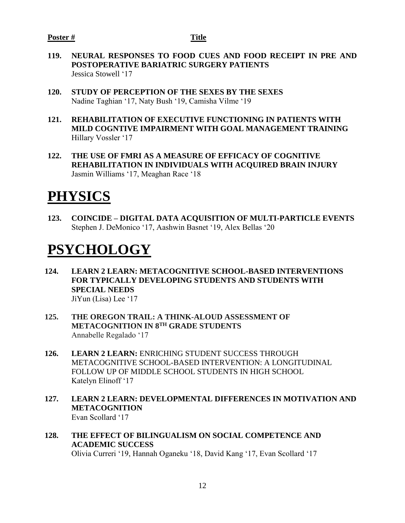- **119. NEURAL RESPONSES TO FOOD CUES AND FOOD RECEIPT IN PRE AND POSTOPERATIVE BARIATRIC SURGERY PATIENTS** Jessica Stowell '17
- **120. STUDY OF PERCEPTION OF THE SEXES BY THE SEXES** Nadine Taghian '17, Naty Bush '19, Camisha Vilme '19
- **121. REHABILITATION OF EXECUTIVE FUNCTIONING IN PATIENTS WITH MILD COGNTIVE IMPAIRMENT WITH GOAL MANAGEMENT TRAINING** Hillary Vossler '17
- **122. THE USE OF FMRI AS A MEASURE OF EFFICACY OF COGNITIVE REHABILITATION IN INDIVIDUALS WITH ACQUIRED BRAIN INJURY** Jasmin Williams '17, Meaghan Race '18

# **PHYSICS**

**123. COINCIDE – DIGITAL DATA ACQUISITION OF MULTI-PARTICLE EVENTS** Stephen J. DeMonico '17, Aashwin Basnet '19, Alex Bellas '20

# **PSYCHOLOGY**

- **124. LEARN 2 LEARN: METACOGNITIVE SCHOOL-BASED INTERVENTIONS FOR TYPICALLY DEVELOPING STUDENTS AND STUDENTS WITH SPECIAL NEEDS** JiYun (Lisa) Lee '17
- **125. THE OREGON TRAIL: A THINK-ALOUD ASSESSMENT OF METACOGNITION IN 8TH GRADE STUDENTS** Annabelle Regalado '17
- **126. LEARN 2 LEARN:** ENRICHING STUDENT SUCCESS THROUGH METACOGNITIVE SCHOOL-BASED INTERVENTION: A LONGITUDINAL FOLLOW UP OF MIDDLE SCHOOL STUDENTS IN HIGH SCHOOL Katelyn Elinoff '17
- **127. LEARN 2 LEARN: DEVELOPMENTAL DIFFERENCES IN MOTIVATION AND METACOGNITION** Evan Scollard '17
- **128. THE EFFECT OF BILINGUALISM ON SOCIAL COMPETENCE AND ACADEMIC SUCCESS** Olivia Curreri '19, Hannah Oganeku '18, David Kang '17, Evan Scollard '17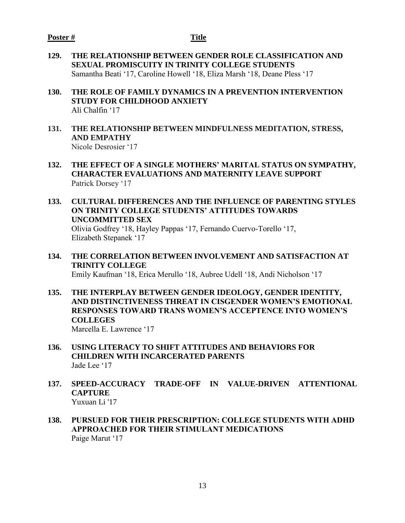- **129. THE RELATIONSHIP BETWEEN GENDER ROLE CLASSIFICATION AND SEXUAL PROMISCUITY IN TRINITY COLLEGE STUDENTS** Samantha Beati '17, Caroline Howell '18, Eliza Marsh '18, Deane Pless '17
- **130. THE ROLE OF FAMILY DYNAMICS IN A PREVENTION INTERVENTION STUDY FOR CHILDHOOD ANXIETY** Ali Chalfin '17
- **131. THE RELATIONSHIP BETWEEN MINDFULNESS MEDITATION, STRESS, AND EMPATHY**  Nicole Desrosier '17
- **132. THE EFFECT OF A SINGLE MOTHERS' MARITAL STATUS ON SYMPATHY, CHARACTER EVALUATIONS AND MATERNITY LEAVE SUPPORT** Patrick Dorsey '17
- **133. CULTURAL DIFFERENCES AND THE INFLUENCE OF PARENTING STYLES ON TRINITY COLLEGE STUDENTS' ATTITUDES TOWARDS UNCOMMITTED SEX**  Olivia Godfrey '18, Hayley Pappas '17, Fernando Cuervo-Torello '17, Elizabeth Stepanek '17
- **134. THE CORRELATION BETWEEN INVOLVEMENT AND SATISFACTION AT TRINITY COLLEGE** Emily Kaufman '18, Erica Merullo '18, Aubree Udell '18, Andi Nicholson '17
- **135. THE INTERPLAY BETWEEN GENDER IDEOLOGY, GENDER IDENTITY, AND DISTINCTIVENESS THREAT IN CISGENDER WOMEN'S EMOTIONAL RESPONSES TOWARD TRANS WOMEN'S ACCEPTENCE INTO WOMEN'S COLLEGES** Marcella E. Lawrence '17
- **136. USING LITERACY TO SHIFT ATTITUDES AND BEHAVIORS FOR CHILDREN WITH INCARCERATED PARENTS**  Jade Lee '17
- **137. SPEED-ACCURACY TRADE-OFF IN VALUE-DRIVEN ATTENTIONAL CAPTURE** Yuxuan Li '17
- **138. PURSUED FOR THEIR PRESCRIPTION: COLLEGE STUDENTS WITH ADHD APPROACHED FOR THEIR STIMULANT MEDICATIONS** *Paige Marut '17*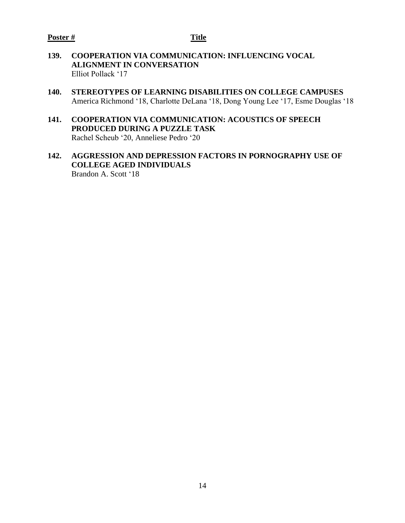- **139. COOPERATION VIA COMMUNICATION: INFLUENCING VOCAL ALIGNMENT IN CONVERSATION** Elliot Pollack '17
- **140. STEREOTYPES OF LEARNING DISABILITIES ON COLLEGE CAMPUSES** America Richmond '18, Charlotte DeLana '18, Dong Young Lee '17, Esme Douglas '18
- **141. COOPERATION VIA COMMUNICATION: ACOUSTICS OF SPEECH PRODUCED DURING A PUZZLE TASK** Rachel Scheub '20, Anneliese Pedro '20
- **142. AGGRESSION AND DEPRESSION FACTORS IN PORNOGRAPHY USE OF COLLEGE AGED INDIVIDUALS** Brandon A. Scott '18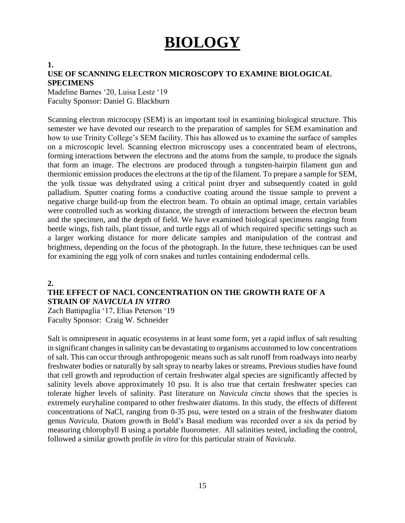# **BIOLOGY**

#### **1.**

#### **USE OF SCANNING ELECTRON MICROSCOPY TO EXAMINE BIOLOGICAL SPECIMENS**

Madeline Barnes '20, Luisa Lestz '19 Faculty Sponsor: Daniel G. Blackburn

Scanning electron microcopy (SEM) is an important tool in examining biological structure. This semester we have devoted our research to the preparation of samples for SEM examination and how to use Trinity College's SEM facility. This has allowed us to examine the surface of samples on a microscopic level. Scanning electron microscopy uses a concentrated beam of electrons, forming interactions between the electrons and the atoms from the sample, to produce the signals that form an image. The electrons are produced through a tungsten-hairpin filament gun and thermionic emission produces the electrons at the tip of the filament. To prepare a sample for SEM, the yolk tissue was dehydrated using a critical point dryer and subsequently coated in gold palladium. Sputter coating forms a conductive coating around the tissue sample to prevent a negative charge build-up from the electron beam. To obtain an optimal image, certain variables were controlled such as working distance, the strength of interactions between the electron beam and the specimen, and the depth of field. We have examined biological specimens ranging from beetle wings, fish tails, plant tissue, and turtle eggs all of which required specific settings such as a larger working distance for more delicate samples and manipulation of the contrast and brightness, depending on the focus of the photograph. In the future, these techniques can be used for examining the egg yolk of corn snakes and turtles containing endodermal cells.

#### **2.**

#### **THE EFFECT OF NACL CONCENTRATION ON THE GROWTH RATE OF A STRAIN OF** *NAVICULA IN VITRO*

Zach Battipaglia '17, Elias Peterson '19 Faculty Sponsor: Craig W. Schneider

Salt is omnipresent in aquatic ecosystems in at least some form, yet a rapid influx of salt resulting in significant changes in salinity can be devastating to organisms accustomed to low concentrations of salt. This can occur through anthropogenic means such as salt runoff from roadways into nearby freshwater bodies or naturally by salt spray to nearby lakes or streams. Previous studies have found that cell growth and reproduction of certain freshwater algal species are significantly affected by salinity levels above approximately 10 psu. It is also true that certain freshwater species can tolerate higher levels of salinity. Past literature on *Navicula cincta* shows that the species is extremely euryhaline compared to other freshwater diatoms. In this study, the effects of different concentrations of NaCl, ranging from 0-35 psu, were tested on a strain of the freshwater diatom genus *Navicula.* Diatom growth in Bold's Basal medium was recorded over a six da period by measuring chlorophyll B using a portable fluorometer. All salinities tested, including the control, followed a similar growth profile *in vitro* for this particular strain of *Navicula*.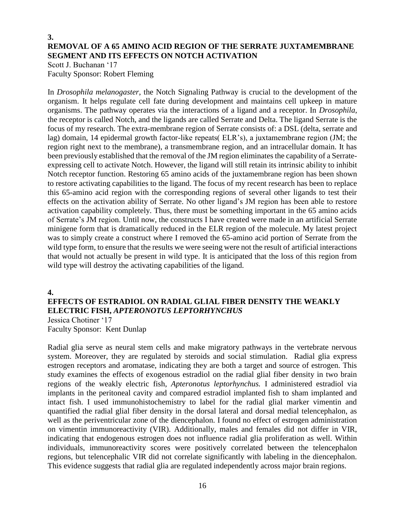#### **3. REMOVAL OF A 65 AMINO ACID REGION OF THE SERRATE JUXTAMEMBRANE SEGMENT AND ITS EFFECTS ON NOTCH ACTIVATION**

Scott J. Buchanan '17 Faculty Sponsor: Robert Fleming

In *Drosophila melanogaster*, the Notch Signaling Pathway is crucial to the development of the organism. It helps regulate cell fate during development and maintains cell upkeep in mature organisms. The pathway operates via the interactions of a ligand and a receptor. In *Drosophila*, the receptor is called Notch, and the ligands are called Serrate and Delta. The ligand Serrate is the focus of my research. The extra-membrane region of Serrate consists of: a DSL (delta, serrate and lag) domain, 14 epidermal growth factor-like repeats( ELR's), a juxtamembrane region (JM; the region right next to the membrane), a transmembrane region, and an intracellular domain. It has been previously established that the removal of the JM region eliminates the capability of a Serrateexpressing cell to activate Notch. However, the ligand will still retain its intrinsic ability to inhibit Notch receptor function. Restoring 65 amino acids of the juxtamembrane region has been shown to restore activating capabilities to the ligand. The focus of my recent research has been to replace this 65-amino acid region with the corresponding regions of several other ligands to test their effects on the activation ability of Serrate. No other ligand's JM region has been able to restore activation capability completely. Thus, there must be something important in the 65 amino acids of Serrate's JM region. Until now, the constructs I have created were made in an artificial Serrate minigene form that is dramatically reduced in the ELR region of the molecule. My latest project was to simply create a construct where I removed the 65-amino acid portion of Serrate from the wild type form, to ensure that the results we were seeing were not the result of artificial interactions that would not actually be present in wild type. It is anticipated that the loss of this region from wild type will destroy the activating capabilities of the ligand.

#### **4.**

#### **EFFECTS OF ESTRADIOL ON RADIAL GLIAL FIBER DENSITY THE WEAKLY ELECTRIC FISH,** *APTERONOTUS LEPTORHYNCHUS*

Jessica Chotiner '17 Faculty Sponsor: Kent Dunlap

Radial glia serve as neural stem cells and make migratory pathways in the vertebrate nervous system. Moreover, they are regulated by steroids and social stimulation. Radial glia express estrogen receptors and aromatase, indicating they are both a target and source of estrogen. This study examines the effects of exogenous estradiol on the radial glial fiber density in two brain regions of the weakly electric fish, *Apteronotus leptorhynchus.* I administered estradiol via implants in the peritoneal cavity and compared estradiol implanted fish to sham implanted and intact fish. I used immunohistochemistry to label for the radial glial marker vimentin and quantified the radial glial fiber density in the dorsal lateral and dorsal medial telencephalon, as well as the periventricular zone of the diencephalon. I found no effect of estrogen administration on vimentin immunoreactivity (VIR). Additionally, males and females did not differ in VIR, indicating that endogenous estrogen does not influence radial glia proliferation as well. Within individuals, immunoreactivity scores were positively correlated between the telencephalon regions, but telencephalic VIR did not correlate significantly with labeling in the diencephalon. This evidence suggests that radial glia are regulated independently across major brain regions.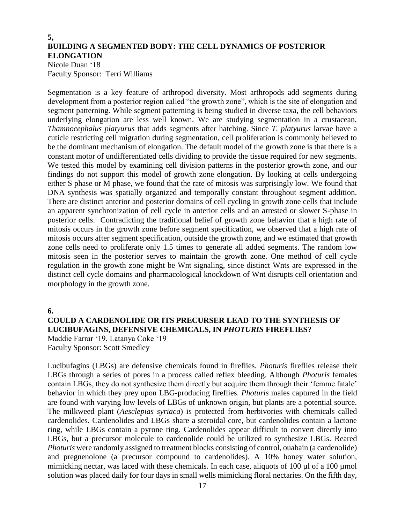#### **5, BUILDING A SEGMENTED BODY: THE CELL DYNAMICS OF POSTERIOR ELONGATION**

Nicole Duan '18 Faculty Sponsor: Terri Williams

Segmentation is a key feature of arthropod diversity. Most arthropods add segments during development from a posterior region called "the growth zone", which is the site of elongation and segment patterning. While segment patterning is being studied in diverse taxa, the cell behaviors underlying elongation are less well known. We are studying segmentation in a crustacean, *Thamnocephalus platyurus* that adds segments after hatching. Since *T. platyurus* larvae have a cuticle restricting cell migration during segmentation, cell proliferation is commonly believed to be the dominant mechanism of elongation. The default model of the growth zone is that there is a constant motor of undifferentiated cells dividing to provide the tissue required for new segments. We tested this model by examining cell division patterns in the posterior growth zone, and our findings do not support this model of growth zone elongation. By looking at cells undergoing either S phase or M phase, we found that the rate of mitosis was surprisingly low. We found that DNA synthesis was spatially organized and temporally constant throughout segment addition. There are distinct anterior and posterior domains of cell cycling in growth zone cells that include an apparent synchronization of cell cycle in anterior cells and an arrested or slower S-phase in posterior cells. Contradicting the traditional belief of growth zone behavior that a high rate of mitosis occurs in the growth zone before segment specification, we observed that a high rate of mitosis occurs after segment specification, outside the growth zone, and we estimated that growth zone cells need to proliferate only 1.5 times to generate all added segments. The random low mitosis seen in the posterior serves to maintain the growth zone. One method of cell cycle regulation in the growth zone might be Wnt signaling, since distinct Wnts are expressed in the distinct cell cycle domains and pharmacological knockdown of Wnt disrupts cell orientation and morphology in the growth zone.

**6.**

#### **COULD A CARDENOLIDE OR ITS PRECURSER LEAD TO THE SYNTHESIS OF LUCIBUFAGINS, DEFENSIVE CHEMICALS, IN** *PHOTURIS* **FIREFLIES?**

Maddie Farrar '19, Latanya Coke '19 Faculty Sponsor: Scott Smedley

Lucibufagins (LBGs) are defensive chemicals found in fireflies*. Photuris* fireflies release their LBGs through a series of pores in a process called reflex bleeding. Although *Photuris* females contain LBGs, they do not synthesize them directly but acquire them through their 'femme fatale' behavior in which they prey upon LBG-producing fireflies. *Photuris* males captured in the field are found with varying low levels of LBGs of unknown origin, but plants are a potential source. The milkweed plant (*Aesclepias syriaca*) is protected from herbivories with chemicals called cardenolides. Cardenolides and LBGs share a steroidal core, but cardenolides contain a lactone ring, while LBGs contain a pyrone ring. Cardenolides appear difficult to convert directly into LBGs, but a precursor molecule to cardenolide could be utilized to synthesize LBGs. Reared *Photuris* were randomly assigned to treatment blocks consisting of control, ouabain (a cardenolide) and pregnenolone (a precursor compound to cardenolides). A 10% honey water solution, mimicking nectar, was laced with these chemicals. In each case, aliquots of  $100 \mu$ l of a  $100 \mu$ mol solution was placed daily for four days in small wells mimicking floral nectaries. On the fifth day,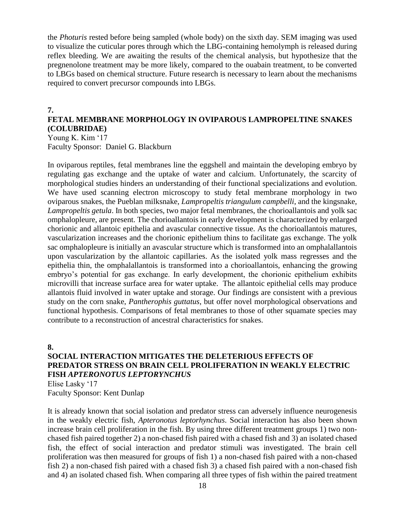the *Photuris* rested before being sampled (whole body) on the sixth day. SEM imaging was used to visualize the cuticular pores through which the LBG-containing hemolymph is released during reflex bleeding. We are awaiting the results of the chemical analysis, but hypothesize that the pregnenolone treatment may be more likely, compared to the ouabain treatment, to be converted to LBGs based on chemical structure. Future research is necessary to learn about the mechanisms required to convert precursor compounds into LBGs.

#### **7.**

### **FETAL MEMBRANE MORPHOLOGY IN OVIPAROUS LAMPROPELTINE SNAKES (COLUBRIDAE)**

Young K. Kim '17 Faculty Sponsor: Daniel G. Blackburn

In oviparous reptiles, fetal membranes line the eggshell and maintain the developing embryo by regulating gas exchange and the uptake of water and calcium. Unfortunately, the scarcity of morphological studies hinders an understanding of their functional specializations and evolution. We have used scanning electron microscopy to study fetal membrane morphology in two oviparous snakes, the Pueblan milksnake, *Lampropeltis triangulum campbelli*, and the kingsnake, *Lampropeltis getula*. In both species, two major fetal membranes, the chorioallantois and yolk sac omphalopleure, are present. The chorioallantois in early development is characterized by enlarged chorionic and allantoic epithelia and avascular connective tissue. As the chorioallantois matures, vascularization increases and the chorionic epithelium thins to facilitate gas exchange. The yolk sac omphalopleure is initially an avascular structure which is transformed into an omphalallantois upon vascularization by the allantoic capillaries. As the isolated yolk mass regresses and the epithelia thin, the omphalallantois is transformed into a chorioallantois, enhancing the growing embryo's potential for gas exchange. In early development, the chorionic epithelium exhibits microvilli that increase surface area for water uptake. The allantoic epithelial cells may produce allantois fluid involved in water uptake and storage. Our findings are consistent with a previous study on the corn snake, *Pantherophis guttatus*, but offer novel morphological observations and functional hypothesis. Comparisons of fetal membranes to those of other squamate species may contribute to a reconstruction of ancestral characteristics for snakes.

#### **8.**

#### **SOCIAL INTERACTION MITIGATES THE DELETERIOUS EFFECTS OF PREDATOR STRESS ON BRAIN CELL PROLIFERATION IN WEAKLY ELECTRIC FISH** *APTERONOTUS LEPTORYNCHUS*

Elise Lasky '17 Faculty Sponsor: Kent Dunlap

It is already known that social isolation and predator stress can adversely influence neurogenesis in the weakly electric fish, *Apteronotus leptorhynchus*. Social interaction has also been shown increase brain cell proliferation in the fish. By using three different treatment groups 1) two nonchased fish paired together 2) a non-chased fish paired with a chased fish and 3) an isolated chased fish, the effect of social interaction and predator stimuli was investigated. The brain cell proliferation was then measured for groups of fish 1) a non-chased fish paired with a non-chased fish 2) a non-chased fish paired with a chased fish 3) a chased fish paired with a non-chased fish and 4) an isolated chased fish. When comparing all three types of fish within the paired treatment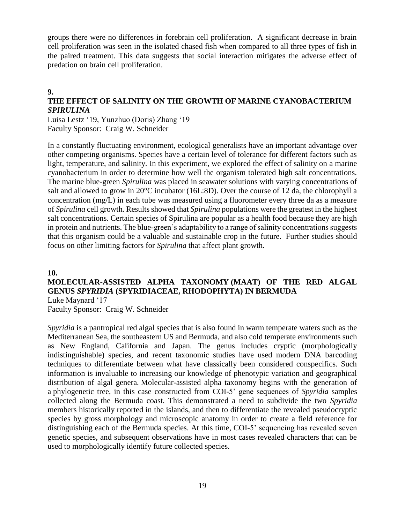groups there were no differences in forebrain cell proliferation. A significant decrease in brain cell proliferation was seen in the isolated chased fish when compared to all three types of fish in the paired treatment. This data suggests that social interaction mitigates the adverse effect of predation on brain cell proliferation.

#### **9.**

### **THE EFFECT OF SALINITY ON THE GROWTH OF MARINE CYANOBACTERIUM**  *SPIRULINA*

Luisa Lestz '19, Yunzhuo (Doris) Zhang '19 Faculty Sponsor: Craig W. Schneider

In a constantly fluctuating environment, ecological generalists have an important advantage over other competing organisms. Species have a certain level of tolerance for different factors such as light, temperature, and salinity. In this experiment, we explored the effect of salinity on a marine cyanobacterium in order to determine how well the organism tolerated high salt concentrations. The marine blue-green *Spirulina* was placed in seawater solutions with varying concentrations of salt and allowed to grow in 20°C incubator (16L:8D). Over the course of 12 da, the chlorophyll a concentration (mg/L) in each tube was measured using a fluorometer every three da as a measure of *Spirulina* cell growth. Results showed that *Spirulina* populations were the greatest in the highest salt concentrations. Certain species of Spirulina are popular as a health food because they are high in protein and nutrients. The blue-green's adaptability to a range of salinity concentrations suggests that this organism could be a valuable and sustainable crop in the future. Further studies should focus on other limiting factors for *Spirulina* that affect plant growth.

#### **10.**

#### **MOLECULAR-ASSISTED ALPHA TAXONOMY (MAAT) OF THE RED ALGAL GENUS** *SPYRIDIA* **(SPYRIDIACEAE, RHODOPHYTA) IN BERMUDA** Luke Maynard '17

Faculty Sponsor: Craig W. Schneider

*Spyridia* is a pantropical red algal species that is also found in warm temperate waters such as the Mediterranean Sea, the southeastern US and Bermuda, and also cold temperate environments such as New England, California and Japan. The genus includes cryptic (morphologically indistinguishable) species, and recent taxonomic studies have used modern DNA barcoding techniques to differentiate between what have classically been considered conspecifics. Such information is invaluable to increasing our knowledge of phenotypic variation and geographical distribution of algal genera. Molecular-assisted alpha taxonomy begins with the generation of a phylogenetic tree, in this case constructed from COI-5' gene sequences of *Spyridia* samples collected along the Bermuda coast. This demonstrated a need to subdivide the two *Spyridia* members historically reported in the islands, and then to differentiate the revealed pseudocryptic species by gross morphology and microscopic anatomy in order to create a field reference for distinguishing each of the Bermuda species. At this time, COI-5' sequencing has revealed seven genetic species, and subsequent observations have in most cases revealed characters that can be used to morphologically identify future collected species.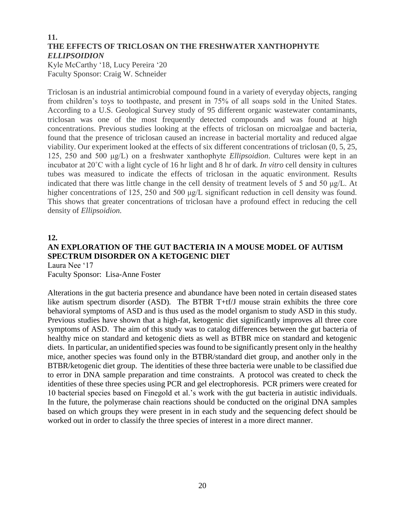#### **11. THE EFFECTS OF TRICLOSAN ON THE FRESHWATER XANTHOPHYTE**  *ELLIPSOIDION*

Kyle McCarthy '18, Lucy Pereira '20 Faculty Sponsor: Craig W. Schneider

Triclosan is an industrial antimicrobial compound found in a variety of everyday objects, ranging from children's toys to toothpaste, and present in 75% of all soaps sold in the United States. According to a U.S. Geological Survey study of 95 different organic wastewater contaminants, triclosan was one of the most frequently detected compounds and was found at high concentrations. Previous studies looking at the effects of triclosan on microalgae and bacteria, found that the presence of triclosan caused an increase in bacterial mortality and reduced algae viability. Our experiment looked at the effects of six different concentrations of triclosan (0, 5, 25, 125, 250 and 500 μg/L) on a freshwater xanthophyte *Ellipsoidion*. Cultures were kept in an incubator at 20˚C with a light cycle of 16 hr light and 8 hr of dark. *In vitro* cell density in cultures tubes was measured to indicate the effects of triclosan in the aquatic environment. Results indicated that there was little change in the cell density of treatment levels of 5 and 50 μg/L. At higher concentrations of 125, 250 and 500 μg/L significant reduction in cell density was found. This shows that greater concentrations of triclosan have a profound effect in reducing the cell density of *Ellipsoidion.*

#### **12.**

### **AN EXPLORATION OF THE GUT BACTERIA IN A MOUSE MODEL OF AUTISM SPECTRUM DISORDER ON A KETOGENIC DIET**

Laura Nee '17 Faculty Sponsor: Lisa-Anne Foster

Alterations in the gut bacteria presence and abundance have been noted in certain diseased states like autism spectrum disorder (ASD). The BTBR T+tf/J mouse strain exhibits the three core behavioral symptoms of ASD and is thus used as the model organism to study ASD in this study. Previous studies have shown that a high-fat, ketogenic diet significantly improves all three core symptoms of ASD. The aim of this study was to catalog differences between the gut bacteria of healthy mice on standard and ketogenic diets as well as BTBR mice on standard and ketogenic diets. In particular, an unidentified species was found to be significantly present only in the healthy mice, another species was found only in the BTBR/standard diet group, and another only in the BTBR/ketogenic diet group. The identities of these three bacteria were unable to be classified due to error in DNA sample preparation and time constraints. A protocol was created to check the identities of these three species using PCR and gel electrophoresis. PCR primers were created for 10 bacterial species based on Finegold et al.'s work with the gut bacteria in autistic individuals. In the future, the polymerase chain reactions should be conducted on the original DNA samples based on which groups they were present in in each study and the sequencing defect should be worked out in order to classify the three species of interest in a more direct manner.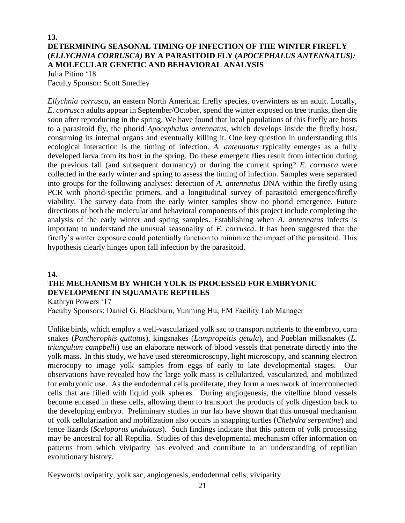#### **13. DETERMINING SEASONAL TIMING OF INFECTION OF THE WINTER FIREFLY (***ELLYCHNIA CORRUSCA)* **BY A PARASITOID FLY (***APOCEPHALUS ANTENNATUS):*  **A MOLECULAR GENETIC AND BEHAVIORAL ANALYSIS**  Julia Pitino '18

Faculty Sponsor: Scott Smedley

*Ellychnia corrusca,* an eastern North American firefly species, overwinters as an adult. Locally, *E*. *corrusca* adults appear in September/October, spend the winter exposed on tree trunks, then die soon after reproducing in the spring. We have found that local populations of this firefly are hosts to a parasitoid fly, the phorid *Apocephalus antennatus,* which develops inside the firefly host, consuming its internal organs and eventually killing it. One key question in understanding this ecological interaction is the timing of infection. *A. antennatus* typically emerges as a fully developed larva from its host in the spring. Do these emergent flies result from infection during the previous fall (and subsequent dormancy) or during the current spring? *E. corrusca* were collected in the early winter and spring to assess the timing of infection. Samples were separated into groups for the following analyses: detection of *A. antennatus* DNA within the firefly using PCR with phorid-specific primers, and a longitudinal survey of parasitoid emergence/firefly viability. The survey data from the early winter samples show no phorid emergence. Future directions of both the molecular and behavioral components of this project include completing the analysis of the early winter and spring samples. Establishing when *A. antennatus* infects is important to understand the unusual seasonality of *E. corrusca*. It has been suggested that the firefly's winter exposure could potentially function to minimize the impact of the parasitoid. This hypothesis clearly hinges upon fall infection by the parasitoid.

#### **14.**

### **THE MECHANISM BY WHICH YOLK IS PROCESSED FOR EMBRYONIC DEVELOPMENT IN SQUAMATE REPTILES**

Kathryn Powers '17

Faculty Sponsors: Daniel G. Blackburn, Yunming Hu, EM Facility Lab Manager

Unlike birds, which employ a well-vascularized yolk sac to transport nutrients to the embryo, corn snakes (*Pantherophis guttatus*), kingsnakes (*Lampropeltis getula*), and Pueblan milksnakes (*L. triangulum campbelli*) use an elaborate network of blood vessels that penetrate directly into the yolk mass. In this study, we have used stereomicroscopy, light microscopy, and scanning electron microcopy to image yolk samples from eggs of early to late developmental stages. Our observations have revealed how the large yolk mass is cellularized, vascularized, and mobilized for embryonic use. As the endodermal cells proliferate, they form a meshwork of interconnected cells that are filled with liquid yolk spheres. During angiogenesis, the vitelline blood vessels become encased in these cells, allowing them to transport the products of yolk digestion back to the developing embryo. Preliminary studies in our lab have shown that this unusual mechanism of yolk cellularization and mobilization also occurs in snapping turtles (*Chelydra serpentine*) and fence lizards (*Sceloporus undulatus*). Such findings indicate that this pattern of yolk processing may be ancestral for all Reptilia. Studies of this developmental mechanism offer information on patterns from which viviparity has evolved and contribute to an understanding of reptilian evolutionary history.

Keywords: oviparity, yolk sac, angiogenesis, endodermal cells, viviparity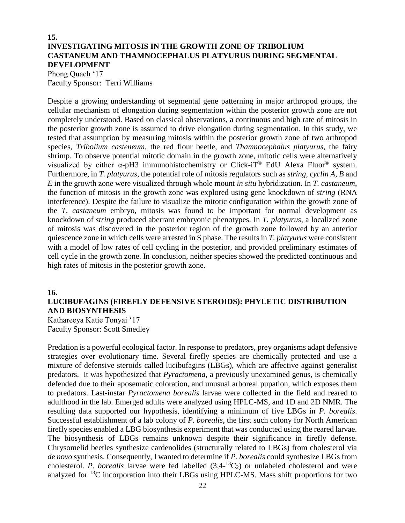### **15. INVESTIGATING MITOSIS IN THE GROWTH ZONE OF TRIBOLIUM CASTANEUM AND THAMNOCEPHALUS PLATYURUS DURING SEGMENTAL DEVELOPMENT**

Phong Quach '17 Faculty Sponsor: Terri Williams

Despite a growing understanding of segmental gene patterning in major arthropod groups, the cellular mechanism of elongation during segmentation within the posterior growth zone are not completely understood. Based on classical observations, a continuous and high rate of mitosis in the posterior growth zone is assumed to drive elongation during segmentation. In this study, we tested that assumption by measuring mitosis within the posterior growth zone of two arthropod species, *Tribolium casteneum,* the red flour beetle, and *Thamnocephalus platyurus*, the fairy shrimp. To observe potential mitotic domain in the growth zone, mitotic cells were alternatively visualized by either α-pH3 immunohistochemistry or Click-iT<sup>®</sup> EdU Alexa Fluor<sup>®</sup> system. Furthermore, in *T. platyurus*, the potential role of mitosis regulators such as *string, cyclin A, B* and *E* in the growth zone were visualized through whole mount *in situ* hybridization. In *T. castaneum*, the function of mitosis in the growth zone was explored using gene knockdown of *string* (RNA interference). Despite the failure to visualize the mitotic configuration within the growth zone of the *T. castaneum* embryo, mitosis was found to be important for normal development as knockdown of *string* produced aberrant embryonic phenotypes. In *T. platyurus*, a localized zone of mitosis was discovered in the posterior region of the growth zone followed by an anterior quiescence zone in which cells were arrested in S phase. The results in *T. platyurus* were consistent with a model of low rates of cell cycling in the posterior, and provided preliminary estimates of cell cycle in the growth zone. In conclusion, neither species showed the predicted continuous and high rates of mitosis in the posterior growth zone.

#### **16.**

#### **LUCIBUFAGINS (FIREFLY DEFENSIVE STEROIDS): PHYLETIC DISTRIBUTION AND BIOSYNTHESIS**

Kathareeya Katie Tonyai '17 Faculty Sponsor: Scott Smedley

Predation is a powerful ecological factor. In response to predators, prey organisms adapt defensive strategies over evolutionary time. Several firefly species are chemically protected and use a mixture of defensive steroids called lucibufagins (LBGs), which are affective against generalist predators. It was hypothesized that *Pyractomena*, a previously unexamined genus, is chemically defended due to their aposematic coloration, and unusual arboreal pupation, which exposes them to predators. Last-instar *Pyractomena borealis* larvae were collected in the field and reared to adulthood in the lab. Emerged adults were analyzed using HPLC-MS, and 1D and 2D NMR. The resulting data supported our hypothesis, identifying a minimum of five LBGs in *P. borealis*. Successful establishment of a lab colony of *P. borealis*, the first such colony for North American firefly species enabled a LBG biosynthesis experiment that was conducted using the reared larvae. The biosynthesis of LBGs remains unknown despite their significance in firefly defense. Chrysomelid beetles synthesize cardenolides (structurally related to LBGs) from cholesterol via *de novo* synthesis. Consequently, I wanted to determine if *P. borealis* could synthesize LBGs from cholesterol. P. borealis larvae were fed labelled  $(3,4^{-13}C_2)$  or unlabeled cholesterol and were analyzed for <sup>13</sup>C incorporation into their LBGs using HPLC-MS. Mass shift proportions for two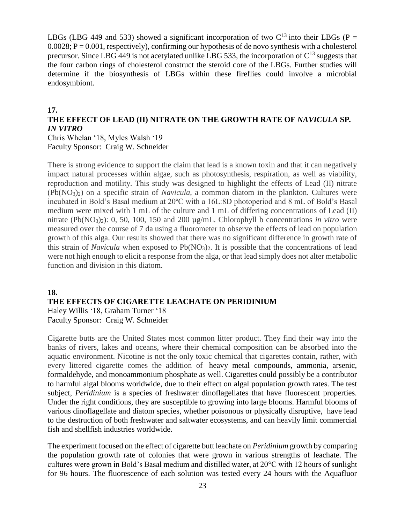LBGs (LBG 449 and 533) showed a significant incorporation of two  $C^{13}$  into their LBGs (P =  $0.0028$ ;  $P = 0.001$ , respectively), confirming our hypothesis of de novo synthesis with a cholesterol precursor. Since LBG 449 is not acetylated unlike LBG 533, the incorporation of  $C^{13}$  suggests that the four carbon rings of cholesterol construct the steroid core of the LBGs. Further studies will determine if the biosynthesis of LBGs within these fireflies could involve a microbial endosymbiont.

#### **17.**

### **THE EFFECT OF LEAD (II) NITRATE ON THE GROWTH RATE OF** *NAVICULA* **SP***. IN VITRO*

Chris Whelan '18, Myles Walsh '19 Faculty Sponsor: Craig W. Schneider

There is strong evidence to support the claim that lead is a known toxin and that it can negatively impact natural processes within algae, such as photosynthesis, respiration, as well as viability, reproduction and motility. This study was designed to highlight the effects of Lead (II) nitrate (Pb(NO3)2) on a specific strain of *Navicula*, a common diatom in the plankton. Cultures were incubated in Bold's Basal medium at 20ºC with a 16L:8D photoperiod and 8 mL of Bold's Basal medium were mixed with 1 mL of the culture and 1 mL of differing concentrations of Lead (II) nitrate (Pb(NO3)2): 0, 50, 100, 150 and 200 µg/mL. Chlorophyll b concentrations *in vitro* were measured over the course of 7 da using a fluorometer to observe the effects of lead on population growth of this alga. Our results showed that there was no significant difference in growth rate of this strain of *Navicula* when exposed to  $Pb(NO<sub>3</sub>)<sub>2</sub>$ . It is possible that the concentrations of lead were not high enough to elicit a response from the alga, or that lead simply does not alter metabolic function and division in this diatom.

#### **18.**

#### **THE EFFECTS OF CIGARETTE LEACHATE ON PERIDINIUM**

Haley Willis '18, Graham Turner '18 Faculty Sponsor: Craig W. Schneider

Cigarette butts are the United States most common litter product. They find their way into the banks of rivers, lakes and oceans, where their chemical composition can be absorbed into the aquatic environment. Nicotine is not the only toxic chemical that cigarettes contain, rather, with every littered cigarette comes the addition of heavy metal compounds, ammonia, arsenic, formaldehyde, and monoammonium phosphate as well. Cigarettes could possibly be a contributor to harmful algal blooms worldwide, due to their effect on algal population growth rates. The test subject, *Peridinium* is a species of freshwater dinoflagellates that have fluorescent properties. Under the right conditions, they are susceptible to growing into large blooms. Harmful blooms of various dinoflagellate and diatom species, whether poisonous or physically disruptive, have lead to the destruction of both freshwater and saltwater ecosystems, and can heavily limit commercial fish and shellfish industries worldwide.

The experiment focused on the effect of cigarette butt leachate on *Peridinium* growth by comparing the population growth rate of colonies that were grown in various strengths of leachate. The cultures were grown in Bold's Basal medium and distilled water, at 20°C with 12 hours of sunlight for 96 hours. The fluorescence of each solution was tested every 24 hours with the Aquafluor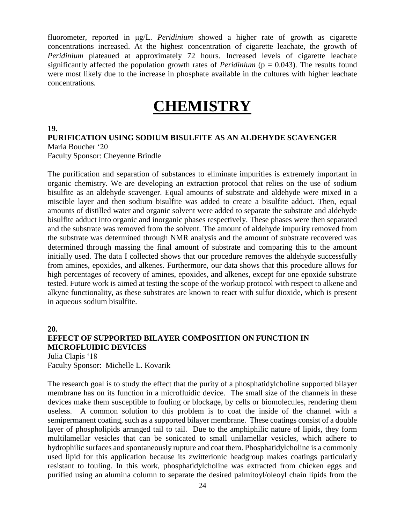fluorometer, reported in μg/L. *Peridinium* showed a higher rate of growth as cigarette concentrations increased. At the highest concentration of cigarette leachate, the growth of *Peridinium* plateaued at approximately 72 hours. Increased levels of cigarette leachate significantly affected the population growth rates of *Peridinium* ( $p = 0.043$ ). The results found were most likely due to the increase in phosphate available in the cultures with higher leachate concentrations*.*

# **CHEMISTRY**

#### **19.**

#### **PURIFICATION USING SODIUM BISULFITE AS AN ALDEHYDE SCAVENGER**

Maria Boucher '20 Faculty Sponsor: Cheyenne Brindle

The purification and separation of substances to eliminate impurities is extremely important in organic chemistry. We are developing an extraction protocol that relies on the use of sodium bisulfite as an aldehyde scavenger. Equal amounts of substrate and aldehyde were mixed in a miscible layer and then sodium bisulfite was added to create a bisulfite adduct. Then, equal amounts of distilled water and organic solvent were added to separate the substrate and aldehyde bisulfite adduct into organic and inorganic phases respectively. These phases were then separated and the substrate was removed from the solvent. The amount of aldehyde impurity removed from the substrate was determined through NMR analysis and the amount of substrate recovered was determined through massing the final amount of substrate and comparing this to the amount initially used. The data I collected shows that our procedure removes the aldehyde successfully from amines, epoxides, and alkenes. Furthermore, our data shows that this procedure allows for high percentages of recovery of amines, epoxides, and alkenes, except for one epoxide substrate tested. Future work is aimed at testing the scope of the workup protocol with respect to alkene and alkyne functionality, as these substrates are known to react with sulfur dioxide, which is present in aqueous sodium bisulfite.

**20. EFFECT OF SUPPORTED BILAYER COMPOSITION ON FUNCTION IN MICROFLUIDIC DEVICES** Julia Clapis '18 Faculty Sponsor: Michelle L. Kovarik

The research goal is to study the effect that the purity of a phosphatidylcholine supported bilayer membrane has on its function in a microfluidic device. The small size of the channels in these devices make them susceptible to fouling or blockage, by cells or biomolecules, rendering them useless. A common solution to this problem is to coat the inside of the channel with a semipermanent coating, such as a supported bilayer membrane. These coatings consist of a double layer of phospholipids arranged tail to tail. Due to the amphiphilic nature of lipids, they form multilamellar vesicles that can be sonicated to small unilamellar vesicles, which adhere to hydrophilic surfaces and spontaneously rupture and coat them. Phosphatidylcholine is a commonly used lipid for this application because its zwitterionic headgroup makes coatings particularly resistant to fouling. In this work, phosphatidylcholine was extracted from chicken eggs and purified using an alumina column to separate the desired palmitoyl/oleoyl chain lipids from the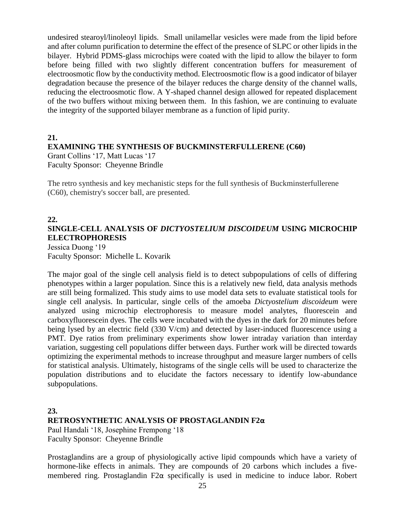undesired stearoyl/linoleoyl lipids. Small unilamellar vesicles were made from the lipid before and after column purification to determine the effect of the presence of SLPC or other lipids in the bilayer. Hybrid PDMS-glass microchips were coated with the lipid to allow the bilayer to form before being filled with two slightly different concentration buffers for measurement of electroosmotic flow by the conductivity method. Electroosmotic flow is a good indicator of bilayer degradation because the presence of the bilayer reduces the charge density of the channel walls, reducing the electroosmotic flow. A Y-shaped channel design allowed for repeated displacement of the two buffers without mixing between them. In this fashion, we are continuing to evaluate the integrity of the supported bilayer membrane as a function of lipid purity.

#### **21.**

#### **EXAMINING THE SYNTHESIS OF BUCKMINSTERFULLERENE (C60)**

Grant Collins '17, Matt Lucas '17 Faculty Sponsor: Cheyenne Brindle

The retro synthesis and key mechanistic steps for the full synthesis of Buckminsterfullerene (C60), chemistry's soccer ball, are presented.

#### **22.**

### **SINGLE-CELL ANALYSIS OF** *DICTYOSTELIUM DISCOIDEUM* **USING MICROCHIP ELECTROPHORESIS** Jessica Duong '19

Faculty Sponsor: Michelle L. Kovarik

The major goal of the single cell analysis field is to detect subpopulations of cells of differing phenotypes within a larger population. Since this is a relatively new field, data analysis methods are still being formalized. This study aims to use model data sets to evaluate statistical tools for single cell analysis. In particular, single cells of the amoeba *Dictyostelium discoideum* were analyzed using microchip electrophoresis to measure model analytes, fluorescein and carboxyfluorescein dyes. The cells were incubated with the dyes in the dark for 20 minutes before being lysed by an electric field (330 V/cm) and detected by laser-induced fluorescence using a PMT. Dye ratios from preliminary experiments show lower intraday variation than interday variation, suggesting cell populations differ between days. Further work will be directed towards optimizing the experimental methods to increase throughput and measure larger numbers of cells for statistical analysis. Ultimately, histograms of the single cells will be used to characterize the population distributions and to elucidate the factors necessary to identify low-abundance subpopulations.

### **23. RETROSYNTHETIC ANALYSIS OF PROSTAGLANDIN F2α**

Paul Handali '18, Josephine Frempong '18 Faculty Sponsor: Cheyenne Brindle

Prostaglandins are a group of physiologically active lipid compounds which have a variety of hormone-like effects in animals. They are compounds of 20 carbons which includes a fivemembered ring. Prostaglandin F2α specifically is used in medicine to induce labor. Robert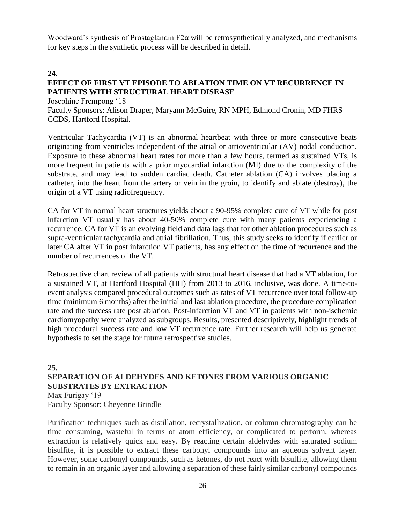Woodward's synthesis of Prostaglandin F2 $\alpha$  will be retrosynthetically analyzed, and mechanisms for key steps in the synthetic process will be described in detail.

#### **24.**

#### **EFFECT OF FIRST VT EPISODE TO ABLATION TIME ON VT RECURRENCE IN PATIENTS WITH STRUCTURAL HEART DISEASE**

Josephine Frempong '18

Faculty Sponsors: Alison Draper, Maryann McGuire, RN MPH, Edmond Cronin, MD FHRS CCDS, Hartford Hospital.

Ventricular Tachycardia (VT) is an abnormal heartbeat with three or more consecutive beats originating from ventricles independent of the atrial or atrioventricular (AV) nodal conduction. Exposure to these abnormal heart rates for more than a few hours, termed as sustained VTs, is more frequent in patients with a prior myocardial infarction (MI) due to the complexity of the substrate, and may lead to sudden cardiac death. Catheter ablation (CA) involves placing a catheter, into the heart from the artery or vein in the groin, to identify and ablate (destroy), the origin of a VT using radiofrequency.

CA for VT in normal heart structures yields about a 90-95% complete cure of VT while for post infarction VT usually has about 40-50% complete cure with many patients experiencing a recurrence. CA for VT is an evolving field and data lags that for other ablation procedures such as supra-ventricular tachycardia and atrial fibrillation. Thus, this study seeks to identify if earlier or later CA after VT in post infarction VT patients, has any effect on the time of recurrence and the number of recurrences of the VT.

Retrospective chart review of all patients with structural heart disease that had a VT ablation, for a sustained VT, at Hartford Hospital (HH) from 2013 to 2016, inclusive, was done. A time-toevent analysis compared procedural outcomes such as rates of VT recurrence over total follow-up time (minimum 6 months) after the initial and last ablation procedure, the procedure complication rate and the success rate post ablation. Post-infarction VT and VT in patients with non-ischemic cardiomyopathy were analyzed as subgroups. Results, presented descriptively, highlight trends of high procedural success rate and low VT recurrence rate. Further research will help us generate hypothesis to set the stage for future retrospective studies.

#### **25.**

### **SEPARATION OF ALDEHYDES AND KETONES FROM VARIOUS ORGANIC SUBSTRATES BY EXTRACTION**

Max Furigay '19 Faculty Sponsor: Cheyenne Brindle

Purification techniques such as distillation, recrystallization, or column chromatography can be time consuming, wasteful in terms of atom efficiency, or complicated to perform, whereas extraction is relatively quick and easy. By reacting certain aldehydes with saturated sodium bisulfite, it is possible to extract these carbonyl compounds into an aqueous solvent layer. However, some carbonyl compounds, such as ketones, do not react with bisulfite, allowing them to remain in an organic layer and allowing a separation of these fairly similar carbonyl compounds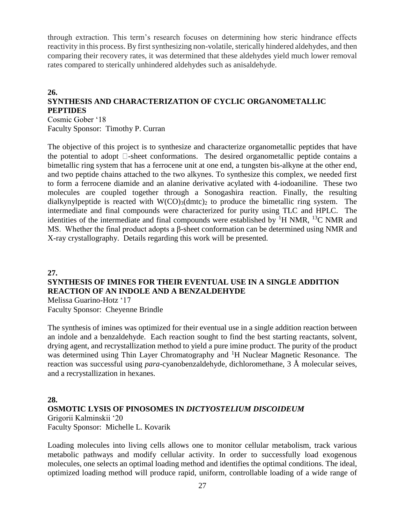through extraction. This term's research focuses on determining how steric hindrance effects reactivity in this process. By first synthesizing non-volatile, sterically hindered aldehydes, and then comparing their recovery rates, it was determined that these aldehydes yield much lower removal rates compared to sterically unhindered aldehydes such as anisaldehyde.

### **26. SYNTHESIS AND CHARACTERIZATION OF CYCLIC ORGANOMETALLIC PEPTIDES**

Cosmic Gober '18 Faculty Sponsor: Timothy P. Curran

The objective of this project is to synthesize and characterize organometallic peptides that have the potential to adopt  $\Box$ -sheet conformations. The desired organometallic peptide contains a bimetallic ring system that has a ferrocene unit at one end, a tungsten bis-alkyne at the other end, and two peptide chains attached to the two alkynes. To synthesize this complex, we needed first to form a ferrocene diamide and an alanine derivative acylated with 4-iodoaniline. These two molecules are coupled together through a Sonogashira reaction. Finally, the resulting dialkynylpeptide is reacted with  $W(CO)_{3}(dm/c)_{2}$  to produce the bimetallic ring system. The intermediate and final compounds were characterized for purity using TLC and HPLC. The identities of the intermediate and final compounds were established by  ${}^{1}$ H NMR,  ${}^{13}$ C NMR and MS. Whether the final product adopts a β-sheet conformation can be determined using NMR and X-ray crystallography. Details regarding this work will be presented.

#### **27.**

#### **SYNTHESIS OF IMINES FOR THEIR EVENTUAL USE IN A SINGLE ADDITION REACTION OF AN INDOLE AND A BENZALDEHYDE**

Melissa Guarino-Hotz '17 Faculty Sponsor: Cheyenne Brindle

The synthesis of imines was optimized for their eventual use in a single addition reaction between an indole and a benzaldehyde. Each reaction sought to find the best starting reactants, solvent, drying agent, and recrystallization method to yield a pure imine product. The purity of the product was determined using Thin Layer Chromatography and <sup>1</sup>H Nuclear Magnetic Resonance. The reaction was successful using *para*-cyanobenzaldehyde, dichloromethane, 3 Å molecular seives, and a recrystallization in hexanes.

#### **28.**

#### **OSMOTIC LYSIS OF PINOSOMES IN** *DICTYOSTELIUM DISCOIDEUM*

Grigorii Kalminskii '20 Faculty Sponsor: Michelle L. Kovarik

Loading molecules into living cells allows one to monitor cellular metabolism, track various metabolic pathways and modify cellular activity. In order to successfully load exogenous molecules, one selects an optimal loading method and identifies the optimal conditions. The ideal, optimized loading method will produce rapid, uniform, controllable loading of a wide range of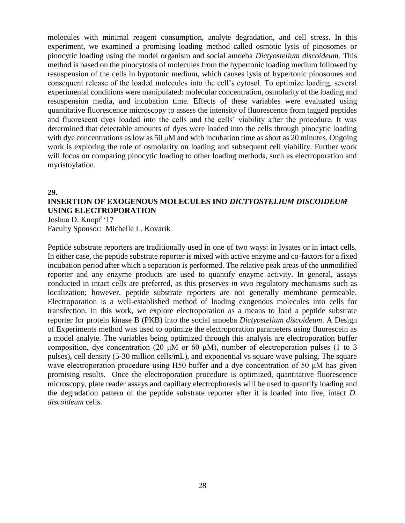molecules with minimal reagent consumption, analyte degradation, and cell stress. In this experiment, we examined a promising loading method called osmotic lysis of pinosomes or pinocytic loading using the model organism and social amoeba *Dictyostelium discoideum*. This method is based on the pinocytosis of molecules from the hypertonic loading medium followed by resuspension of the cells in hypotonic medium, which causes lysis of hypertonic pinosomes and consequent release of the loaded molecules into the cell's cytosol. To optimize loading, several experimental conditions were manipulated: molecular concentration, osmolarity of the loading and resuspension media, and incubation time. Effects of these variables were evaluated using quantitative fluorescence microscopy to assess the intensity of fluorescence from tagged peptides and fluorescent dyes loaded into the cells and the cells' viability after the procedure. It was determined that detectable amounts of dyes were loaded into the cells through pinocytic loading with dye concentrations as low as 50 μM and with incubation time as short as 20 minutes. Ongoing work is exploring the role of osmolarity on loading and subsequent cell viability. Further work will focus on comparing pinocytic loading to other loading methods, such as electroporation and myristoylation.

#### **29.**

### **INSERTION OF EXOGENOUS MOLECULES INO** *DICTYOSTELIUM DISCOIDEUM*  **USING ELECTROPORATION**

Joshua D. Knopf '17 Faculty Sponsor: Michelle L. Kovarik

Peptide substrate reporters are traditionally used in one of two ways: in lysates or in intact cells. In either case, the peptide substrate reporter is mixed with active enzyme and co-factors for a fixed incubation period after which a separation is performed. The relative peak areas of the unmodified reporter and any enzyme products are used to quantify enzyme activity. In general, assays conducted in intact cells are preferred, as this preserves *in vivo* regulatory mechanisms such as localization; however, peptide substrate reporters are not generally membrane permeable. Electroporation is a well-established method of loading exogenous molecules into cells for transfection. In this work, we explore electroporation as a means to load a peptide substrate reporter for protein kinase B (PKB) into the social amoeba *Dictyostelium discoideum*. A Design of Experiments method was used to optimize the electroporation parameters using fluorescein as a model analyte. The variables being optimized through this analysis are electroporation buffer composition, dye concentration (20 μM or 60 μM), number of electroporation pulses (1 to 3 pulses), cell density (5-30 million cells/mL), and exponential vs square wave pulsing. The square wave electroporation procedure using H50 buffer and a dye concentration of 50 μM has given promising results. Once the electroporation procedure is optimized, quantitative fluorescence microscopy, plate reader assays and capillary electrophoresis will be used to quantify loading and the degradation pattern of the peptide substrate reporter after it is loaded into live, intact *D. discoideum* cells.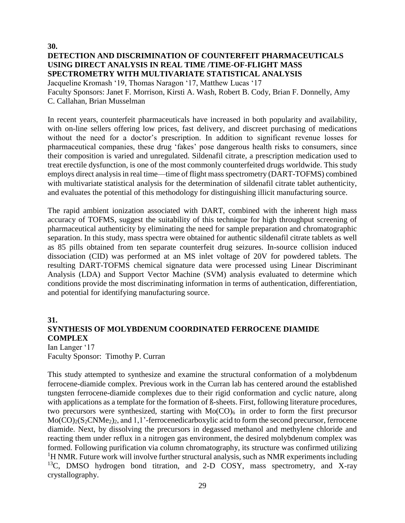**30. DETECTION AND DISCRIMINATION OF COUNTERFEIT PHARMACEUTICALS USING DIRECT ANALYSIS IN REAL TIME /TIME-OF-FLIGHT MASS SPECTROMETRY WITH MULTIVARIATE STATISTICAL ANALYSIS**

Jacqueline Kromash '19, Thomas Naragon '17, Matthew Lucas '17 Faculty Sponsors: Janet F. Morrison, Kirsti A. Wash, Robert B. Cody, Brian F. Donnelly, Amy C. Callahan, Brian Musselman

In recent years, counterfeit pharmaceuticals have increased in both popularity and availability, with on-line sellers offering low prices, fast delivery, and discreet purchasing of medications without the need for a doctor's prescription. In addition to significant revenue losses for pharmaceutical companies, these drug 'fakes' pose dangerous health risks to consumers, since their composition is varied and unregulated. Sildenafil citrate, a prescription medication used to treat erectile dysfunction, is one of the most commonly counterfeited drugs worldwide. This study employs direct analysis in real time—time of flight mass spectrometry (DART-TOFMS) combined with multivariate statistical analysis for the determination of sildenafil citrate tablet authenticity, and evaluates the potential of this methodology for distinguishing illicit manufacturing source.

The rapid ambient ionization associated with DART, combined with the inherent high mass accuracy of TOFMS, suggest the suitability of this technique for high throughput screening of pharmaceutical authenticity by eliminating the need for sample preparation and chromatographic separation. In this study, mass spectra were obtained for authentic sildenafil citrate tablets as well as 85 pills obtained from ten separate counterfeit drug seizures. In-source collision induced dissociation (CID) was performed at an MS inlet voltage of 20V for powdered tablets. The resulting DART-TOFMS chemical signature data were processed using Linear Discriminant Analysis (LDA) and Support Vector Machine (SVM) analysis evaluated to determine which conditions provide the most discriminating information in terms of authentication, differentiation, and potential for identifying manufacturing source.

#### **31. SYNTHESIS OF MOLYBDENUM COORDINATED FERROCENE DIAMIDE COMPLEX** Ian Langer '17

Faculty Sponsor: Timothy P. Curran

This study attempted to synthesize and examine the structural conformation of a molybdenum ferrocene-diamide complex. Previous work in the Curran lab has centered around the established tungsten ferrocene-diamide complexes due to their rigid conformation and cyclic nature, along with applications as a template for the formation of ß-sheets. First, following literature procedures, two precursors were synthesized, starting with  $Mo(CO)_{6}$  in order to form the first precursor  $Mo(CO)<sub>2</sub>(S<sub>2</sub>CNMe<sub>2</sub>)<sub>2</sub>$ , and 1,1'-ferrocenedicarboxylic acid to form the second precursor, ferrocene diamide. Next, by dissolving the precursors in degassed methanol and methylene chloride and reacting them under reflux in a nitrogen gas environment, the desired molybdenum complex was formed. Following purification via column chromatography, its structure was confirmed utilizing  ${}^{1}$ H NMR. Future work will involve further structural analysis, such as NMR experiments including <sup>13</sup>C, DMSO hydrogen bond titration, and 2-D COSY, mass spectrometry, and X-ray crystallography.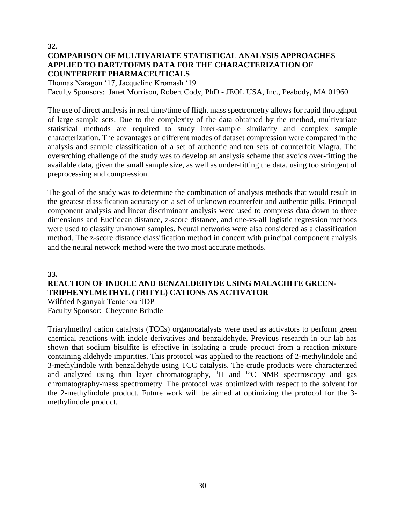#### **32. COMPARISON OF MULTIVARIATE STATISTICAL ANALYSIS APPROACHES APPLIED TO DART/TOFMS DATA FOR THE CHARACTERIZATION OF COUNTERFEIT PHARMACEUTICALS**

Thomas Naragon '17, Jacqueline Kromash '19 Faculty Sponsors: Janet Morrison, Robert Cody, PhD - JEOL USA, Inc., Peabody, MA 01960

The use of direct analysis in real time/time of flight mass spectrometry allows for rapid throughput of large sample sets. Due to the complexity of the data obtained by the method, multivariate statistical methods are required to study inter-sample similarity and complex sample characterization. The advantages of different modes of dataset compression were compared in the analysis and sample classification of a set of authentic and ten sets of counterfeit Viagra. The overarching challenge of the study was to develop an analysis scheme that avoids over-fitting the available data, given the small sample size, as well as under-fitting the data, using too stringent of preprocessing and compression.

The goal of the study was to determine the combination of analysis methods that would result in the greatest classification accuracy on a set of unknown counterfeit and authentic pills. Principal component analysis and linear discriminant analysis were used to compress data down to three dimensions and Euclidean distance, z-score distance, and one-vs-all logistic regression methods were used to classify unknown samples. Neural networks were also considered as a classification method. The z-score distance classification method in concert with principal component analysis and the neural network method were the two most accurate methods.

#### **33. REACTION OF INDOLE AND BENZALDEHYDE USING MALACHITE GREEN-TRIPHENYLMETHYL (TRITYL) CATIONS AS ACTIVATOR**  Wilfried Nganyak Tentchou 'IDP Faculty Sponsor: Cheyenne Brindle

Triarylmethyl cation catalysts (TCCs) organocatalysts were used as activators to perform green chemical reactions with indole derivatives and benzaldehyde. Previous research in our lab has shown that sodium bisulfite is effective in isolating a crude product from a reaction mixture containing aldehyde impurities. This protocol was applied to the reactions of 2-methylindole and 3-methylindole with benzaldehyde using TCC catalysis. The crude products were characterized and analyzed using thin layer chromatography,  ${}^{1}H$  and  ${}^{13}C$  NMR spectroscopy and gas chromatography-mass spectrometry. The protocol was optimized with respect to the solvent for the 2-methylindole product. Future work will be aimed at optimizing the protocol for the 3 methylindole product.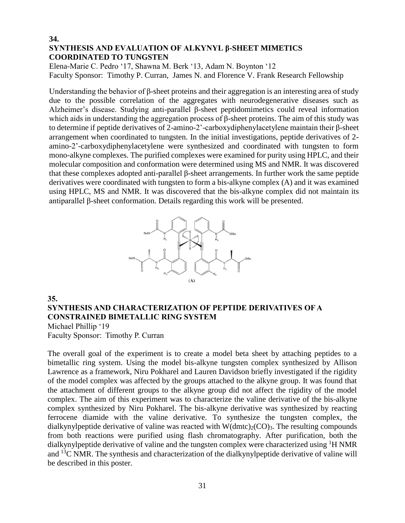#### **34. SYNTHESIS AND EVALUATION OF ALKYNYL β-SHEET MIMETICS COORDINATED TO TUNGSTEN**

Elena-Marie C. Pedro '17, Shawna M. Berk '13, Adam N. Boynton '12 Faculty Sponsor: Timothy P. Curran, James N. and Florence V. Frank Research Fellowship

Understanding the behavior of β-sheet proteins and their aggregation is an interesting area of study due to the possible correlation of the aggregates with neurodegenerative diseases such as Alzheimer's disease. Studying anti-parallel β-sheet peptidomimetics could reveal information which aids in understanding the aggregation process of β-sheet proteins. The aim of this study was to determine if peptide derivatives of 2-amino-2'-carboxydiphenylacetylene maintain their β-sheet arrangement when coordinated to tungsten. In the initial investigations, peptide derivatives of 2 amino-2'-carboxydiphenylacetylene were synthesized and coordinated with tungsten to form mono-alkyne complexes. The purified complexes were examined for purity using HPLC, and their molecular composition and conformation were determined using MS and NMR. It was discovered that these complexes adopted anti-parallel β-sheet arrangements. In further work the same peptide derivatives were coordinated with tungsten to form a bis-alkyne complex (A) and it was examined using HPLC, MS and NMR. It was discovered that the bis-alkyne complex did not maintain its antiparallel β-sheet conformation. Details regarding this work will be presented.



#### **35. SYNTHESIS AND CHARACTERIZATION OF PEPTIDE DERIVATIVES OF A CONSTRAINED BIMETALLIC RING SYSTEM** Michael Phillip '19

Faculty Sponsor: Timothy P. Curran

The overall goal of the experiment is to create a model beta sheet by attaching peptides to a bimetallic ring system. Using the model bis-alkyne tungsten complex synthesized by Allison Lawrence as a framework, Niru Pokharel and Lauren Davidson briefly investigated if the rigidity of the model complex was affected by the groups attached to the alkyne group. It was found that the attachment of different groups to the alkyne group did not affect the rigidity of the model complex. The aim of this experiment was to characterize the valine derivative of the bis-alkyne complex synthesized by Niru Pokharel. The bis-alkyne derivative was synthesized by reacting ferrocene diamide with the valine derivative. To synthesize the tungsten complex, the dialkynylpeptide derivative of valine was reacted with  $W(dmtc)_{2}(CO)_{3}$ . The resulting compounds from both reactions were purified using flash chromatography. After purification, both the dialkynylpeptide derivative of valine and the tungsten complex were characterized using <sup>1</sup>H NMR and <sup>13</sup>C NMR. The synthesis and characterization of the dialkynylpeptide derivative of valine will be described in this poster.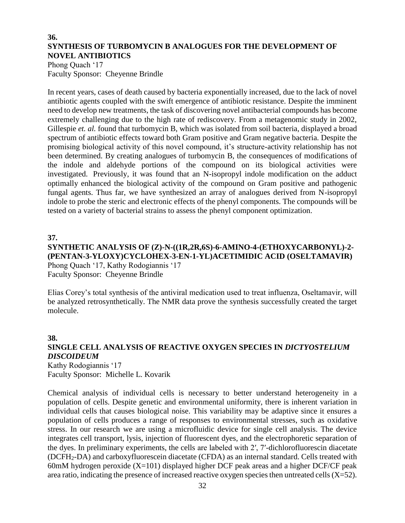#### **36. SYNTHESIS OF TURBOMYCIN B ANALOGUES FOR THE DEVELOPMENT OF NOVEL ANTIBIOTICS**

Phong Quach '17 Faculty Sponsor: Cheyenne Brindle

In recent years, cases of death caused by bacteria exponentially increased, due to the lack of novel antibiotic agents coupled with the swift emergence of antibiotic resistance. Despite the imminent need to develop new treatments, the task of discovering novel antibacterial compounds has become extremely challenging due to the high rate of rediscovery. From a metagenomic study in 2002, Gillespie *et. al.* found that turbomycin B, which was isolated from soil bacteria, displayed a broad spectrum of antibiotic effects toward both Gram positive and Gram negative bacteria. Despite the promising biological activity of this novel compound, it's structure-activity relationship has not been determined. By creating analogues of turbomycin B, the consequences of modifications of the indole and aldehyde portions of the compound on its biological activities were investigated. Previously, it was found that an N-isopropyl indole modification on the adduct optimally enhanced the biological activity of the compound on Gram positive and pathogenic fungal agents. Thus far, we have synthesized an array of analogues derived from N-isopropyl indole to probe the steric and electronic effects of the phenyl components. The compounds will be tested on a variety of bacterial strains to assess the phenyl component optimization.

#### **37.**

#### **SYNTHETIC ANALYSIS OF (Z)-N-((1R,2R,6S)-6-AMINO-4-(ETHOXYCARBONYL)-2- (PENTAN-3-YLOXY)CYCLOHEX-3-EN-1-YL)ACETIMIDIC ACID (OSELTAMAVIR)**  Phong Quach '17, Kathy Rodogiannis '17 Faculty Sponsor: Cheyenne Brindle

Elias Corey's total synthesis of the antiviral medication used to treat influenza, Oseltamavir, will be analyzed retrosynthetically. The NMR data prove the synthesis successfully created the target molecule.

#### **38. SINGLE CELL ANALYSIS OF REACTIVE OXYGEN SPECIES IN** *DICTYOSTELIUM DISCOIDEUM* Kathy Rodogiannis '17

Faculty Sponsor: Michelle L. Kovarik

Chemical analysis of individual cells is necessary to better understand heterogeneity in a population of cells. Despite genetic and environmental uniformity, there is inherent variation in individual cells that causes biological noise. This variability may be adaptive since it ensures a population of cells produces a range of responses to environmental stresses, such as oxidative stress. In our research we are using a microfluidic device for single cell analysis. The device integrates cell transport, lysis, injection of fluorescent dyes, and the electrophoretic separation of the dyes. In preliminary experiments, the cells are labeled with 2′, 7′-dichlorofluorescin diacetate (DCFH2-DA) and carboxyfluorescein diacetate (CFDA) as an internal standard. Cells treated with 60mM hydrogen peroxide  $(X=101)$  displayed higher DCF peak areas and a higher DCF/CF peak area ratio, indicating the presence of increased reactive oxygen species then untreated cells (X=52).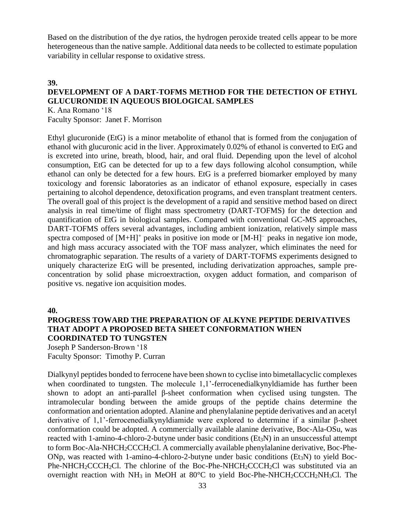Based on the distribution of the dye ratios, the hydrogen peroxide treated cells appear to be more heterogeneous than the native sample. Additional data needs to be collected to estimate population variability in cellular response to oxidative stress.

### **39. DEVELOPMENT OF A DART-TOFMS METHOD FOR THE DETECTION OF ETHYL GLUCURONIDE IN AQUEOUS BIOLOGICAL SAMPLES**

K. Ana Romano '18 Faculty Sponsor: Janet F. Morrison

Ethyl glucuronide (EtG) is a minor metabolite of ethanol that is formed from the conjugation of ethanol with glucuronic acid in the liver. Approximately 0.02% of ethanol is converted to EtG and is excreted into urine, breath, blood, hair, and oral fluid. Depending upon the level of alcohol consumption, EtG can be detected for up to a few days following alcohol consumption, while ethanol can only be detected for a few hours. EtG is a preferred biomarker employed by many toxicology and forensic laboratories as an indicator of ethanol exposure, especially in cases pertaining to alcohol dependence, detoxification programs, and even transplant treatment centers. The overall goal of this project is the development of a rapid and sensitive method based on direct analysis in real time/time of flight mass spectrometry (DART-TOFMS) for the detection and quantification of EtG in biological samples. Compared with conventional GC-MS approaches, DART-TOFMS offers several advantages, including ambient ionization, relatively simple mass spectra composed of  $[M+H]^+$  peaks in positive ion mode or  $[M-H]^+$  peaks in negative ion mode, and high mass accuracy associated with the TOF mass analyzer, which eliminates the need for chromatographic separation. The results of a variety of DART-TOFMS experiments designed to uniquely characterize EtG will be presented, including derivatization approaches, sample preconcentration by solid phase microextraction, oxygen adduct formation, and comparison of positive vs. negative ion acquisition modes.

**40.**

#### **PROGRESS TOWARD THE PREPARATION OF ALKYNE PEPTIDE DERIVATIVES THAT ADOPT A PROPOSED BETA SHEET CONFORMATION WHEN COORDINATED TO TUNGSTEN**

Joseph P Sanderson-Brown '18

Faculty Sponsor: Timothy P. Curran

Dialkynyl peptides bonded to ferrocene have been shown to cyclise into bimetallacyclic complexes when coordinated to tungsten. The molecule 1,1'-ferrocenedialkynyldiamide has further been shown to adopt an anti-parallel β-sheet conformation when cyclised using tungsten. The intramolecular bonding between the amide groups of the peptide chains determine the conformation and orientation adopted. Alanine and phenylalanine peptide derivatives and an acetyl derivative of 1,1'-ferrocenedialkynyldiamide were explored to determine if a similar β-sheet conformation could be adopted. A commercially available alanine derivative, Boc-Ala-OSu, was reacted with 1-amino-4-chloro-2-butyne under basic conditions  $(Et<sub>3</sub>N)$  in an unsuccessful attempt to form Boc-Ala-NHCH2CCCH2Cl. A commercially available phenylalanine derivative, Boc-Phe-ONp, was reacted with 1-amino-4-chloro-2-butyne under basic conditions ( $Et<sub>3</sub>N$ ) to yield Boc-Phe-NHCH<sub>2</sub>CCCH<sub>2</sub>Cl. The chlorine of the Boc-Phe-NHCH<sub>2</sub>CCCH<sub>2</sub>Cl was substituted via an overnight reaction with  $NH_3$  in MeOH at 80 $^{\circ}$ C to yield Boc-Phe-NHCH<sub>2</sub>CCCH<sub>2</sub>NH<sub>3</sub>Cl. The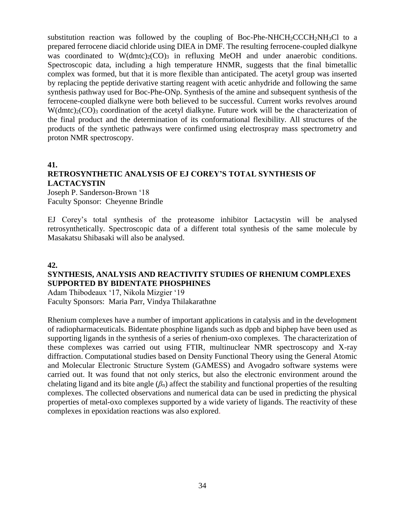substitution reaction was followed by the coupling of Boc-Phe-NHCH<sub>2</sub>CCCH<sub>2</sub>NH<sub>3</sub>Cl to a prepared ferrocene diacid chloride using DIEA in DMF. The resulting ferrocene-coupled dialkyne was coordinated to  $W(dmc)_{2}(CO)_{3}$  in refluxing MeOH and under anaerobic conditions. Spectroscopic data, including a high temperature HNMR, suggests that the final bimetallic complex was formed, but that it is more flexible than anticipated. The acetyl group was inserted by replacing the peptide derivative starting reagent with acetic anhydride and following the same synthesis pathway used for Boc-Phe-ONp. Synthesis of the amine and subsequent synthesis of the ferrocene-coupled dialkyne were both believed to be successful. Current works revolves around  $W(\text{dmtc})_2(\text{CO})_3$  coordination of the acetyl dialkyne. Future work will be the characterization of the final product and the determination of its conformational flexibility. All structures of the products of the synthetic pathways were confirmed using electrospray mass spectrometry and proton NMR spectroscopy.

#### **41.**

### **RETROSYNTHETIC ANALYSIS OF EJ COREY'S TOTAL SYNTHESIS OF LACTACYSTIN**

Joseph P. Sanderson-Brown '18 Faculty Sponsor: Cheyenne Brindle

EJ Corey's total synthesis of the proteasome inhibitor Lactacystin will be analysed retrosynthetically. Spectroscopic data of a different total synthesis of the same molecule by Masakatsu Shibasaki will also be analysed.

#### **42.**

#### **SYNTHESIS, ANALYSIS AND REACTIVITY STUDIES OF RHENIUM COMPLEXES SUPPORTED BY BIDENTATE PHOSPHINES**

Adam Thibodeaux '17, Nikola Mizgier '19 Faculty Sponsors: Maria Parr, Vindya Thilakarathne

Rhenium complexes have a number of important applications in catalysis and in the development of radiopharmaceuticals. Bidentate phosphine ligands such as dppb and biphep have been used as supporting ligands in the synthesis of a series of rhenium-oxo complexes. The characterization of these complexes was carried out using FTIR, multinuclear NMR spectroscopy and X-ray diffraction. Computational studies based on Density Functional Theory using the General Atomic and Molecular Electronic Structure System (GAMESS) and Avogadro software systems were carried out. It was found that not only sterics, but also the electronic environment around the chelating ligand and its bite angle  $(\beta_n)$  affect the stability and functional properties of the resulting complexes. The collected observations and numerical data can be used in predicting the physical properties of metal-oxo complexes supported by a wide variety of ligands. The reactivity of these complexes in epoxidation reactions was also explored.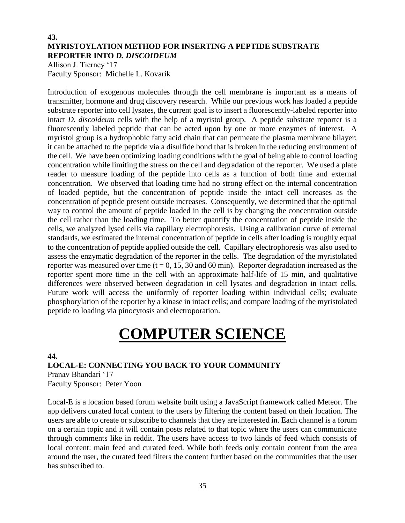#### **43. MYRISTOYLATION METHOD FOR INSERTING A PEPTIDE SUBSTRATE REPORTER INTO** *D. DISCOIDEUM*

Allison J. Tierney '17 Faculty Sponsor: Michelle L. Kovarik

Introduction of exogenous molecules through the cell membrane is important as a means of transmitter, hormone and drug discovery research. While our previous work has loaded a peptide substrate reporter into cell lysates, the current goal is to insert a fluorescently-labeled reporter into intact *D. discoideum* cells with the help of a myristol group. A peptide substrate reporter is a fluorescently labeled peptide that can be acted upon by one or more enzymes of interest. A myristol group is a hydrophobic fatty acid chain that can permeate the plasma membrane bilayer; it can be attached to the peptide via a disulfide bond that is broken in the reducing environment of the cell. We have been optimizing loading conditions with the goal of being able to control loading concentration while limiting the stress on the cell and degradation of the reporter. We used a plate reader to measure loading of the peptide into cells as a function of both time and external concentration. We observed that loading time had no strong effect on the internal concentration of loaded peptide, but the concentration of peptide inside the intact cell increases as the concentration of peptide present outside increases. Consequently, we determined that the optimal way to control the amount of peptide loaded in the cell is by changing the concentration outside the cell rather than the loading time. To better quantify the concentration of peptide inside the cells, we analyzed lysed cells via capillary electrophoresis. Using a calibration curve of external standards, we estimated the internal concentration of peptide in cells after loading is roughly equal to the concentration of peptide applied outside the cell. Capillary electrophoresis was also used to assess the enzymatic degradation of the reporter in the cells. The degradation of the myristolated reporter was measured over time ( $t = 0$ , 15, 30 and 60 min). Reporter degradation increased as the reporter spent more time in the cell with an approximate half-life of 15 min, and qualitative differences were observed between degradation in cell lysates and degradation in intact cells. Future work will access the uniformly of reporter loading within individual cells; evaluate phosphorylation of the reporter by a kinase in intact cells; and compare loading of the myristolated peptide to loading via pinocytosis and electroporation.

# **COMPUTER SCIENCE**

#### **44.**

#### **LOCAL-E: CONNECTING YOU BACK TO YOUR COMMUNITY** Pranav Bhandari '17 Faculty Sponsor: Peter Yoon

Local-E is a location based forum website built using a JavaScript framework called Meteor. The app delivers curated local content to the users by filtering the content based on their location. The users are able to create or subscribe to channels that they are interested in. Each channel is a forum on a certain topic and it will contain posts related to that topic where the users can communicate through comments like in reddit. The users have access to two kinds of feed which consists of local content: main feed and curated feed. While both feeds only contain content from the area around the user, the curated feed filters the content further based on the communities that the user has subscribed to.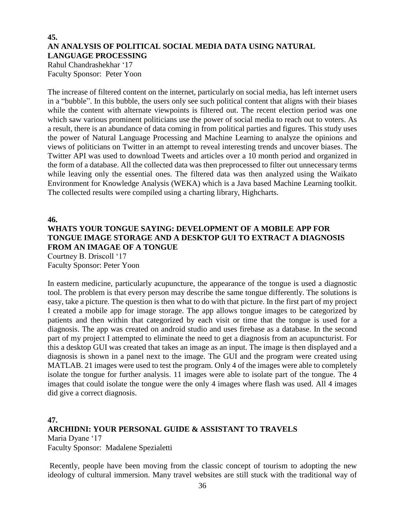# **45. AN ANALYSIS OF POLITICAL SOCIAL MEDIA DATA USING NATURAL LANGUAGE PROCESSING**

Rahul Chandrashekhar '17 Faculty Sponsor: Peter Yoon

The increase of filtered content on the internet, particularly on social media, has left internet users in a "bubble". In this bubble, the users only see such political content that aligns with their biases while the content with alternate viewpoints is filtered out. The recent election period was one which saw various prominent politicians use the power of social media to reach out to voters. As a result, there is an abundance of data coming in from political parties and figures. This study uses the power of Natural Language Processing and Machine Learning to analyze the opinions and views of politicians on Twitter in an attempt to reveal interesting trends and uncover biases. The Twitter API was used to download Tweets and articles over a 10 month period and organized in the form of a database. All the collected data was then preprocessed to filter out unnecessary terms while leaving only the essential ones. The filtered data was then analyzed using the Waikato Environment for Knowledge Analysis (WEKA) which is a Java based Machine Learning toolkit. The collected results were compiled using a charting library, Highcharts.

**46.**

# **WHATS YOUR TONGUE SAYING: DEVELOPMENT OF A MOBILE APP FOR TONGUE IMAGE STORAGE AND A DESKTOP GUI TO EXTRACT A DIAGNOSIS FROM AN IMAGAE OF A TONGUE**

Courtney B. Driscoll '17 Faculty Sponsor: Peter Yoon

In eastern medicine, particularly acupuncture, the appearance of the tongue is used a diagnostic tool. The problem is that every person may describe the same tongue differently. The solutions is easy, take a picture. The question is then what to do with that picture. In the first part of my project I created a mobile app for image storage. The app allows tongue images to be categorized by patients and then within that categorized by each visit or time that the tongue is used for a diagnosis. The app was created on android studio and uses firebase as a database. In the second part of my project I attempted to eliminate the need to get a diagnosis from an acupuncturist. For this a desktop GUI was created that takes an image as an input. The image is then displayed and a diagnosis is shown in a panel next to the image. The GUI and the program were created using MATLAB. 21 images were used to test the program. Only 4 of the images were able to completely isolate the tongue for further analysis. 11 images were able to isolate part of the tongue. The 4 images that could isolate the tongue were the only 4 images where flash was used. All 4 images did give a correct diagnosis.

# **47. ARCHIDNI: YOUR PERSONAL GUIDE & ASSISTANT TO TRAVELS**  Maria Dyane '17 Faculty Sponsor: Madalene Spezialetti

Recently, people have been moving from the classic concept of tourism to adopting the new ideology of cultural immersion. Many travel websites are still stuck with the traditional way of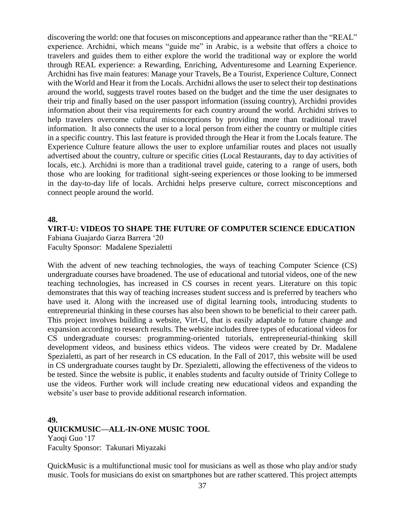discovering the world: one that focuses on misconceptions and appearance rather than the "REAL" experience. Archidni, which means "guide me" in Arabic, is a website that offers a choice to travelers and guides them to either explore the world the traditional way or explore the world through REAL experience: a Rewarding, Enriching, Adventuresome and Learning Experience. Archidni has five main features: Manage your Travels, Be a Tourist, Experience Culture, Connect with the World and Hear it from the Locals. Archidni allows the user to select their top destinations around the world, suggests travel routes based on the budget and the time the user designates to their trip and finally based on the user passport information (issuing country), Archidni provides information about their visa requirements for each country around the world. Archidni strives to help travelers overcome cultural misconceptions by providing more than traditional travel information. It also connects the user to a local person from either the country or multiple cities in a specific country. This last feature is provided through the Hear it from the Locals feature. The Experience Culture feature allows the user to explore unfamiliar routes and places not usually advertised about the country, culture or specific cities (Local Restaurants, day to day activities of locals, etc.). Archidni is more than a traditional travel guide, catering to a range of users, both those who are looking for traditional sight-seeing experiences or those looking to be immersed in the day-to-day life of locals. Archidni helps preserve culture, correct misconceptions and connect people around the world.

#### **48.**

#### **VIRT-U: VIDEOS TO SHAPE THE FUTURE OF COMPUTER SCIENCE EDUCATION** Fabiana Guajardo Garza Barrera '20 Faculty Sponsor: Madalene Spezialetti

With the advent of new teaching technologies, the ways of teaching Computer Science (CS) undergraduate courses have broadened. The use of educational and tutorial videos, one of the new teaching technologies, has increased in CS courses in recent years. Literature on this topic demonstrates that this way of teaching increases student success and is preferred by teachers who have used it. Along with the increased use of digital learning tools, introducing students to entrepreneurial thinking in these courses has also been shown to be beneficial to their career path. This project involves building a website, Virt-U, that is easily adaptable to future change and expansion according to research results. The website includes three types of educational videos for CS undergraduate courses: programming-oriented tutorials, entrepreneurial-thinking skill development videos, and business ethics videos. The videos were created by Dr. Madalene Spezialetti, as part of her research in CS education. In the Fall of 2017, this website will be used in CS undergraduate courses taught by Dr. Spezialetti, allowing the effectiveness of the videos to be tested. Since the website is public, it enables students and faculty outside of Trinity College to use the videos. Further work will include creating new educational videos and expanding the website's user base to provide additional research information.

# **49. QUICKMUSIC—ALL-IN-ONE MUSIC TOOL** Yaoqi Guo '17 Faculty Sponsor: Takunari Miyazaki

QuickMusic is a multifunctional music tool for musicians as well as those who play and/or study music. Tools for musicians do exist on smartphones but are rather scattered. This project attempts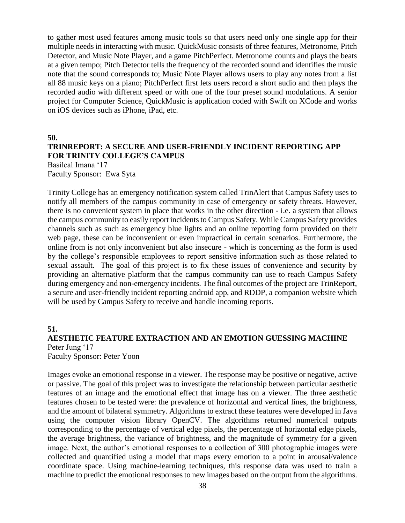to gather most used features among music tools so that users need only one single app for their multiple needs in interacting with music. QuickMusic consists of three features, Metronome, Pitch Detector, and Music Note Player, and a game PitchPerfect. Metronome counts and plays the beats at a given tempo; Pitch Detector tells the frequency of the recorded sound and identifies the music note that the sound corresponds to; Music Note Player allows users to play any notes from a list all 88 music keys on a piano; PitchPerfect first lets users record a short audio and then plays the recorded audio with different speed or with one of the four preset sound modulations. A senior project for Computer Science, QuickMusic is application coded with Swift on XCode and works on iOS devices such as iPhone, iPad, etc.

**50.**

# **TRINREPORT: A SECURE AND USER-FRIENDLY INCIDENT REPORTING APP FOR TRINITY COLLEGE'S CAMPUS**

Basileal Imana '17 Faculty Sponsor: Ewa Syta

Trinity College has an emergency notification system called TrinAlert that Campus Safety uses to notify all members of the campus community in case of emergency or safety threats. However, there is no convenient system in place that works in the other direction - i.e. a system that allows the campus community to easily report incidents to Campus Safety. While Campus Safety provides channels such as such as emergency blue lights and an online reporting form provided on their web page, these can be inconvenient or even impractical in certain scenarios. Furthermore, the online from is not only inconvenient but also insecure - which is concerning as the form is used by the college's responsible employees to report sensitive information such as those related to sexual assault. The goal of this project is to fix these issues of convenience and security by providing an alternative platform that the campus community can use to reach Campus Safety during emergency and non-emergency incidents. The final outcomes of the project are TrinReport, a secure and user-friendly incident reporting android app, and RDDP, a companion website which will be used by Campus Safety to receive and handle incoming reports.

#### **51.**

## **AESTHETIC FEATURE EXTRACTION AND AN EMOTION GUESSING MACHINE** Peter Jung '17

Faculty Sponsor: Peter Yoon

Images evoke an emotional response in a viewer. The response may be positive or negative, active or passive. The goal of this project was to investigate the relationship between particular aesthetic features of an image and the emotional effect that image has on a viewer. The three aesthetic features chosen to be tested were: the prevalence of horizontal and vertical lines, the brightness, and the amount of bilateral symmetry. Algorithms to extract these features were developed in Java using the computer vision library OpenCV. The algorithms returned numerical outputs corresponding to the percentage of vertical edge pixels, the percentage of horizontal edge pixels, the average brightness, the variance of brightness, and the magnitude of symmetry for a given image. Next, the author's emotional responses to a collection of 300 photographic images were collected and quantified using a model that maps every emotion to a point in arousal/valence coordinate space. Using machine-learning techniques, this response data was used to train a machine to predict the emotional responses to new images based on the output from the algorithms.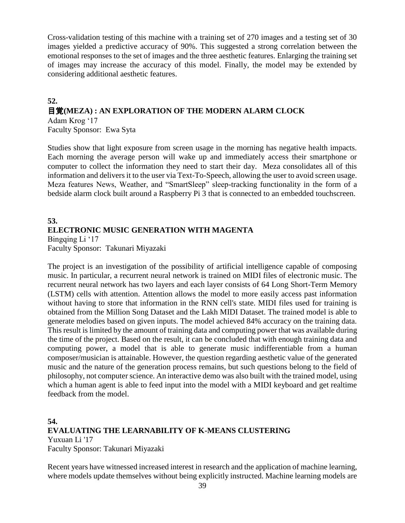Cross-validation testing of this machine with a training set of 270 images and a testing set of 30 images yielded a predictive accuracy of 90%. This suggested a strong correlation between the emotional responses to the set of images and the three aesthetic features. Enlarging the training set of images may increase the accuracy of this model. Finally, the model may be extended by considering additional aesthetic features.

#### **52.** 目覚**(MEZA) : AN EXPLORATION OF THE MODERN ALARM CLOCK** Adam Krog '17

Faculty Sponsor: Ewa Syta

Studies show that light exposure from screen usage in the morning has negative health impacts. Each morning the average person will wake up and immediately access their smartphone or computer to collect the information they need to start their day. Meza consolidates all of this information and delivers it to the user via Text-To-Speech, allowing the user to avoid screen usage. Meza features News, Weather, and "SmartSleep" sleep-tracking functionality in the form of a bedside alarm clock built around a Raspberry Pi 3 that is connected to an embedded touchscreen.

# **53. ELECTRONIC MUSIC GENERATION WITH MAGENTA** Bingqing Li '17

Faculty Sponsor: Takunari Miyazaki

The project is an investigation of the possibility of artificial intelligence capable of composing music. In particular, a recurrent neural network is trained on MIDI files of electronic music. The recurrent neural network has two layers and each layer consists of 64 Long Short-Term Memory (LSTM) cells with attention. Attention allows the model to more easily access past information without having to store that information in the RNN cell's state. MIDI files used for training is obtained from the Million Song Dataset and the Lakh MIDI Dataset. The trained model is able to generate melodies based on given inputs. The model achieved 84% accuracy on the training data. This result is limited by the amount of training data and computing power that was available during the time of the project. Based on the result, it can be concluded that with enough training data and computing power, a model that is able to generate music indifferentiable from a human composer/musician is attainable. However, the question regarding aesthetic value of the generated music and the nature of the generation process remains, but such questions belong to the field of philosophy, not computer science. An interactive demo was also built with the trained model, using which a human agent is able to feed input into the model with a MIDI keyboard and get realtime feedback from the model.

# **54. EVALUATING THE LEARNABILITY OF K-MEANS CLUSTERING** Yuxuan Li '17 Faculty Sponsor: Takunari Miyazaki

Recent years have witnessed increased interest in research and the application of machine learning, where models update themselves without being explicitly instructed. Machine learning models are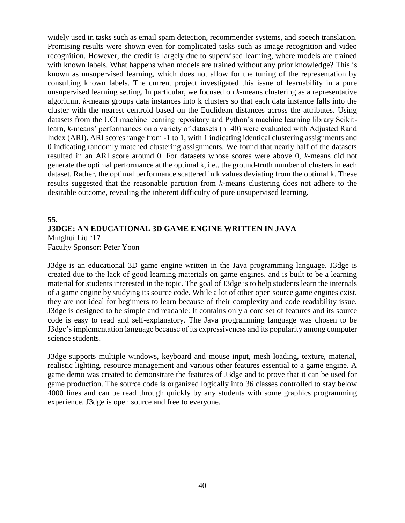widely used in tasks such as email spam detection, recommender systems, and speech translation. Promising results were shown even for complicated tasks such as image recognition and video recognition. However, the credit is largely due to supervised learning, where models are trained with known labels. What happens when models are trained without any prior knowledge? This is known as unsupervised learning, which does not allow for the tuning of the representation by consulting known labels. The current project investigated this issue of learnability in a pure unsupervised learning setting. In particular, we focused on *k*-means clustering as a representative algorithm. *k*-means groups data instances into k clusters so that each data instance falls into the cluster with the nearest centroid based on the Euclidean distances across the attributes. Using datasets from the UCI machine learning repository and Python's machine learning library Scikitlearn, *k*-means' performances on a variety of datasets (n=40) were evaluated with Adjusted Rand Index (ARI). ARI scores range from -1 to 1, with 1 indicating identical clustering assignments and 0 indicating randomly matched clustering assignments. We found that nearly half of the datasets resulted in an ARI score around 0. For datasets whose scores were above 0, *k*-means did not generate the optimal performance at the optimal k, i.e., the ground-truth number of clusters in each dataset. Rather, the optimal performance scattered in k values deviating from the optimal k. These results suggested that the reasonable partition from *k*-means clustering does not adhere to the desirable outcome, revealing the inherent difficulty of pure unsupervised learning.

# **55. J3DGE: AN EDUCATIONAL 3D GAME ENGINE WRITTEN IN JAVA** Minghui Liu '17 Faculty Sponsor: Peter Yoon

J3dge is an educational 3D game engine written in the Java programming language. J3dge is created due to the lack of good learning materials on game engines, and is built to be a learning material for students interested in the topic. The goal of J3dge is to help students learn the internals of a game engine by studying its source code. While a lot of other open source game engines exist, they are not ideal for beginners to learn because of their complexity and code readability issue. J3dge is designed to be simple and readable: It contains only a core set of features and its source code is easy to read and self-explanatory. The Java programming language was chosen to be J3dge's implementation language because of its expressiveness and its popularity among computer science students.

J3dge supports multiple windows, keyboard and mouse input, mesh loading, texture, material, realistic lighting, resource management and various other features essential to a game engine. A game demo was created to demonstrate the features of J3dge and to prove that it can be used for game production. The source code is organized logically into 36 classes controlled to stay below 4000 lines and can be read through quickly by any students with some graphics programming experience. J3dge is open source and free to everyone.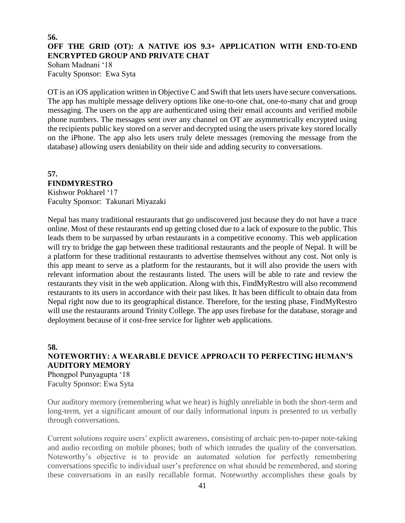## **56. OFF THE GRID (OT): A NATIVE iOS 9.3+ APPLICATION WITH END-TO-END ENCRYPTED GROUP AND PRIVATE CHAT**

Soham Madnani '18 Faculty Sponsor: Ewa Syta

OT is an iOS application written in Objective C and Swift that lets users have secure conversations. The app has multiple message delivery options like one-to-one chat, one-to-many chat and group messaging. The users on the app are authenticated using their email accounts and verified mobile phone numbers. The messages sent over any channel on OT are asymmetrically encrypted using the recipients public key stored on a server and decrypted using the users private key stored locally on the iPhone. The app also lets users truly delete messages (removing the message from the database) allowing users deniability on their side and adding security to conversations.

# **57. FINDMYRESTRO**

Kishwor Pokharel '17 Faculty Sponsor: Takunari Miyazaki

Nepal has many traditional restaurants that go undiscovered just because they do not have a trace online. Most of these restaurants end up getting closed due to a lack of exposure to the public. This leads them to be surpassed by urban restaurants in a competitive economy. This web application will try to bridge the gap between these traditional restaurants and the people of Nepal. It will be a platform for these traditional restaurants to advertise themselves without any cost. Not only is this app meant to serve as a platform for the restaurants, but it will also provide the users with relevant information about the restaurants listed. The users will be able to rate and review the restaurants they visit in the web application. Along with this, FindMyRestro will also recommend restaurants to its users in accordance with their past likes. It has been difficult to obtain data from Nepal right now due to its geographical distance. Therefore, for the testing phase, FindMyRestro will use the restaurants around Trinity College. The app uses firebase for the database, storage and deployment because of it cost-free service for lighter web applications.

# **58.**

**NOTEWORTHY: A WEARABLE DEVICE APPROACH TO PERFECTING HUMAN'S AUDITORY MEMORY** Phongpol Punyagupta '18

Faculty Sponsor: Ewa Syta

Our auditory memory (remembering what we hear) is highly unreliable in both the short-term and long-term, yet a significant amount of our daily informational inputs is presented to us verbally through conversations.

Current solutions require users' explicit awareness, consisting of archaic pen-to-paper note-taking and audio recording on mobile phones; both of which intrudes the quality of the conversation. Noteworthy's objective is to provide an automated solution for perfectly remembering conversations specific to individual user's preference on what should be remembered, and storing these conversations in an easily recallable format. Noteworthy accomplishes these goals by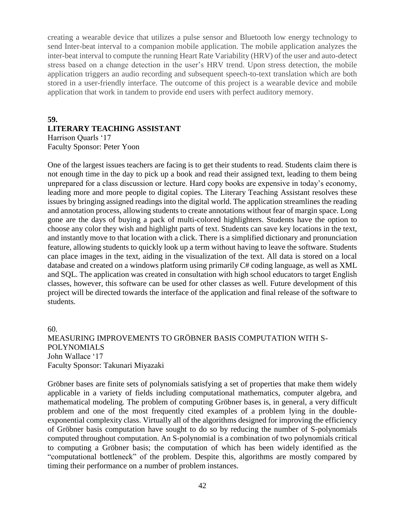creating a wearable device that utilizes a pulse sensor and Bluetooth low energy technology to send Inter-beat interval to a companion mobile application. The mobile application analyzes the inter-beat interval to compute the running Heart Rate Variability (HRV) of the user and auto-detect stress based on a change detection in the user's HRV trend. Upon stress detection, the mobile application triggers an audio recording and subsequent speech-to-text translation which are both stored in a user-friendly interface. The outcome of this project is a wearable device and mobile application that work in tandem to provide end users with perfect auditory memory.

#### **59.**

# **LITERARY TEACHING ASSISTANT**

Harrison Quarls '17 Faculty Sponsor: Peter Yoon

One of the largest issues teachers are facing is to get their students to read. Students claim there is not enough time in the day to pick up a book and read their assigned text, leading to them being unprepared for a class discussion or lecture. Hard copy books are expensive in today's economy, leading more and more people to digital copies. The Literary Teaching Assistant resolves these issues by bringing assigned readings into the digital world. The application streamlines the reading and annotation process, allowing students to create annotations without fear of margin space. Long gone are the days of buying a pack of multi-colored highlighters. Students have the option to choose any color they wish and highlight parts of text. Students can save key locations in the text, and instantly move to that location with a click. There is a simplified dictionary and pronunciation feature, allowing students to quickly look up a term without having to leave the software. Students can place images in the text, aiding in the visualization of the text. All data is stored on a local database and created on a windows platform using primarily C# coding language, as well as XML and SQL. The application was created in consultation with high school educators to target English classes, however, this software can be used for other classes as well. Future development of this project will be directed towards the interface of the application and final release of the software to students.

60. MEASURING IMPROVEMENTS TO GRÖBNER BASIS COMPUTATION WITH S-POLYNOMIALS John Wallace '17 Faculty Sponsor: Takunari Miyazaki

Gröbner bases are finite sets of polynomials satisfying a set of properties that make them widely applicable in a variety of fields including computational mathematics, computer algebra, and mathematical modeling. The problem of computing Gröbner bases is, in general, a very difficult problem and one of the most frequently cited examples of a problem lying in the doubleexponential complexity class. Virtually all of the algorithms designed for improving the efficiency of Gröbner basis computation have sought to do so by reducing the number of S-polynomials computed throughout computation. An S-polynomial is a combination of two polynomials critical to computing a Gröbner basis; the computation of which has been widely identified as the "computational bottleneck" of the problem. Despite this, algorithms are mostly compared by timing their performance on a number of problem instances.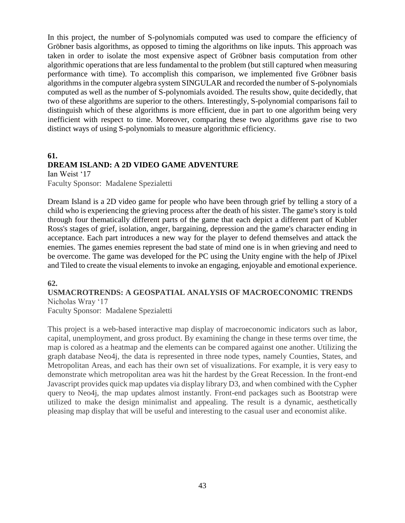In this project, the number of S-polynomials computed was used to compare the efficiency of Gröbner basis algorithms, as opposed to timing the algorithms on like inputs. This approach was taken in order to isolate the most expensive aspect of Gröbner basis computation from other algorithmic operations that are less fundamental to the problem (but still captured when measuring performance with time). To accomplish this comparison, we implemented five Gröbner basis algorithms in the computer algebra system SINGULAR and recorded the number of S-polynomials computed as well as the number of S-polynomials avoided. The results show, quite decidedly, that two of these algorithms are superior to the others. Interestingly, S-polynomial comparisons fail to distinguish which of these algorithms is more efficient, due in part to one algorithm being very inefficient with respect to time. Moreover, comparing these two algorithms gave rise to two distinct ways of using S-polynomials to measure algorithmic efficiency.

#### **61. DREAM ISLAND: A 2D VIDEO GAME ADVENTURE** Ian Weist '17

Faculty Sponsor: Madalene Spezialetti

Dream Island is a 2D video game for people who have been through grief by telling a story of a child who is experiencing the grieving process after the death of his sister. The game's story is told through four thematically different parts of the game that each depict a different part of Kubler Ross's stages of grief, isolation, anger, bargaining, depression and the game's character ending in acceptance. Each part introduces a new way for the player to defend themselves and attack the enemies. The games enemies represent the bad state of mind one is in when grieving and need to be overcome. The game was developed for the PC using the Unity engine with the help of JPixel and Tiled to create the visual elements to invoke an engaging, enjoyable and emotional experience.

# **62.**

# **USMACROTRENDS: A GEOSPATIAL ANALYSIS OF MACROECONOMIC TRENDS** Nicholas Wray '17

Faculty Sponsor: Madalene Spezialetti

This project is a web-based interactive map display of macroeconomic indicators such as labor, capital, unemployment, and gross product. By examining the change in these terms over time, the map is colored as a heatmap and the elements can be compared against one another. Utilizing the graph database Neo4j, the data is represented in three node types, namely Counties, States, and Metropolitan Areas, and each has their own set of visualizations. For example, it is very easy to demonstrate which metropolitan area was hit the hardest by the Great Recession. In the front-end Javascript provides quick map updates via display library D3, and when combined with the Cypher query to Neo4j, the map updates almost instantly. Front-end packages such as Bootstrap were utilized to make the design minimalist and appealing. The result is a dynamic, aesthetically pleasing map display that will be useful and interesting to the casual user and economist alike.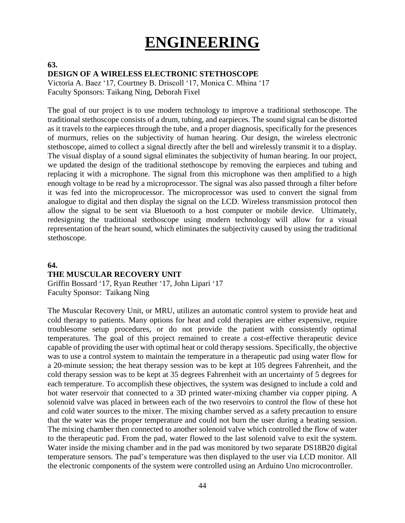# **ENGINEERING**

# **DESIGN OF A WIRELESS ELECTRONIC STETHOSCOPE**

Victoria A. Baez '17, Courtney B. Driscoll '17, Monica C. Mhina '17 Faculty Sponsors: Taikang Ning, Deborah Fixel

The goal of our project is to use modern technology to improve a traditional stethoscope. The traditional stethoscope consists of a drum, tubing, and earpieces. The sound signal can be distorted as it travels to the earpieces through the tube, and a proper diagnosis, specifically for the presences of murmurs, relies on the subjectivity of human hearing. Our design, the wireless electronic stethoscope, aimed to collect a signal directly after the bell and wirelessly transmit it to a display. The visual display of a sound signal eliminates the subjectivity of human hearing. In our project, we updated the design of the traditional stethoscope by removing the earpieces and tubing and replacing it with a microphone. The signal from this microphone was then amplified to a high enough voltage to be read by a microprocessor. The signal was also passed through a filter before it was fed into the microprocessor. The microprocessor was used to convert the signal from analogue to digital and then display the signal on the LCD. Wireless transmission protocol then allow the signal to be sent via Bluetooth to a host computer or mobile device. Ultimately, redesigning the traditional stethoscope using modern technology will allow for a visual representation of the heart sound, which eliminates the subjectivity caused by using the traditional stethoscope.

## **64.**

**63.**

#### **THE MUSCULAR RECOVERY UNIT**

Griffin Bossard '17, Ryan Reuther '17, John Lipari '17 Faculty Sponsor: Taikang Ning

The Muscular Recovery Unit, or MRU, utilizes an automatic control system to provide heat and cold therapy to patients. Many options for heat and cold therapies are either expensive, require troublesome setup procedures, or do not provide the patient with consistently optimal temperatures. The goal of this project remained to create a cost-effective therapeutic device capable of providing the user with optimal heat or cold therapy sessions. Specifically, the objective was to use a control system to maintain the temperature in a therapeutic pad using water flow for a 20-minute session; the heat therapy session was to be kept at 105 degrees Fahrenheit, and the cold therapy session was to be kept at 35 degrees Fahrenheit with an uncertainty of 5 degrees for each temperature. To accomplish these objectives, the system was designed to include a cold and hot water reservoir that connected to a 3D printed water-mixing chamber via copper piping. A solenoid valve was placed in between each of the two reservoirs to control the flow of these hot and cold water sources to the mixer. The mixing chamber served as a safety precaution to ensure that the water was the proper temperature and could not burn the user during a heating session. The mixing chamber then connected to another solenoid valve which controlled the flow of water to the therapeutic pad. From the pad, water flowed to the last solenoid valve to exit the system. Water inside the mixing chamber and in the pad was monitored by two separate DS18B20 digital temperature sensors. The pad's temperature was then displayed to the user via LCD monitor. All the electronic components of the system were controlled using an Arduino Uno microcontroller.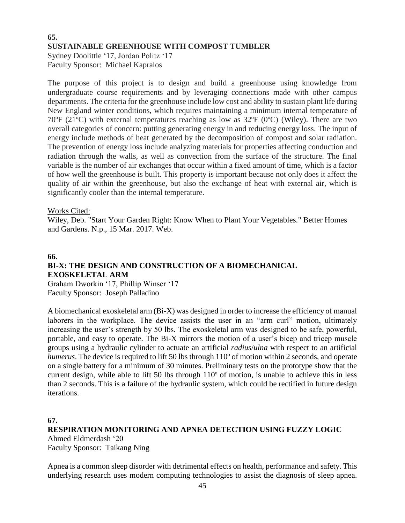# **65. SUSTAINABLE GREENHOUSE WITH COMPOST TUMBLER**

Sydney Doolittle '17, Jordan Politz '17 Faculty Sponsor: Michael Kapralos

The purpose of this project is to design and build a greenhouse using knowledge from undergraduate course requirements and by leveraging connections made with other campus departments. The criteria for the greenhouse include low cost and ability to sustain plant life during New England winter conditions, which requires maintaining a minimum internal temperature of 70ºF (21ºC) with external temperatures reaching as low as 32ºF (0ºC) (Wiley). There are two overall categories of concern: putting generating energy in and reducing energy loss. The input of energy include methods of heat generated by the decomposition of compost and solar radiation. The prevention of energy loss include analyzing materials for properties affecting conduction and radiation through the walls, as well as convection from the surface of the structure. The final variable is the number of air exchanges that occur within a fixed amount of time, which is a factor of how well the greenhouse is built. This property is important because not only does it affect the quality of air within the greenhouse, but also the exchange of heat with external air, which is significantly cooler than the internal temperature.

## Works Cited:

Wiley, Deb. "Start Your Garden Right: Know When to Plant Your Vegetables." Better Homes and Gardens. N.p., 15 Mar. 2017. Web.

# **66. BI-X: THE DESIGN AND CONSTRUCTION OF A BIOMECHANICAL EXOSKELETAL ARM**

Graham Dworkin '17, Phillip Winser '17 Faculty Sponsor: Joseph Palladino

A biomechanical exoskeletal arm (Bi-X) was designed in order to increase the efficiency of manual laborers in the workplace. The device assists the user in an "arm curl" motion, ultimately increasing the user's strength by 50 lbs. The exoskeletal arm was designed to be safe, powerful, portable, and easy to operate. The Bi-X mirrors the motion of a user's bicep and tricep muscle groups using a hydraulic cylinder to actuate an artificial *radius*/*ulna* with respect to an artificial *humerus*. The device is required to lift 50 lbs through 110<sup>°</sup> of motion within 2 seconds, and operate on a single battery for a minimum of 30 minutes. Preliminary tests on the prototype show that the current design, while able to lift 50 lbs through 110º of motion, is unable to achieve this in less than 2 seconds. This is a failure of the hydraulic system, which could be rectified in future design iterations.

#### **67.**

**RESPIRATION MONITORING AND APNEA DETECTION USING FUZZY LOGIC** Ahmed Eldmerdash '20 Faculty Sponsor: Taikang Ning

Apnea is a common sleep disorder with detrimental effects on health, performance and safety. This underlying research uses modern computing technologies to assist the diagnosis of sleep apnea.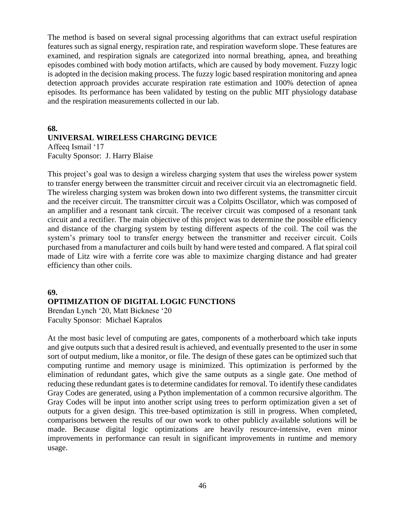The method is based on several signal processing algorithms that can extract useful respiration features such as signal energy, respiration rate, and respiration waveform slope. These features are examined, and respiration signals are categorized into normal breathing, apnea, and breathing episodes combined with body motion artifacts, which are caused by body movement. Fuzzy logic is adopted in the decision making process. The fuzzy logic based respiration monitoring and apnea detection approach provides accurate respiration rate estimation and 100% detection of apnea episodes. Its performance has been validated by testing on the public MIT physiology database and the respiration measurements collected in our lab.

## **68. UNIVERSAL WIRELESS CHARGING DEVICE**

Affeeq Ismail '17 Faculty Sponsor: J. Harry Blaise

This project's goal was to design a wireless charging system that uses the wireless power system to transfer energy between the transmitter circuit and receiver circuit via an electromagnetic field. The wireless charging system was broken down into two different systems, the transmitter circuit and the receiver circuit. The transmitter circuit was a Colpitts Oscillator, which was composed of an amplifier and a resonant tank circuit. The receiver circuit was composed of a resonant tank circuit and a rectifier. The main objective of this project was to determine the possible efficiency and distance of the charging system by testing different aspects of the coil. The coil was the system's primary tool to transfer energy between the transmitter and receiver circuit. Coils purchased from a manufacturer and coils built by hand were tested and compared. A flat spiral coil made of Litz wire with a ferrite core was able to maximize charging distance and had greater efficiency than other coils.

# **69. OPTIMIZATION OF DIGITAL LOGIC FUNCTIONS**

Brendan Lynch '20, Matt Bicknese '20 Faculty Sponsor: Michael Kapralos

At the most basic level of computing are gates, components of a motherboard which take inputs and give outputs such that a desired result is achieved, and eventually presented to the user in some sort of output medium, like a monitor, or file. The design of these gates can be optimized such that computing runtime and memory usage is minimized. This optimization is performed by the elimination of redundant gates, which give the same outputs as a single gate. One method of reducing these redundant gates is to determine candidates for removal. To identify these candidates Gray Codes are generated, using a Python implementation of a common recursive algorithm. The Gray Codes will be input into another script using trees to perform optimization given a set of outputs for a given design. This tree-based optimization is still in progress. When completed, comparisons between the results of our own work to other publicly available solutions will be made. Because digital logic optimizations are heavily resource-intensive, even minor improvements in performance can result in significant improvements in runtime and memory usage.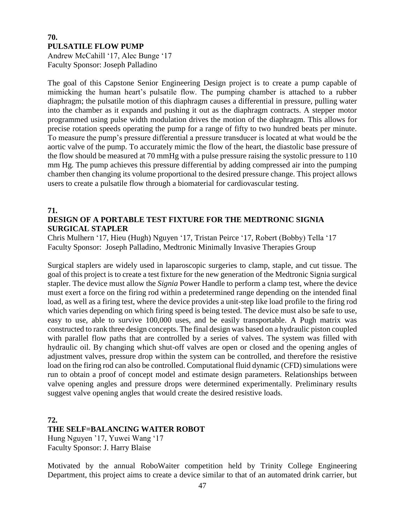# **70. PULSATILE FLOW PUMP**

Andrew McCahill '17, Alec Bunge '17 Faculty Sponsor: Joseph Palladino

The goal of this Capstone Senior Engineering Design project is to create a pump capable of mimicking the human heart's pulsatile flow. The pumping chamber is attached to a rubber diaphragm; the pulsatile motion of this diaphragm causes a differential in pressure, pulling water into the chamber as it expands and pushing it out as the diaphragm contracts. A stepper motor programmed using pulse width modulation drives the motion of the diaphragm. This allows for precise rotation speeds operating the pump for a range of fifty to two hundred beats per minute. To measure the pump's pressure differential a pressure transducer is located at what would be the aortic valve of the pump. To accurately mimic the flow of the heart, the diastolic base pressure of the flow should be measured at 70 mmHg with a pulse pressure raising the systolic pressure to 110 mm Hg. The pump achieves this pressure differential by adding compressed air into the pumping chamber then changing its volume proportional to the desired pressure change. This project allows users to create a pulsatile flow through a biomaterial for cardiovascular testing.

#### **71.**

# **DESIGN OF A PORTABLE TEST FIXTURE FOR THE MEDTRONIC SIGNIA SURGICAL STAPLER**

Chris Mulhern '17, Hieu (Hugh) Nguyen '17, Tristan Peirce '17, Robert (Bobby) Tella '17 Faculty Sponsor: Joseph Palladino, Medtronic Minimally Invasive Therapies Group

Surgical staplers are widely used in laparoscopic surgeries to clamp, staple, and cut tissue. The goal of this project is to create a test fixture for the new generation of the Medtronic Signia surgical stapler. The device must allow the *Signia* Power Handle to perform a clamp test, where the device must exert a force on the firing rod within a predetermined range depending on the intended final load, as well as a firing test, where the device provides a unit-step like load profile to the firing rod which varies depending on which firing speed is being tested. The device must also be safe to use, easy to use, able to survive 100,000 uses, and be easily transportable. A Pugh matrix was constructed to rank three design concepts. The final design was based on a hydraulic piston coupled with parallel flow paths that are controlled by a series of valves. The system was filled with hydraulic oil. By changing which shut-off valves are open or closed and the opening angles of adjustment valves, pressure drop within the system can be controlled, and therefore the resistive load on the firing rod can also be controlled. Computational fluid dynamic (CFD) simulations were run to obtain a proof of concept model and estimate design parameters. Relationships between valve opening angles and pressure drops were determined experimentally. Preliminary results suggest valve opening angles that would create the desired resistive loads.

## **72. THE SELF=BALANCING WAITER ROBOT** Hung Nguyen '17, Yuwei Wang '17

Faculty Sponsor: J. Harry Blaise

Motivated by the annual RoboWaiter competition held by Trinity College Engineering Department, this project aims to create a device similar to that of an automated drink carrier, but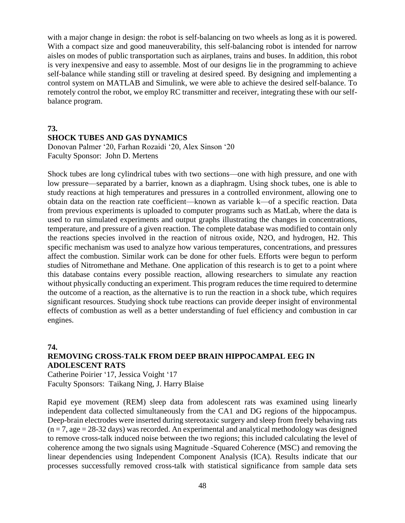with a major change in design: the robot is self-balancing on two wheels as long as it is powered. With a compact size and good maneuverability, this self-balancing robot is intended for narrow aisles on modes of public transportation such as airplanes, trains and buses. In addition, this robot is very inexpensive and easy to assemble. Most of our designs lie in the programming to achieve self-balance while standing still or traveling at desired speed. By designing and implementing a control system on MATLAB and Simulink, we were able to achieve the desired self-balance. To remotely control the robot, we employ RC transmitter and receiver, integrating these with our selfbalance program.

## **73. SHOCK TUBES AND GAS DYNAMICS**

Donovan Palmer '20, Farhan Rozaidi '20, Alex Sinson '20 Faculty Sponsor: John D. Mertens

Shock tubes are long cylindrical tubes with two sections—one with high pressure, and one with low pressure—separated by a barrier, known as a diaphragm. Using shock tubes, one is able to study reactions at high temperatures and pressures in a controlled environment, allowing one to obtain data on the reaction rate coefficient—known as variable k—of a specific reaction. Data from previous experiments is uploaded to computer programs such as MatLab, where the data is used to run simulated experiments and output graphs illustrating the changes in concentrations, temperature, and pressure of a given reaction. The complete database was modified to contain only the reactions species involved in the reaction of nitrous oxide, N2O, and hydrogen, H2. This specific mechanism was used to analyze how various temperatures, concentrations, and pressures affect the combustion. Similar work can be done for other fuels. Efforts were begun to perform studies of Nitromethane and Methane. One application of this research is to get to a point where this database contains every possible reaction, allowing researchers to simulate any reaction without physically conducting an experiment. This program reduces the time required to determine the outcome of a reaction, as the alternative is to run the reaction in a shock tube, which requires significant resources. Studying shock tube reactions can provide deeper insight of environmental effects of combustion as well as a better understanding of fuel efficiency and combustion in car engines.

#### **74.**

# **REMOVING CROSS-TALK FROM DEEP BRAIN HIPPOCAMPAL EEG IN ADOLESCENT RATS**

Catherine Poirier '17, Jessica Voight '17 Faculty Sponsors: Taikang Ning, J. Harry Blaise

Rapid eye movement (REM) sleep data from adolescent rats was examined using linearly independent data collected simultaneously from the CA1 and DG regions of the hippocampus. Deep-brain electrodes were inserted during stereotaxic surgery and sleep from freely behaving rats  $(n = 7, age = 28-32 \text{ days})$  was recorded. An experimental and analytical methodology was designed to remove cross-talk induced noise between the two regions; this included calculating the level of coherence among the two signals using Magnitude -Squared Coherence (MSC) and removing the linear dependencies using Independent Component Analysis (ICA). Results indicate that our processes successfully removed cross-talk with statistical significance from sample data sets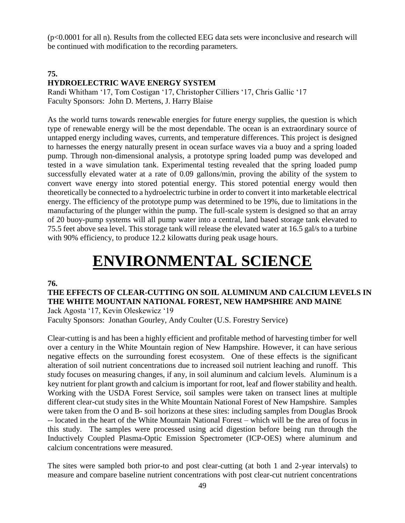(p<0.0001 for all n). Results from the collected EEG data sets were inconclusive and research will be continued with modification to the recording parameters.

# **75. HYDROELECTRIC WAVE ENERGY SYSTEM**

Randi Whitham '17, Tom Costigan '17, Christopher Cilliers '17, Chris Gallic '17 Faculty Sponsors: John D. Mertens, J. Harry Blaise

As the world turns towards renewable energies for future energy supplies, the question is which type of renewable energy will be the most dependable. The ocean is an extraordinary source of untapped energy including waves, currents, and temperature differences. This project is designed to harnesses the energy naturally present in ocean surface waves via a buoy and a spring loaded pump. Through non-dimensional analysis, a prototype spring loaded pump was developed and tested in a wave simulation tank. Experimental testing revealed that the spring loaded pump successfully elevated water at a rate of 0.09 gallons/min, proving the ability of the system to convert wave energy into stored potential energy. This stored potential energy would then theoretically be connected to a hydroelectric turbine in order to convert it into marketable electrical energy. The efficiency of the prototype pump was determined to be 19%, due to limitations in the manufacturing of the plunger within the pump. The full-scale system is designed so that an array of 20 buoy-pump systems will all pump water into a central, land based storage tank elevated to 75.5 feet above sea level. This storage tank will release the elevated water at 16.5 gal/s to a turbine with 90% efficiency, to produce 12.2 kilowatts during peak usage hours.

# **ENVIRONMENTAL SCIENCE**

#### **76.**

**THE EFFECTS OF CLEAR-CUTTING ON SOIL ALUMINUM AND CALCIUM LEVELS IN THE WHITE MOUNTAIN NATIONAL FOREST, NEW HAMPSHIRE AND MAINE**

Jack Agosta '17, Kevin Oleskewicz '19

Faculty Sponsors: Jonathan Gourley, Andy Coulter (U.S. Forestry Service)

Clear-cutting is and has been a highly efficient and profitable method of harvesting timber for well over a century in the White Mountain region of New Hampshire. However, it can have serious negative effects on the surrounding forest ecosystem. One of these effects is the significant alteration of soil nutrient concentrations due to increased soil nutrient leaching and runoff. This study focuses on measuring changes, if any, in soil aluminum and calcium levels. Aluminum is a key nutrient for plant growth and calcium is important for root, leaf and flower stability and health. Working with the USDA Forest Service, soil samples were taken on transect lines at multiple different clear-cut study sites in the White Mountain National Forest of New Hampshire. Samples were taken from the O and B- soil horizons at these sites: including samples from Douglas Brook -- located in the heart of the White Mountain National Forest – which will be the area of focus in this study. The samples were processed using acid digestion before being run through the Inductively Coupled Plasma-Optic Emission Spectrometer (ICP-OES) where aluminum and calcium concentrations were measured.

The sites were sampled both prior-to and post clear-cutting (at both 1 and 2-year intervals) to measure and compare baseline nutrient concentrations with post clear-cut nutrient concentrations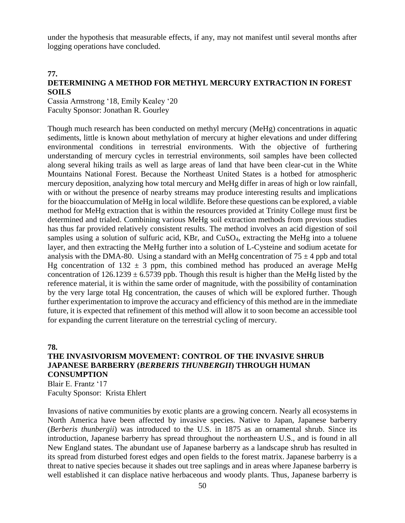under the hypothesis that measurable effects, if any, may not manifest until several months after logging operations have concluded.

#### **77.**

#### **DETERMINING A METHOD FOR METHYL MERCURY EXTRACTION IN FOREST SOILS**

Cassia Armstrong '18, Emily Kealey '20 Faculty Sponsor: Jonathan R. Gourley

Though much research has been conducted on methyl mercury (MeHg) concentrations in aquatic sediments, little is known about methylation of mercury at higher elevations and under differing environmental conditions in terrestrial environments. With the objective of furthering understanding of mercury cycles in terrestrial environments, soil samples have been collected along several hiking trails as well as large areas of land that have been clear-cut in the White Mountains National Forest. Because the Northeast United States is a hotbed for atmospheric mercury deposition, analyzing how total mercury and MeHg differ in areas of high or low rainfall, with or without the presence of nearby streams may produce interesting results and implications for the bioaccumulation of MeHg in local wildlife. Before these questions can be explored, a viable method for MeHg extraction that is within the resources provided at Trinity College must first be determined and trialed. Combining various MeHg soil extraction methods from previous studies has thus far provided relatively consistent results. The method involves an acid digestion of soil samples using a solution of sulfuric acid,  $KBr$ , and  $CuSO<sub>4</sub>$ , extracting the MeHg into a toluene layer, and then extracting the MeHg further into a solution of L-Cysteine and sodium acetate for analysis with the DMA-80. Using a standard with an MeHg concentration of  $75 \pm 4$  ppb and total Hg concentration of  $132 \pm 3$  ppm, this combined method has produced an average MeHg concentration of  $126.1239 \pm 6.5739$  ppb. Though this result is higher than the MeHg listed by the reference material, it is within the same order of magnitude, with the possibility of contamination by the very large total Hg concentration, the causes of which will be explored further. Though further experimentation to improve the accuracy and efficiency of this method are in the immediate future, it is expected that refinement of this method will allow it to soon become an accessible tool for expanding the current literature on the terrestrial cycling of mercury.

#### **78.**

# **THE INVASIVORISM MOVEMENT: CONTROL OF THE INVASIVE SHRUB JAPANESE BARBERRY (***BERBERIS THUNBERGII***) THROUGH HUMAN CONSUMPTION**

Blair E. Frantz '17 Faculty Sponsor: Krista Ehlert

Invasions of native communities by exotic plants are a growing concern. Nearly all ecosystems in North America have been affected by invasive species. Native to Japan, Japanese barberry (*Berberis thunbergii*) was introduced to the U.S. in 1875 as an ornamental shrub. Since its introduction, Japanese barberry has spread throughout the northeastern U.S., and is found in all New England states. The abundant use of Japanese barberry as a landscape shrub has resulted in its spread from disturbed forest edges and open fields to the forest matrix. Japanese barberry is a threat to native species because it shades out tree saplings and in areas where Japanese barberry is well established it can displace native herbaceous and woody plants. Thus, Japanese barberry is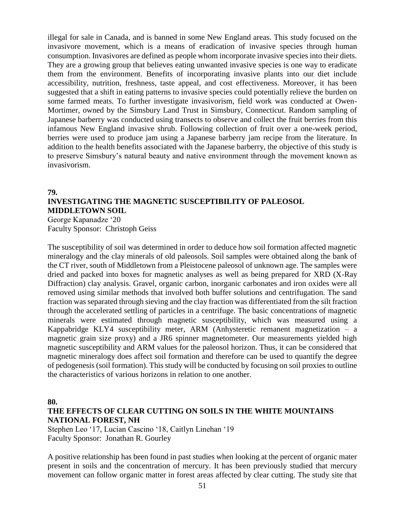illegal for sale in Canada, and is banned in some New England areas. This study focused on the invasivore movement, which is a means of eradication of invasive species through human consumption. Invasivores are defined as people whom incorporate invasive species into their diets. They are a growing group that believes eating unwanted invasive species is one way to eradicate them from the environment. Benefits of incorporating invasive plants into our diet include accessibility, nutrition, freshness, taste appeal, and cost effectiveness. Moreover, it has been suggested that a shift in eating patterns to invasive species could potentially relieve the burden on some farmed meats. To further investigate invasivorism, field work was conducted at Owen-Mortimer, owned by the Simsbury Land Trust in Simsbury, Connecticut. Random sampling of Japanese barberry was conducted using transects to observe and collect the fruit berries from this infamous New England invasive shrub. Following collection of fruit over a one-week period, berries were used to produce jam using a Japanese barberry jam recipe from the literature. In addition to the health benefits associated with the Japanese barberry, the objective of this study is to preserve Simsbury's natural beauty and native environment through the movement known as invasivorism.

## **79. INVESTIGATING THE MAGNETIC SUSCEPTIBILITY OF PALEOSOL MIDDLETOWN SOIL**

George Kapanadze '20 Faculty Sponsor: Christoph Geiss

The susceptibility of soil was determined in order to deduce how soil formation affected magnetic mineralogy and the clay minerals of old paleosols. Soil samples were obtained along the bank of the CT river, south of Middletown from a Pleistocene paleosol of unknown age. The samples were dried and packed into boxes for magnetic analyses as well as being prepared for XRD (X-Ray Diffraction) clay analysis. Gravel, organic carbon, inorganic carbonates and iron oxides were all removed using similar methods that involved both buffer solutions and centrifugation. The sand fraction was separated through sieving and the clay fraction was differentiated from the silt fraction through the accelerated settling of particles in a centrifuge. The basic concentrations of magnetic minerals were estimated through magnetic susceptibility, which was measured using a Kappabridge KLY4 susceptibility meter, ARM (Anhysteretic remanent magnetization – a magnetic grain size proxy) and a JR6 spinner magnetometer. Our measurements yielded high magnetic susceptibility and ARM values for the paleosol horizon. Thus, it can be considered that magnetic mineralogy does affect soil formation and therefore can be used to quantify the degree of pedogenesis (soil formation). This study will be conducted by focusing on soil proxies to outline the characteristics of various horizons in relation to one another.

#### **80.**

## **THE EFFECTS OF CLEAR CUTTING ON SOILS IN THE WHITE MOUNTAINS NATIONAL FOREST, NH**

Stephen Leo '17, Lucian Cascino '18, Caitlyn Linehan '19 Faculty Sponsor: Jonathan R. Gourley

A positive relationship has been found in past studies when looking at the percent of organic mater present in soils and the concentration of mercury. It has been previously studied that mercury movement can follow organic matter in forest areas affected by clear cutting. The study site that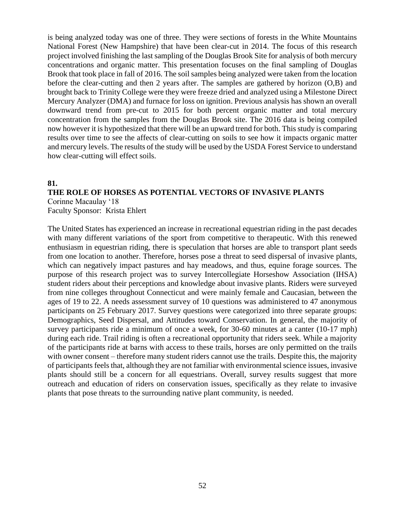is being analyzed today was one of three. They were sections of forests in the White Mountains National Forest (New Hampshire) that have been clear-cut in 2014. The focus of this research project involved finishing the last sampling of the Douglas Brook Site for analysis of both mercury concentrations and organic matter. This presentation focuses on the final sampling of Douglas Brook that took place in fall of 2016. The soil samples being analyzed were taken from the location before the clear-cutting and then 2 years after. The samples are gathered by horizon (O,B) and brought back to Trinity College were they were freeze dried and analyzed using a Milestone Direct Mercury Analyzer (DMA) and furnace for loss on ignition. Previous analysis has shown an overall downward trend from pre-cut to 2015 for both percent organic matter and total mercury concentration from the samples from the Douglas Brook site. The 2016 data is being compiled now however it is hypothesized that there will be an upward trend for both. This study is comparing results over time to see the affects of clear-cutting on soils to see how it impacts organic matter and mercury levels. The results of the study will be used by the USDA Forest Service to understand how clear-cutting will effect soils.

#### **81.**

#### **THE ROLE OF HORSES AS POTENTIAL VECTORS OF INVASIVE PLANTS**

Corinne Macaulay '18 Faculty Sponsor: Krista Ehlert

The United States has experienced an increase in recreational equestrian riding in the past decades with many different variations of the sport from competitive to therapeutic. With this renewed enthusiasm in equestrian riding, there is speculation that horses are able to transport plant seeds from one location to another. Therefore, horses pose a threat to seed dispersal of invasive plants, which can negatively impact pastures and hay meadows, and thus, equine forage sources. The purpose of this research project was to survey Intercollegiate Horseshow Association (IHSA) student riders about their perceptions and knowledge about invasive plants. Riders were surveyed from nine colleges throughout Connecticut and were mainly female and Caucasian, between the ages of 19 to 22. A needs assessment survey of 10 questions was administered to 47 anonymous participants on 25 February 2017. Survey questions were categorized into three separate groups: Demographics, Seed Dispersal, and Attitudes toward Conservation. In general, the majority of survey participants ride a minimum of once a week, for 30-60 minutes at a canter (10-17 mph) during each ride. Trail riding is often a recreational opportunity that riders seek. While a majority of the participants ride at barns with access to these trails, horses are only permitted on the trails with owner consent – therefore many student riders cannot use the trails. Despite this, the majority of participants feels that, although they are not familiar with environmental science issues, invasive plants should still be a concern for all equestrians. Overall, survey results suggest that more outreach and education of riders on conservation issues, specifically as they relate to invasive plants that pose threats to the surrounding native plant community, is needed.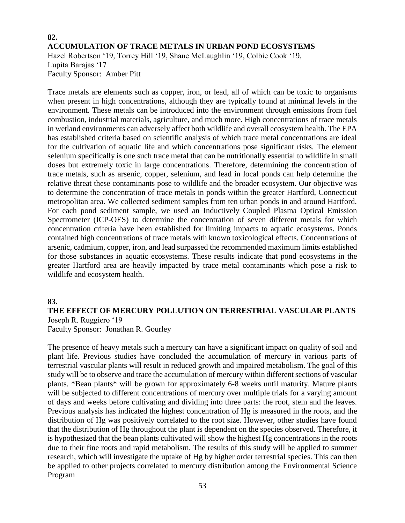# **82. ACCUMULATION OF TRACE METALS IN URBAN POND ECOSYSTEMS** Hazel Robertson '19, Torrey Hill '19, Shane McLaughlin '19, Colbie Cook '19, Lupita Barajas '17

Faculty Sponsor: Amber Pitt

Trace metals are elements such as copper, iron, or lead, all of which can be toxic to organisms when present in high concentrations, although they are typically found at minimal levels in the environment. These metals can be introduced into the environment through emissions from fuel combustion, industrial materials, agriculture, and much more. High concentrations of trace metals in wetland environments can adversely affect both wildlife and overall ecosystem health. The EPA has established criteria based on scientific analysis of which trace metal concentrations are ideal for the cultivation of aquatic life and which concentrations pose significant risks. The element selenium specifically is one such trace metal that can be nutritionally essential to wildlife in small doses but extremely toxic in large concentrations. Therefore, determining the concentration of trace metals, such as arsenic, copper, selenium, and lead in local ponds can help determine the relative threat these contaminants pose to wildlife and the broader ecosystem. Our objective was to determine the concentration of trace metals in ponds within the greater Hartford, Connecticut metropolitan area. We collected sediment samples from ten urban ponds in and around Hartford. For each pond sediment sample, we used an Inductively Coupled Plasma Optical Emission Spectrometer (ICP-OES) to determine the concentration of seven different metals for which concentration criteria have been established for limiting impacts to aquatic ecosystems. Ponds contained high concentrations of trace metals with known toxicological effects. Concentrations of arsenic, cadmium, copper, iron, and lead surpassed the recommended maximum limits established for those substances in aquatic ecosystems. These results indicate that pond ecosystems in the greater Hartford area are heavily impacted by trace metal contaminants which pose a risk to wildlife and ecosystem health.

### **83.**

# **THE EFFECT OF MERCURY POLLUTION ON TERRESTRIAL VASCULAR PLANTS** Joseph R. Ruggiero '19

Faculty Sponsor: Jonathan R. Gourley

The presence of heavy metals such a mercury can have a significant impact on quality of soil and plant life. Previous studies have concluded the accumulation of mercury in various parts of terrestrial vascular plants will result in reduced growth and impaired metabolism. The goal of this study will be to observe and trace the accumulation of mercury within different sections of vascular plants. \*Bean plants\* will be grown for approximately 6-8 weeks until maturity. Mature plants will be subjected to different concentrations of mercury over multiple trials for a varying amount of days and weeks before cultivating and dividing into three parts: the root, stem and the leaves. Previous analysis has indicated the highest concentration of Hg is measured in the roots, and the distribution of Hg was positively correlated to the root size. However, other studies have found that the distribution of Hg throughout the plant is dependent on the species observed. Therefore, it is hypothesized that the bean plants cultivated will show the highest Hg concentrations in the roots due to their fine roots and rapid metabolism. The results of this study will be applied to summer research, which will investigate the uptake of Hg by higher order terrestrial species. This can then be applied to other projects correlated to mercury distribution among the Environmental Science Program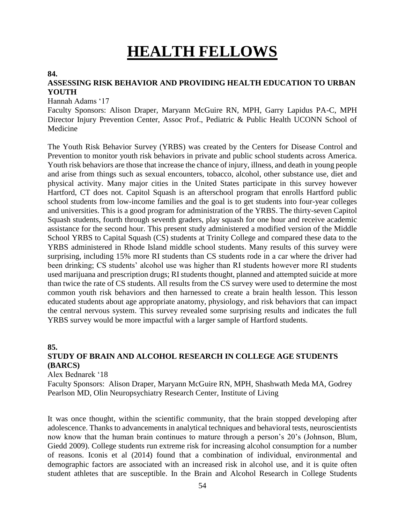# **HEALTH FELLOWS**

#### **84.**

## **ASSESSING RISK BEHAVIOR AND PROVIDING HEALTH EDUCATION TO URBAN YOUTH**

#### Hannah Adams '17

Faculty Sponsors: Alison Draper, Maryann McGuire RN, MPH, Garry Lapidus PA-C, MPH Director Injury Prevention Center, Assoc Prof., Pediatric & Public Health UCONN School of Medicine

The Youth Risk Behavior Survey (YRBS) was created by the Centers for Disease Control and Prevention to monitor youth risk behaviors in private and public school students across America. Youth risk behaviors are those that increase the chance of injury, illness, and death in young people and arise from things such as sexual encounters, tobacco, alcohol, other substance use, diet and physical activity. Many major cities in the United States participate in this survey however Hartford, CT does not. Capitol Squash is an afterschool program that enrolls Hartford public school students from low-income families and the goal is to get students into four-year colleges and universities. This is a good program for administration of the YRBS. The thirty-seven Capitol Squash students, fourth through seventh graders, play squash for one hour and receive academic assistance for the second hour. This present study administered a modified version of the Middle School YRBS to Capital Squash (CS) students at Trinity College and compared these data to the YRBS administered in Rhode Island middle school students. Many results of this survey were surprising, including 15% more RI students than CS students rode in a car where the driver had been drinking; CS students' alcohol use was higher than RI students however more RI students used marijuana and prescription drugs; RI students thought, planned and attempted suicide at more than twice the rate of CS students. All results from the CS survey were used to determine the most common youth risk behaviors and then harnessed to create a brain health lesson. This lesson educated students about age appropriate anatomy, physiology, and risk behaviors that can impact the central nervous system. This survey revealed some surprising results and indicates the full YRBS survey would be more impactful with a larger sample of Hartford students.

#### **85.**

# **STUDY OF BRAIN AND ALCOHOL RESEARCH IN COLLEGE AGE STUDENTS (BARCS)**

Alex Bednarek '18

Faculty Sponsors: Alison Draper, Maryann McGuire RN, MPH, Shashwath Meda MA, Godrey Pearlson MD*,* Olin Neuropsychiatry Research Center*,* Institute of Living

It was once thought, within the scientific community, that the brain stopped developing after adolescence. Thanks to advancements in analytical techniques and behavioral tests, neuroscientists now know that the human brain continues to mature through a person's 20's (Johnson, Blum, Giedd 2009). College students run extreme risk for increasing alcohol consumption for a number of reasons. Iconis et al (2014) found that a combination of individual, environmental and demographic factors are associated with an increased risk in alcohol use, and it is quite often student athletes that are susceptible. In the Brain and Alcohol Research in College Students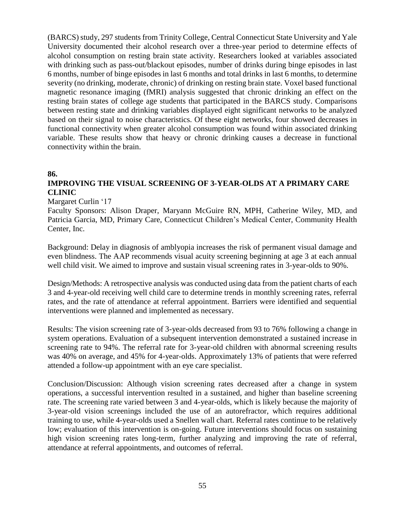(BARCS) study, 297 students from Trinity College, Central Connecticut State University and Yale University documented their alcohol research over a three-year period to determine effects of alcohol consumption on resting brain state activity. Researchers looked at variables associated with drinking such as pass-out/blackout episodes, number of drinks during binge episodes in last 6 months, number of binge episodes in last 6 months and total drinks in last 6 months, to determine severity (no drinking, moderate, chronic) of drinking on resting brain state. Voxel based functional magnetic resonance imaging (fMRI) analysis suggested that chronic drinking an effect on the resting brain states of college age students that participated in the BARCS study. Comparisons between resting state and drinking variables displayed eight significant networks to be analyzed based on their signal to noise characteristics. Of these eight networks, four showed decreases in functional connectivity when greater alcohol consumption was found within associated drinking variable. These results show that heavy or chronic drinking causes a decrease in functional connectivity within the brain.

#### **86.**

# **IMPROVING THE VISUAL SCREENING OF 3-YEAR-OLDS AT A PRIMARY CARE CLINIC**

#### Margaret Curlin '17

Faculty Sponsors: Alison Draper, Maryann McGuire RN, MPH, Catherine Wiley, MD, and Patricia Garcia, MD, Primary Care, Connecticut Children's Medical Center, Community Health Center, Inc.

Background: Delay in diagnosis of amblyopia increases the risk of permanent visual damage and even blindness. The AAP recommends visual acuity screening beginning at age 3 at each annual well child visit. We aimed to improve and sustain visual screening rates in 3-year-olds to 90%.

Design/Methods: A retrospective analysis was conducted using data from the patient charts of each 3 and 4-year-old receiving well child care to determine trends in monthly screening rates, referral rates, and the rate of attendance at referral appointment. Barriers were identified and sequential interventions were planned and implemented as necessary.

Results: The vision screening rate of 3-year-olds decreased from 93 to 76% following a change in system operations. Evaluation of a subsequent intervention demonstrated a sustained increase in screening rate to 94%. The referral rate for 3-year-old children with abnormal screening results was 40% on average, and 45% for 4-year-olds. Approximately 13% of patients that were referred attended a follow-up appointment with an eye care specialist.

Conclusion/Discussion: Although vision screening rates decreased after a change in system operations, a successful intervention resulted in a sustained, and higher than baseline screening rate. The screening rate varied between 3 and 4-year-olds, which is likely because the majority of 3-year-old vision screenings included the use of an autorefractor, which requires additional training to use, while 4-year-olds used a Snellen wall chart. Referral rates continue to be relatively low; evaluation of this intervention is on-going. Future interventions should focus on sustaining high vision screening rates long-term, further analyzing and improving the rate of referral, attendance at referral appointments, and outcomes of referral.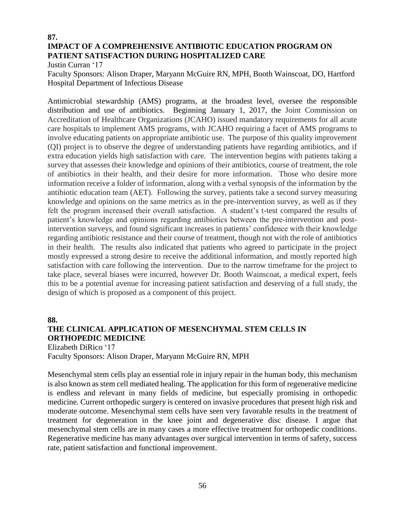# **87. IMPACT OF A COMPREHENSIVE ANTIBIOTIC EDUCATION PROGRAM ON PATIENT SATISFACTION DURING HOSPITALIZED CARE**

Justin Curran '17

Faculty Sponsors: Alison Draper, Maryann McGuire RN, MPH, Booth Wainscoat, DO, Hartford Hospital Department of Infectious Disease

Antimicrobial stewardship (AMS) programs, at the broadest level, oversee the responsible distribution and use of antibiotics. Beginning January 1, 2017, the Joint Commission on Accreditation of Healthcare Organizations (JCAHO) issued mandatory requirements for all acute care hospitals to implement AMS programs, with JCAHO requiring a facet of AMS programs to involve educating patients on appropriate antibiotic use. The purpose of this quality improvement (QI) project is to observe the degree of understanding patients have regarding antibiotics, and if extra education yields high satisfaction with care. The intervention begins with patients taking a survey that assesses their knowledge and opinions of their antibiotics, course of treatment, the role of antibiotics in their health, and their desire for more information. Those who desire more information receive a folder of information, along with a verbal synopsis of the information by the antibiotic education team (AET). Following the survey, patients take a second survey measuring knowledge and opinions on the same metrics as in the pre-intervention survey, as well as if they felt the program increased their overall satisfaction. A student's t-test compared the results of patient's knowledge and opinions regarding antibiotics between the pre-intervention and postintervention surveys, and found significant increases in patients' confidence with their knowledge regarding antibiotic resistance and their course of treatment, though not with the role of antibiotics in their health. The results also indicated that patients who agreed to participate in the project mostly expressed a strong desire to receive the additional information, and mostly reported high satisfaction with care following the intervention. Due to the narrow timeframe for the project to take place, several biases were incurred, however Dr. Booth Wainscoat, a medical expert, feels this to be a potential avenue for increasing patient satisfaction and deserving of a full study, the design of which is proposed as a component of this project.

# **88. THE CLINICAL APPLICATION OF MESENCHYMAL STEM CELLS IN ORTHOPEDIC MEDICINE**

Elizabeth DiRico '17 Faculty Sponsors: Alison Draper, Maryann McGuire RN, MPH

Mesenchymal stem cells play an essential role in injury repair in the human body, this mechanism is also known as stem cell mediated healing. The application for this form of regenerative medicine is endless and relevant in many fields of medicine, but especially promising in orthopedic medicine. Current orthopedic surgery is centered on invasive procedures that present high risk and moderate outcome. Mesenchymal stem cells have seen very favorable results in the treatment of treatment for degeneration in the knee joint and degenerative disc disease. I argue that mesenchymal stem cells are in many cases a more effective treatment for orthopedic conditions. Regenerative medicine has many advantages over surgical intervention in terms of safety, success rate, patient satisfaction and functional improvement.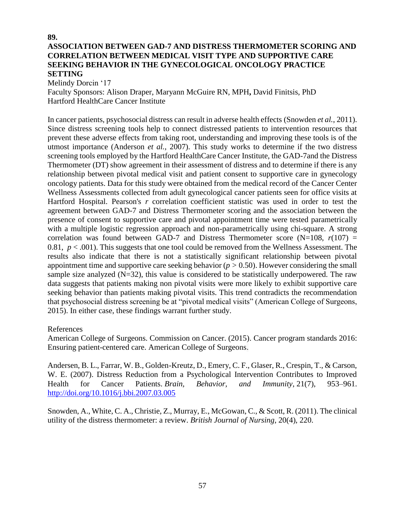## **89. ASSOCIATION BETWEEN GAD-7 AND DISTRESS THERMOMETER SCORING AND CORRELATION BETWEEN MEDICAL VISIT TYPE AND SUPPORTIVE CARE SEEKING BEHAVIOR IN THE GYNECOLOGICAL ONCOLOGY PRACTICE SETTING**

Melindy Dorcin '17

Faculty Sponsors: Alison Draper, Maryann McGuire RN, MPH**,** David Finitsis, PhD Hartford HealthCare Cancer Institute

In cancer patients, psychosocial distress can result in adverse health effects (Snowden *et al.*, 2011). Since distress screening tools help to connect distressed patients to intervention resources that prevent these adverse effects from taking root, understanding and improving these tools is of the utmost importance (Anderson *et al.*, 2007). This study works to determine if the two distress screening tools employed by the Hartford HealthCare Cancer Institute, the GAD-7and the Distress Thermometer (DT) show agreement in their assessment of distress and to determine if there is any relationship between pivotal medical visit and patient consent to supportive care in gynecology oncology patients. Data for this study were obtained from the medical record of the Cancer Center Wellness Assessments collected from adult gynecological cancer patients seen for office visits at Hartford Hospital. Pearson's *r* correlation coefficient statistic was used in order to test the agreement between GAD-7 and Distress Thermometer scoring and the association between the presence of consent to supportive care and pivotal appointment time were tested parametrically with a multiple logistic regression approach and non-parametrically using chi-square. A strong correlation was found between GAD-7 and Distress Thermometer score ( $N=108$ ,  $r(107)$  = 0.81,  $p < .001$ ). This suggests that one tool could be removed from the Wellness Assessment. The results also indicate that there is not a statistically significant relationship between pivotal appointment time and supportive care seeking behavior (*p >* 0.50). However considering the small sample size analyzed  $(N=32)$ , this value is considered to be statistically underpowered. The raw data suggests that patients making non pivotal visits were more likely to exhibit supportive care seeking behavior than patients making pivotal visits. This trend contradicts the recommendation that psychosocial distress screening be at "pivotal medical visits" (American College of Surgeons, 2015). In either case, these findings warrant further study.

#### References

American College of Surgeons. Commission on Cancer. (2015). Cancer program standards 2016: Ensuring patient-centered care. American College of Surgeons.

Andersen, B. L., Farrar, W. B., Golden-Kreutz, D., Emery, C. F., Glaser, R., Crespin, T., & Carson, W. E. (2007). Distress Reduction from a Psychological Intervention Contributes to Improved Health for Cancer Patients. *Brain, Behavior, and Immunity*, 21(7), 953–961. <http://doi.org/10.1016/j.bbi.2007.03.005>

Snowden, A., White, C. A., Christie, Z., Murray, E., McGowan, C., & Scott, R. (2011). The clinical utility of the distress thermometer: a review. *British Journal of Nursing*, 20(4), 220.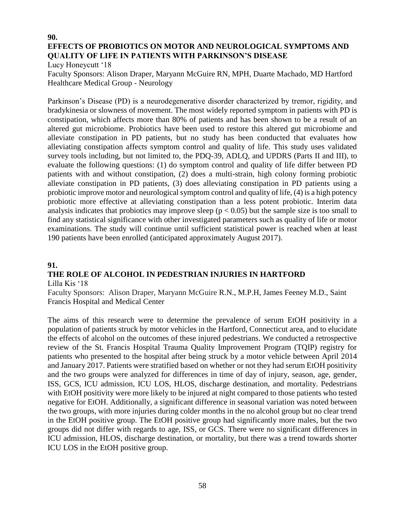# **90. EFFECTS OF PROBIOTICS ON MOTOR AND NEUROLOGICAL SYMPTOMS AND QUALITY OF LIFE IN PATIENTS WITH PARKINSON'S DISEASE**

Lucy Honeycutt '18

Faculty Sponsors: Alison Draper, Maryann McGuire RN, MPH, Duarte Machado, MD Hartford Healthcare Medical Group - Neurology

Parkinson's Disease (PD) is a neurodegenerative disorder characterized by tremor, rigidity, and bradykinesia or slowness of movement. The most widely reported symptom in patients with PD is constipation, which affects more than 80% of patients and has been shown to be a result of an altered gut microbiome. Probiotics have been used to restore this altered gut microbiome and alleviate constipation in PD patients, but no study has been conducted that evaluates how alleviating constipation affects symptom control and quality of life. This study uses validated survey tools including, but not limited to, the PDQ-39, ADLQ, and UPDRS (Parts II and III), to evaluate the following questions: (1) do symptom control and quality of life differ between PD patients with and without constipation, (2) does a multi-strain, high colony forming probiotic alleviate constipation in PD patients, (3) does alleviating constipation in PD patients using a probiotic improve motor and neurological symptom control and quality of life, (4) is a high potency probiotic more effective at alleviating constipation than a less potent probiotic. Interim data analysis indicates that probiotics may improve sleep ( $p < 0.05$ ) but the sample size is too small to find any statistical significance with other investigated parameters such as quality of life or motor examinations. The study will continue until sufficient statistical power is reached when at least 190 patients have been enrolled (anticipated approximately August 2017).

## **91.**

# **THE ROLE OF ALCOHOL IN PEDESTRIAN INJURIES IN HARTFORD**

Lilla Kis '18

Faculty Sponsors: Alison Draper, Maryann McGuire R.N., M.P.H, James Feeney M.D., Saint Francis Hospital and Medical Center

The aims of this research were to determine the prevalence of serum EtOH positivity in a population of patients struck by motor vehicles in the Hartford, Connecticut area, and to elucidate the effects of alcohol on the outcomes of these injured pedestrians. We conducted a retrospective review of the St. Francis Hospital Trauma Quality Improvement Program (TQIP) registry for patients who presented to the hospital after being struck by a motor vehicle between April 2014 and January 2017. Patients were stratified based on whether or not they had serum EtOH positivity and the two groups were analyzed for differences in time of day of injury, season, age, gender, ISS, GCS, ICU admission, ICU LOS, HLOS, discharge destination, and mortality. Pedestrians with EtOH positivity were more likely to be injured at night compared to those patients who tested negative for EtOH. Additionally, a significant difference in seasonal variation was noted between the two groups, with more injuries during colder months in the no alcohol group but no clear trend in the EtOH positive group. The EtOH positive group had significantly more males, but the two groups did not differ with regards to age, ISS, or GCS. There were no significant differences in ICU admission, HLOS, discharge destination, or mortality, but there was a trend towards shorter ICU LOS in the EtOH positive group.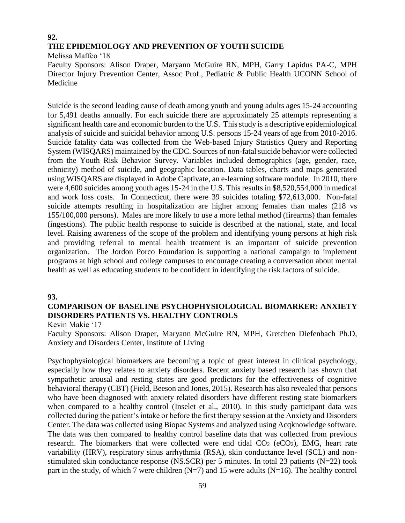# **92. THE EPIDEMIOLOGY AND PREVENTION OF YOUTH SUICIDE**

Melissa Maffeo '18

Faculty Sponsors: Alison Draper, Maryann McGuire RN, MPH, Garry Lapidus PA-C, MPH Director Injury Prevention Center, Assoc Prof., Pediatric & Public Health UCONN School of Medicine

Suicide is the second leading cause of death among youth and young adults ages 15-24 accounting for 5,491 deaths annually. For each suicide there are approximately 25 attempts representing a significant health care and economic burden to the U.S. This study is a descriptive epidemiological analysis of suicide and suicidal behavior among U.S. persons 15-24 years of age from 2010-2016. Suicide fatality data was collected from the Web-based Injury Statistics Query and Reporting System (WISQARS) maintained by the CDC. Sources of non-fatal suicide behavior were collected from the Youth Risk Behavior Survey. Variables included demographics (age, gender, race, ethnicity) method of suicide, and geographic location. Data tables, charts and maps generated using WISQARS are displayed in Adobe Captivate, an e-learning software module. In 2010, there were 4,600 suicides among youth ages 15-24 in the U.S. This results in \$8,520,554,000 in medical and work loss costs. In Connecticut, there were 39 suicides totaling \$72,613,000. Non-fatal suicide attempts resulting in hospitalization are higher among females than males (218 vs 155/100,000 persons). Males are more likely to use a more lethal method (firearms) than females (ingestions). The public health response to suicide is described at the national, state, and local level. Raising awareness of the scope of the problem and identifying young persons at high risk and providing referral to mental health treatment is an important of suicide prevention organization. The Jordon Porco Foundation is supporting a national campaign to implement programs at high school and college campuses to encourage creating a conversation about mental health as well as educating students to be confident in identifying the risk factors of suicide.

#### **93.**

# **COMPARISON OF BASELINE PSYCHOPHYSIOLOGICAL BIOMARKER: ANXIETY DISORDERS PATIENTS VS. HEALTHY CONTROLS**

Kevin Makie '17

Faculty Sponsors: Alison Draper, Maryann McGuire RN, MPH, Gretchen Diefenbach Ph.D, Anxiety and Disorders Center, Institute of Living

Psychophysiological biomarkers are becoming a topic of great interest in clinical psychology, especially how they relates to anxiety disorders. Recent anxiety based research has shown that sympathetic arousal and resting states are good predictors for the effectiveness of cognitive behavioral therapy (CBT) (Field, Beeson and Jones, 2015). Research has also revealed that persons who have been diagnosed with anxiety related disorders have different resting state biomarkers when compared to a healthy control (Inselet et al., 2010). In this study participant data was collected during the patient's intake or before the first therapy session at the Anxiety and Disorders Center. The data was collected using Biopac Systems and analyzed using Acqknowledge software. The data was then compared to healthy control baseline data that was collected from previous research. The biomarkers that were collected were end tidal  $CO<sub>2</sub>$  (eCO<sub>2</sub>), EMG, heart rate variability (HRV), respiratory sinus arrhythmia (RSA), skin conductance level (SCL) and nonstimulated skin conductance response (NS.SCR) per 5 minutes. In total 23 patients (N=22) took part in the study, of which 7 were children  $(N=7)$  and 15 were adults  $(N=16)$ . The healthy control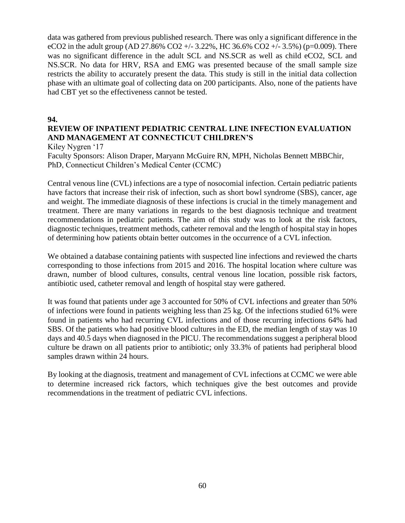data was gathered from previous published research. There was only a significant difference in the eCO2 in the adult group (AD 27.86% CO2 +/- 3.22%, HC 36.6% CO2 +/- 3.5%) (p=0.009). There was no significant difference in the adult SCL and NS.SCR as well as child eCO2, SCL and NS.SCR. No data for HRV, RSA and EMG was presented because of the small sample size restricts the ability to accurately present the data. This study is still in the initial data collection phase with an ultimate goal of collecting data on 200 participants. Also, none of the patients have had CBT yet so the effectiveness cannot be tested.

#### **94.**

# **REVIEW OF INPATIENT PEDIATRIC CENTRAL LINE INFECTION EVALUATION AND MANAGEMENT AT CONNECTICUT CHILDREN'S**

Kiley Nygren '17

Faculty Sponsors: Alison Draper, Maryann McGuire RN, MPH, Nicholas Bennett MBBChir, PhD, Connecticut Children's Medical Center (CCMC)

Central venous line (CVL) infections are a type of nosocomial infection. Certain pediatric patients have factors that increase their risk of infection, such as short bowl syndrome (SBS), cancer, age and weight. The immediate diagnosis of these infections is crucial in the timely management and treatment. There are many variations in regards to the best diagnosis technique and treatment recommendations in pediatric patients. The aim of this study was to look at the risk factors, diagnostic techniques, treatment methods, catheter removal and the length of hospital stay in hopes of determining how patients obtain better outcomes in the occurrence of a CVL infection.

We obtained a database containing patients with suspected line infections and reviewed the charts corresponding to those infections from 2015 and 2016. The hospital location where culture was drawn, number of blood cultures, consults, central venous line location, possible risk factors, antibiotic used, catheter removal and length of hospital stay were gathered.

It was found that patients under age 3 accounted for 50% of CVL infections and greater than 50% of infections were found in patients weighing less than 25 kg. Of the infections studied 61% were found in patients who had recurring CVL infections and of those recurring infections 64% had SBS. Of the patients who had positive blood cultures in the ED, the median length of stay was 10 days and 40.5 days when diagnosed in the PICU. The recommendations suggest a peripheral blood culture be drawn on all patients prior to antibiotic; only 33.3% of patients had peripheral blood samples drawn within 24 hours.

By looking at the diagnosis, treatment and management of CVL infections at CCMC we were able to determine increased rick factors, which techniques give the best outcomes and provide recommendations in the treatment of pediatric CVL infections.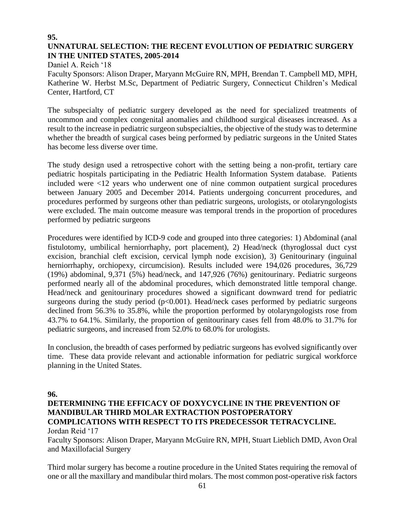#### **95. UNNATURAL SELECTION: THE RECENT EVOLUTION OF PEDIATRIC SURGERY IN THE UNITED STATES, 2005-2014**

Daniel A. Reich '18 Faculty Sponsors: Alison Draper, Maryann McGuire RN, MPH, Brendan T. Campbell MD, MPH, Katherine W. Herbst M.Sc, Department of Pediatric Surgery, Connecticut Children's Medical Center, Hartford, CT

The subspecialty of pediatric surgery developed as the need for specialized treatments of uncommon and complex congenital anomalies and childhood surgical diseases increased. As a result to the increase in pediatric surgeon subspecialties, the objective of the study was to determine whether the breadth of surgical cases being performed by pediatric surgeons in the United States has become less diverse over time.

The study design used a retrospective cohort with the setting being a non-profit, tertiary care pediatric hospitals participating in the Pediatric Health Information System database. Patients included were <12 years who underwent one of nine common outpatient surgical procedures between January 2005 and December 2014. Patients undergoing concurrent procedures, and procedures performed by surgeons other than pediatric surgeons, urologists, or otolaryngologists were excluded. The main outcome measure was temporal trends in the proportion of procedures performed by pediatric surgeons

Procedures were identified by ICD-9 code and grouped into three categories: 1) Abdominal (anal fistulotomy, umbilical herniorrhaphy, port placement), 2) Head/neck (thyroglossal duct cyst excision, branchial cleft excision, cervical lymph node excision), 3) Genitourinary (inguinal herniorrhaphy, orchiopexy, circumcision). Results included were 194,026 procedures, 36,729 (19%) abdominal, 9,371 (5%) head/neck, and 147,926 (76%) genitourinary. Pediatric surgeons performed nearly all of the abdominal procedures, which demonstrated little temporal change. Head/neck and genitourinary procedures showed a significant downward trend for pediatric surgeons during the study period  $(p<0.001)$ . Head/neck cases performed by pediatric surgeons declined from 56.3% to 35.8%, while the proportion performed by otolaryngologists rose from 43.7% to 64.1%. Similarly, the proportion of genitourinary cases fell from 48.0% to 31.7% for pediatric surgeons, and increased from 52.0% to 68.0% for urologists.

In conclusion, the breadth of cases performed by pediatric surgeons has evolved significantly over time. These data provide relevant and actionable information for pediatric surgical workforce planning in the United States.

**96.**

#### **DETERMINING THE EFFICACY OF DOXYCYCLINE IN THE PREVENTION OF MANDIBULAR THIRD MOLAR EXTRACTION POSTOPERATORY COMPLICATIONS WITH RESPECT TO ITS PREDECESSOR TETRACYCLINE.**  Jordan Reid '17

Faculty Sponsors: Alison Draper, Maryann McGuire RN, MPH, Stuart Lieblich DMD, Avon Oral and Maxillofacial Surgery

Third molar surgery has become a routine procedure in the United States requiring the removal of one or all the maxillary and mandibular third molars. The most common post-operative risk factors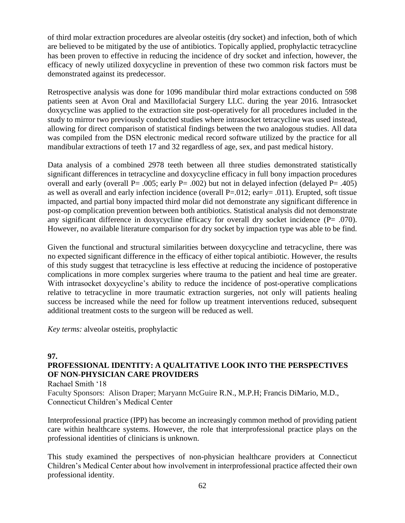of third molar extraction procedures are alveolar osteitis (dry socket) and infection, both of which are believed to be mitigated by the use of antibiotics. Topically applied, prophylactic tetracycline has been proven to effective in reducing the incidence of dry socket and infection, however, the efficacy of newly utilized doxycycline in prevention of these two common risk factors must be demonstrated against its predecessor.

Retrospective analysis was done for 1096 mandibular third molar extractions conducted on 598 patients seen at Avon Oral and Maxillofacial Surgery LLC. during the year 2016. Intrasocket doxycycline was applied to the extraction site post-operatively for all procedures included in the study to mirror two previously conducted studies where intrasocket tetracycline was used instead, allowing for direct comparison of statistical findings between the two analogous studies. All data was compiled from the DSN electronic medical record software utilized by the practice for all mandibular extractions of teeth 17 and 32 regardless of age, sex, and past medical history.

Data analysis of a combined 2978 teeth between all three studies demonstrated statistically significant differences in tetracycline and doxycycline efficacy in full bony impaction procedures overall and early (overall P= .005; early P= .002) but not in delayed infection (delayed P= .405) as well as overall and early infection incidence (overall P=.012; early= .011). Erupted, soft tissue impacted, and partial bony impacted third molar did not demonstrate any significant difference in post-op complication prevention between both antibiotics. Statistical analysis did not demonstrate any significant difference in doxycycline efficacy for overall dry socket incidence  $(P= .070)$ . However, no available literature comparison for dry socket by impaction type was able to be find.

Given the functional and structural similarities between doxycycline and tetracycline, there was no expected significant difference in the efficacy of either topical antibiotic. However, the results of this study suggest that tetracycline is less effective at reducing the incidence of postoperative complications in more complex surgeries where trauma to the patient and heal time are greater. With intrasocket doxycycline's ability to reduce the incidence of post-operative complications relative to tetracycline in more traumatic extraction surgeries, not only will patients healing success be increased while the need for follow up treatment interventions reduced, subsequent additional treatment costs to the surgeon will be reduced as well.

*Key terms:* alveolar osteitis, prophylactic

#### **97.**

# **PROFESSIONAL IDENTITY: A QUALITATIVE LOOK INTO THE PERSPECTIVES OF NON-PHYSICIAN CARE PROVIDERS**

Rachael Smith '18

Faculty Sponsors: Alison Draper; Maryann McGuire R.N., M.P.H; Francis DiMario, M.D., Connecticut Children's Medical Center

Interprofessional practice (IPP) has become an increasingly common method of providing patient care within healthcare systems. However, the role that interprofessional practice plays on the professional identities of clinicians is unknown.

This study examined the perspectives of non-physician healthcare providers at Connecticut Children's Medical Center about how involvement in interprofessional practice affected their own professional identity.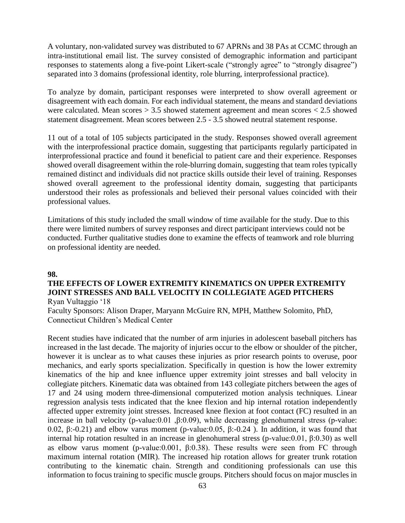A voluntary, non-validated survey was distributed to 67 APRNs and 38 PAs at CCMC through an intra-institutional email list. The survey consisted of demographic information and participant responses to statements along a five-point Likert-scale ("strongly agree" to "strongly disagree") separated into 3 domains (professional identity, role blurring, interprofessional practice).

To analyze by domain, participant responses were interpreted to show overall agreement or disagreement with each domain. For each individual statement, the means and standard deviations were calculated. Mean scores  $> 3.5$  showed statement agreement and mean scores  $< 2.5$  showed statement disagreement. Mean scores between 2.5 - 3.5 showed neutral statement response.

11 out of a total of 105 subjects participated in the study. Responses showed overall agreement with the interprofessional practice domain, suggesting that participants regularly participated in interprofessional practice and found it beneficial to patient care and their experience. Responses showed overall disagreement within the role-blurring domain, suggesting that team roles typically remained distinct and individuals did not practice skills outside their level of training. Responses showed overall agreement to the professional identity domain, suggesting that participants understood their roles as professionals and believed their personal values coincided with their professional values.

Limitations of this study included the small window of time available for the study. Due to this there were limited numbers of survey responses and direct participant interviews could not be conducted. Further qualitative studies done to examine the effects of teamwork and role blurring on professional identity are needed.

#### **98.**

#### **THE EFFECTS OF LOWER EXTREMITY KINEMATICS ON UPPER EXTREMITY JOINT STRESSES AND BALL VELOCITY IN COLLEGIATE AGED PITCHERS** Ryan Vultaggio '18

Faculty Sponsors: Alison Draper, Maryann McGuire RN, MPH, Matthew Solomito, PhD, Connecticut Children's Medical Center

Recent studies have indicated that the number of arm injuries in adolescent baseball pitchers has increased in the last decade. The majority of injuries occur to the elbow or shoulder of the pitcher, however it is unclear as to what causes these injuries as prior research points to overuse, poor mechanics, and early sports specialization. Specifically in question is how the lower extremity kinematics of the hip and knee influence upper extremity joint stresses and ball velocity in collegiate pitchers. Kinematic data was obtained from 143 collegiate pitchers between the ages of 17 and 24 using modern three-dimensional computerized motion analysis techniques. Linear regression analysis tests indicated that the knee flexion and hip internal rotation independently affected upper extremity joint stresses. Increased knee flexion at foot contact (FC) resulted in an increase in ball velocity (p-value:0.01 ,β:0.09), while decreasing glenohumeral stress (p-value: 0.02, β:-0.21) and elbow varus moment (p-value:0.05, β:-0.24 ). In addition, it was found that internal hip rotation resulted in an increase in glenohumeral stress (p-value:0.01, β:0.30) as well as elbow varus moment (p-value: 0.001, β:0.38). These results were seen from FC through maximum internal rotation (MIR). The increased hip rotation allows for greater trunk rotation contributing to the kinematic chain. Strength and conditioning professionals can use this information to focus training to specific muscle groups. Pitchers should focus on major muscles in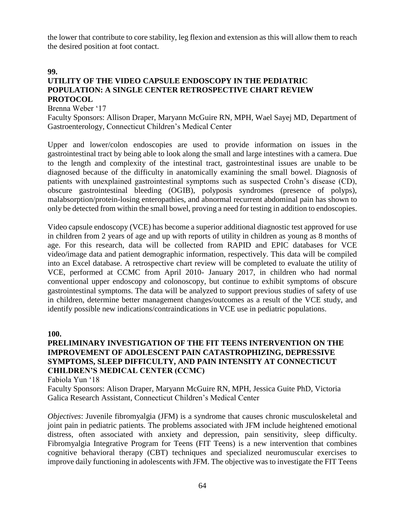the lower that contribute to core stability, leg flexion and extension as this will allow them to reach the desired position at foot contact.

#### **99.**

# **UTILITY OF THE VIDEO CAPSULE ENDOSCOPY IN THE PEDIATRIC POPULATION: A SINGLE CENTER RETROSPECTIVE CHART REVIEW PROTOCOL**

Brenna Weber '17

Faculty Sponsors: Allison Draper, Maryann McGuire RN, MPH, Wael Sayej MD, Department of Gastroenterology, Connecticut Children's Medical Center

Upper and lower/colon endoscopies are used to provide information on issues in the gastrointestinal tract by being able to look along the small and large intestines with a camera. Due to the length and complexity of the intestinal tract, gastrointestinal issues are unable to be diagnosed because of the difficulty in anatomically examining the small bowel. Diagnosis of patients with unexplained gastrointestinal symptoms such as suspected Crohn's disease (CD), obscure gastrointestinal bleeding (OGIB), polyposis syndromes (presence of polyps), malabsorption/protein-losing enteropathies, and abnormal recurrent abdominal pain has shown to only be detected from within the small bowel, proving a need for testing in addition to endoscopies.

Video capsule endoscopy (VCE) has become a superior additional diagnostic test approved for use in children from 2 years of age and up with reports of utility in children as young as 8 months of age. For this research, data will be collected from RAPID and EPIC databases for VCE video/image data and patient demographic information, respectively. This data will be compiled into an Excel database. A retrospective chart review will be completed to evaluate the utility of VCE, performed at CCMC from April 2010- January 2017, in children who had normal conventional upper endoscopy and colonoscopy, but continue to exhibit symptoms of obscure gastrointestinal symptoms. The data will be analyzed to support previous studies of safety of use in children, determine better management changes/outcomes as a result of the VCE study, and identify possible new indications/contraindications in VCE use in pediatric populations.

#### **100.**

# **PRELIMINARY INVESTIGATION OF THE FIT TEENS INTERVENTION ON THE IMPROVEMENT OF ADOLESCENT PAIN CATASTROPHIZING, DEPRESSIVE SYMPTOMS, SLEEP DIFFICULTY, AND PAIN INTENSITY AT CONNECTICUT CHILDREN'S MEDICAL CENTER (CCMC)**

Fabiola Yun '18

Faculty Sponsors: Alison Draper, Maryann McGuire RN, MPH, Jessica Guite PhD, Victoria Galica Research Assistant, Connecticut Children's Medical Center

*Objectives*: Juvenile fibromyalgia (JFM) is a syndrome that causes chronic musculoskeletal and joint pain in pediatric patients. The problems associated with JFM include heightened emotional distress, often associated with anxiety and depression, pain sensitivity, sleep difficulty. Fibromyalgia Integrative Program for Teens (FIT Teens) is a new intervention that combines cognitive behavioral therapy (CBT) techniques and specialized neuromuscular exercises to improve daily functioning in adolescents with JFM. The objective was to investigate the FIT Teens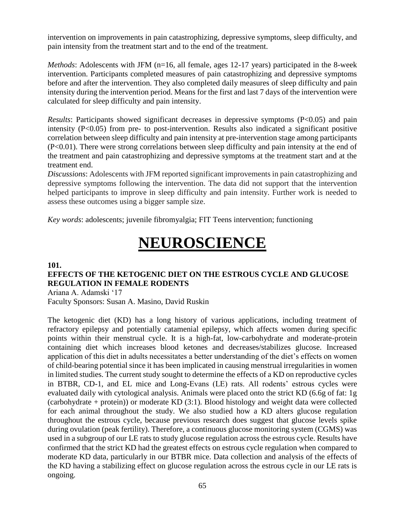intervention on improvements in pain catastrophizing, depressive symptoms, sleep difficulty, and pain intensity from the treatment start and to the end of the treatment.

*Methods*: Adolescents with JFM (n=16, all female, ages 12-17 years) participated in the 8-week intervention. Participants completed measures of pain catastrophizing and depressive symptoms before and after the intervention. They also completed daily measures of sleep difficulty and pain intensity during the intervention period. Means for the first and last 7 days of the intervention were calculated for sleep difficulty and pain intensity.

*Results*: Participants showed significant decreases in depressive symptoms (P<0.05) and pain intensity (P<0.05) from pre- to post-intervention. Results also indicated a significant positive correlation between sleep difficulty and pain intensity at pre-intervention stage among participants (P<0.01). There were strong correlations between sleep difficulty and pain intensity at the end of the treatment and pain catastrophizing and depressive symptoms at the treatment start and at the treatment end.

*Discussions*: Adolescents with JFM reported significant improvements in pain catastrophizing and depressive symptoms following the intervention. The data did not support that the intervention helped participants to improve in sleep difficulty and pain intensity. Further work is needed to assess these outcomes using a bigger sample size.

*Key words*: adolescents; juvenile fibromyalgia; FIT Teens intervention; functioning

# **NEUROSCIENCE**

#### **101.**

# **EFFECTS OF THE KETOGENIC DIET ON THE ESTROUS CYCLE AND GLUCOSE REGULATION IN FEMALE RODENTS**

Ariana A. Adamski '17 Faculty Sponsors: Susan A. Masino, David Ruskin

The ketogenic diet (KD) has a long history of various applications, including treatment of refractory epilepsy and potentially catamenial epilepsy, which affects women during specific points within their menstrual cycle. It is a high-fat, low-carbohydrate and moderate-protein containing diet which increases blood ketones and decreases/stabilizes glucose. Increased application of this diet in adults necessitates a better understanding of the diet's effects on women of child-bearing potential since it has been implicated in causing menstrual irregularities in women in limited studies. The current study sought to determine the effects of a KD on reproductive cycles in BTBR, CD-1, and EL mice and Long-Evans (LE) rats. All rodents' estrous cycles were evaluated daily with cytological analysis. Animals were placed onto the strict KD (6.6g of fat: 1g (carbohydrate + protein)) or moderate KD (3:1). Blood histology and weight data were collected for each animal throughout the study. We also studied how a KD alters glucose regulation throughout the estrous cycle, because previous research does suggest that glucose levels spike during ovulation (peak fertility). Therefore, a continuous glucose monitoring system (CGMS) was used in a subgroup of our LE rats to study glucose regulation across the estrous cycle. Results have confirmed that the strict KD had the greatest effects on estrous cycle regulation when compared to moderate KD data, particularly in our BTBR mice. Data collection and analysis of the effects of the KD having a stabilizing effect on glucose regulation across the estrous cycle in our LE rats is ongoing.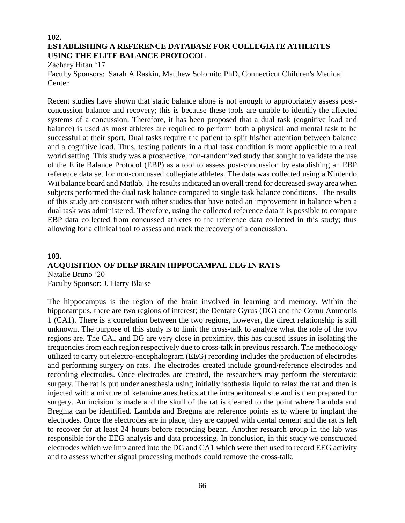## **102. ESTABLISHING A REFERENCE DATABASE FOR COLLEGIATE ATHLETES USING THE ELITE BALANCE PROTOCOL**

Zachary Bitan '17

Faculty Sponsors: Sarah A Raskin, Matthew Solomito PhD, Connecticut Children's Medical **Center** 

Recent studies have shown that static balance alone is not enough to appropriately assess postconcussion balance and recovery; this is because these tools are unable to identify the affected systems of a concussion. Therefore, it has been proposed that a dual task (cognitive load and balance) is used as most athletes are required to perform both a physical and mental task to be successful at their sport. Dual tasks require the patient to split his/her attention between balance and a cognitive load. Thus, testing patients in a dual task condition is more applicable to a real world setting. This study was a prospective, non-randomized study that sought to validate the use of the Elite Balance Protocol (EBP) as a tool to assess post-concussion by establishing an EBP reference data set for non-concussed collegiate athletes. The data was collected using a Nintendo Wii balance board and Matlab. The results indicated an overall trend for decreased sway area when subjects performed the dual task balance compared to single task balance conditions. The results of this study are consistent with other studies that have noted an improvement in balance when a dual task was administered. Therefore, using the collected reference data it is possible to compare EBP data collected from concussed athletes to the reference data collected in this study; thus allowing for a clinical tool to assess and track the recovery of a concussion.

## **103. ACQUISITION OF DEEP BRAIN HIPPOCAMPAL EEG IN RATS** Natalie Bruno '20

Faculty Sponsor: J. Harry Blaise

The hippocampus is the region of the brain involved in learning and memory. Within the hippocampus, there are two regions of interest; the Dentate Gyrus (DG) and the Cornu Ammonis 1 (CA1). There is a correlation between the two regions, however, the direct relationship is still unknown. The purpose of this study is to limit the cross-talk to analyze what the role of the two regions are. The CA1 and DG are very close in proximity, this has caused issues in isolating the frequencies from each region respectively due to cross-talk in previous research. The methodology utilized to carry out electro-encephalogram (EEG) recording includes the production of electrodes and performing surgery on rats. The electrodes created include ground/reference electrodes and recording electrodes. Once electrodes are created, the researchers may perform the stereotaxic surgery. The rat is put under anesthesia using initially isothesia liquid to relax the rat and then is injected with a mixture of ketamine anesthetics at the intraperitoneal site and is then prepared for surgery. An incision is made and the skull of the rat is cleaned to the point where Lambda and Bregma can be identified. Lambda and Bregma are reference points as to where to implant the electrodes. Once the electrodes are in place, they are capped with dental cement and the rat is left to recover for at least 24 hours before recording began. Another research group in the lab was responsible for the EEG analysis and data processing. In conclusion, in this study we constructed electrodes which we implanted into the DG and CA1 which were then used to record EEG activity and to assess whether signal processing methods could remove the cross-talk.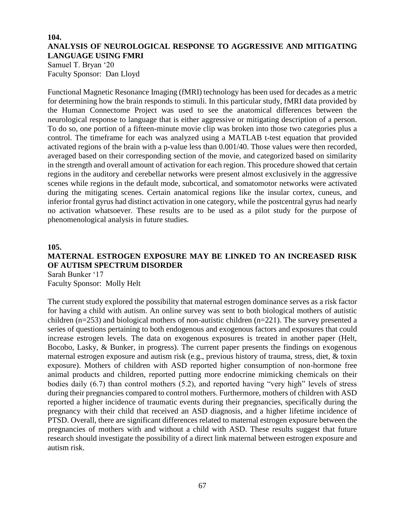#### **104. ANALYSIS OF NEUROLOGICAL RESPONSE TO AGGRESSIVE AND MITIGATING LANGUAGE USING FMRI**

Samuel T. Bryan '20 Faculty Sponsor: Dan Lloyd

Functional Magnetic Resonance Imaging (fMRI) technology has been used for decades as a metric for determining how the brain responds to stimuli. In this particular study, fMRI data provided by the Human Connectome Project was used to see the anatomical differences between the neurological response to language that is either aggressive or mitigating description of a person. To do so, one portion of a fifteen-minute movie clip was broken into those two categories plus a control. The timeframe for each was analyzed using a MATLAB t-test equation that provided activated regions of the brain with a p-value less than 0.001/40. Those values were then recorded, averaged based on their corresponding section of the movie, and categorized based on similarity in the strength and overall amount of activation for each region. This procedure showed that certain regions in the auditory and cerebellar networks were present almost exclusively in the aggressive scenes while regions in the default mode, subcortical, and somatomotor networks were activated during the mitigating scenes. Certain anatomical regions like the insular cortex, cuneus, and inferior frontal gyrus had distinct activation in one category, while the postcentral gyrus had nearly no activation whatsoever. These results are to be used as a pilot study for the purpose of phenomenological analysis in future studies.

#### **105.**

# **MATERNAL ESTROGEN EXPOSURE MAY BE LINKED TO AN INCREASED RISK OF AUTISM SPECTRUM DISORDER**

Sarah Bunker '17 Faculty Sponsor: Molly Helt

The current study explored the possibility that maternal estrogen dominance serves as a risk factor for having a child with autism. An online survey was sent to both biological mothers of autistic children (n=253) and biological mothers of non-autistic children (n=221). The survey presented a series of questions pertaining to both endogenous and exogenous factors and exposures that could increase estrogen levels. The data on exogenous exposures is treated in another paper (Helt, Bocobo, Lasky, & Bunker, in progress). The current paper presents the findings on exogenous maternal estrogen exposure and autism risk (e.g., previous history of trauma, stress, diet, & toxin exposure). Mothers of children with ASD reported higher consumption of non-hormone free animal products and children, reported putting more endocrine mimicking chemicals on their bodies daily (6.7) than control mothers (5.2), and reported having "very high" levels of stress during their pregnancies compared to control mothers. Furthermore, mothers of children with ASD reported a higher incidence of traumatic events during their pregnancies, specifically during the pregnancy with their child that received an ASD diagnosis, and a higher lifetime incidence of PTSD. Overall, there are significant differences related to maternal estrogen exposure between the pregnancies of mothers with and without a child with ASD. These results suggest that future research should investigate the possibility of a direct link maternal between estrogen exposure and autism risk.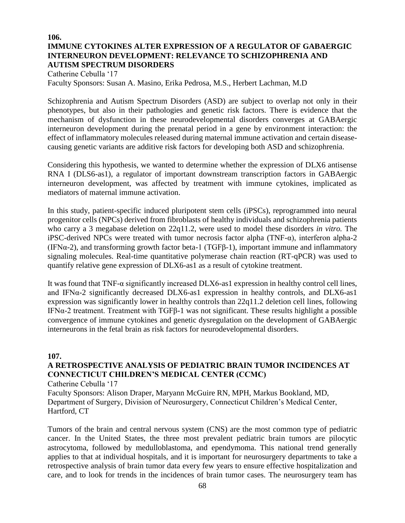# **106. IMMUNE CYTOKINES ALTER EXPRESSION OF A REGULATOR OF GABAERGIC INTERNEURON DEVELOPMENT: RELEVANCE TO SCHIZOPHRENIA AND AUTISM SPECTRUM DISORDERS**

Catherine Cebulla '17 Faculty Sponsors: Susan A. Masino, Erika Pedrosa, M.S., Herbert Lachman, M.D

Schizophrenia and Autism Spectrum Disorders (ASD) are subject to overlap not only in their phenotypes, but also in their pathologies and genetic risk factors. There is evidence that the mechanism of dysfunction in these neurodevelopmental disorders converges at GABAergic interneuron development during the prenatal period in a gene by environment interaction: the effect of inflammatory molecules released during maternal immune activation and certain diseasecausing genetic variants are additive risk factors for developing both ASD and schizophrenia.

Considering this hypothesis, we wanted to determine whether the expression of DLX6 antisense RNA I (DLS6-as1), a regulator of important downstream transcription factors in GABAergic interneuron development, was affected by treatment with immune cytokines, implicated as mediators of maternal immune activation.

In this study, patient-specific induced pluripotent stem cells (iPSCs), reprogrammed into neural progenitor cells (NPCs) derived from fibroblasts of healthy individuals and schizophrenia patients who carry a 3 megabase deletion on 22q11.2, were used to model these disorders *in vitro.* The iPSC-derived NPCs were treated with tumor necrosis factor alpha (TNF- $\alpha$ ), interferon alpha-2 (IFNα-2), and transforming growth factor beta-1 (TGFβ-1), important immune and inflammatory signaling molecules. Real-time quantitative polymerase chain reaction (RT-qPCR) was used to quantify relative gene expression of DLX6-as1 as a result of cytokine treatment.

It was found that TNF-α significantly increased DLX6-as1 expression in healthy control cell lines, and IFNα-2 significantly decreased DLX6-as1 expression in healthy controls, and DLX6-as1 expression was significantly lower in healthy controls than 22q11.2 deletion cell lines, following IFNα-2 treatment. Treatment with TGFβ-1 was not significant. These results highlight a possible convergence of immune cytokines and genetic dysregulation on the development of GABAergic interneurons in the fetal brain as risk factors for neurodevelopmental disorders.

#### **107.**

# **A RETROSPECTIVE ANALYSIS OF PEDIATRIC BRAIN TUMOR INCIDENCES AT CONNECTICUT CHILDREN'S MEDICAL CENTER (CCMC)**

Catherine Cebulla '17

Faculty Sponsors: Alison Draper, Maryann McGuire RN, MPH, Markus Bookland, MD, Department of Surgery, Division of Neurosurgery, Connecticut Children's Medical Center, Hartford, CT

Tumors of the brain and central nervous system (CNS) are the most common type of pediatric cancer. In the United States, the three most prevalent pediatric brain tumors are pilocytic astrocytoma, followed by medulloblastoma, and ependymoma. This national trend generally applies to that at individual hospitals, and it is important for neurosurgery departments to take a retrospective analysis of brain tumor data every few years to ensure effective hospitalization and care, and to look for trends in the incidences of brain tumor cases. The neurosurgery team has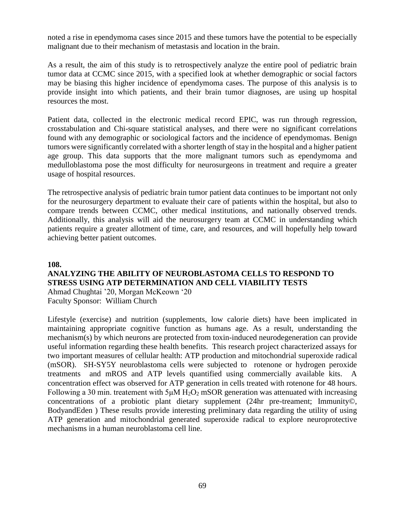noted a rise in ependymoma cases since 2015 and these tumors have the potential to be especially malignant due to their mechanism of metastasis and location in the brain.

As a result, the aim of this study is to retrospectively analyze the entire pool of pediatric brain tumor data at CCMC since 2015, with a specified look at whether demographic or social factors may be biasing this higher incidence of ependymoma cases. The purpose of this analysis is to provide insight into which patients, and their brain tumor diagnoses, are using up hospital resources the most.

Patient data, collected in the electronic medical record EPIC, was run through regression, crosstabulation and Chi-square statistical analyses, and there were no significant correlations found with any demographic or sociological factors and the incidence of ependymomas. Benign tumors were significantly correlated with a shorter length of stay in the hospital and a higher patient age group. This data supports that the more malignant tumors such as ependymoma and medulloblastoma pose the most difficulty for neurosurgeons in treatment and require a greater usage of hospital resources.

The retrospective analysis of pediatric brain tumor patient data continues to be important not only for the neurosurgery department to evaluate their care of patients within the hospital, but also to compare trends between CCMC, other medical institutions, and nationally observed trends. Additionally, this analysis will aid the neurosurgery team at CCMC in understanding which patients require a greater allotment of time, care, and resources, and will hopefully help toward achieving better patient outcomes.

#### **108.**

# **ANALYZING THE ABILITY OF NEUROBLASTOMA CELLS TO RESPOND TO STRESS USING ATP DETERMINATION AND CELL VIABILITY TESTS**

Ahmad Chughtai '20, Morgan McKeown '20 Faculty Sponsor: William Church

Lifestyle (exercise) and nutrition (supplements, low calorie diets) have been implicated in maintaining appropriate cognitive function as humans age. As a result, understanding the mechanism(s) by which neurons are protected from toxin-induced neurodegeneration can provide useful information regarding these health benefits. This research project characterized assays for two important measures of cellular health: ATP production and mitochondrial superoxide radical (mSOR). SH-SY5Y neuroblastoma cells were subjected to rotenone or hydrogen peroxide treatments and mROS and ATP levels quantified using commercially available kits. A concentration effect was observed for ATP generation in cells treated with rotenone for 48 hours. Following a 30 min. treatement with  $5\mu$ M H<sub>2</sub>O<sub>2</sub> mSOR generation was attenuated with increasing concentrations of a probiotic plant dietary supplement (24hr pre-treament; Immunity©, BodyandEden ) These results provide interesting preliminary data regarding the utility of using ATP generation and mitochondrial generated superoxide radical to explore neuroprotective mechanisms in a human neuroblastoma cell line.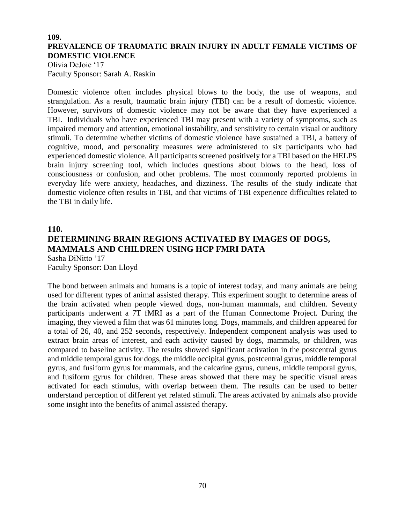## **109. PREVALENCE OF TRAUMATIC BRAIN INJURY IN ADULT FEMALE VICTIMS OF DOMESTIC VIOLENCE**

Olivia DeJoie '17 Faculty Sponsor: Sarah A. Raskin

Domestic violence often includes physical blows to the body, the use of weapons, and strangulation. As a result, traumatic brain injury (TBI) can be a result of domestic violence. However, survivors of domestic violence may not be aware that they have experienced a TBI. Individuals who have experienced TBI may present with a variety of symptoms, such as impaired memory and attention, emotional instability, and sensitivity to certain visual or auditory stimuli. To determine whether victims of domestic violence have sustained a TBI, a battery of cognitive, mood, and personality measures were administered to six participants who had experienced domestic violence. All participants screened positively for a TBI based on the HELPS brain injury screening tool, which includes questions about blows to the head, loss of consciousness or confusion, and other problems. The most commonly reported problems in everyday life were anxiety, headaches, and dizziness. The results of the study indicate that domestic violence often results in TBI, and that victims of TBI experience difficulties related to the TBI in daily life.

# **110. DETERMINING BRAIN REGIONS ACTIVATED BY IMAGES OF DOGS, MAMMALS AND CHILDREN USING HCP FMRI DATA** Sasha DiNitto '17

Faculty Sponsor: Dan Lloyd The bond between animals and humans is a topic of interest today, and many animals are being used for different types of animal assisted therapy. This experiment sought to determine areas of the brain activated when people viewed dogs, non-human mammals, and children. Seventy participants underwent a 7T fMRI as a part of the Human Connectome Project. During the imaging, they viewed a film that was 61 minutes long. Dogs, mammals, and children appeared for a total of 26, 40, and 252 seconds, respectively. Independent component analysis was used to extract brain areas of interest, and each activity caused by dogs, mammals, or children, was compared to baseline activity. The results showed significant activation in the postcentral gyrus and middle temporal gyrus for dogs, the middle occipital gyrus, postcentral gyrus, middle temporal gyrus, and fusiform gyrus for mammals, and the calcarine gyrus, cuneus, middle temporal gyrus, and fusiform gyrus for children. These areas showed that there may be specific visual areas activated for each stimulus, with overlap between them. The results can be used to better understand perception of different yet related stimuli. The areas activated by animals also provide some insight into the benefits of animal assisted therapy.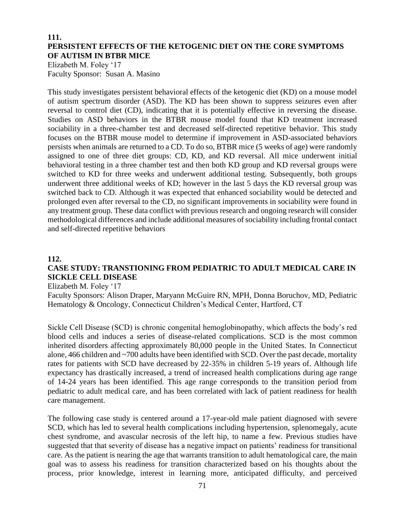## **111. PERSISTENT EFFECTS OF THE KETOGENIC DIET ON THE CORE SYMPTOMS OF AUTISM IN BTBR MICE**

Elizabeth M. Foley '17 Faculty Sponsor: Susan A. Masino

This study investigates persistent behavioral effects of the ketogenic diet (KD) on a mouse model of autism spectrum disorder (ASD). The KD has been shown to suppress seizures even after reversal to control diet (CD), indicating that it is potentially effective in reversing the disease. Studies on ASD behaviors in the BTBR mouse model found that KD treatment increased sociability in a three-chamber test and decreased self-directed repetitive behavior. This study focuses on the BTBR mouse model to determine if improvement in ASD-associated behaviors persists when animals are returned to a CD. To do so, BTBR mice (5 weeks of age) were randomly assigned to one of three diet groups: CD, KD, and KD reversal. All mice underwent initial behavioral testing in a three chamber test and then both KD group and KD reversal groups were switched to KD for three weeks and underwent additional testing. Subsequently, both groups underwent three additional weeks of KD; however in the last 5 days the KD reversal group was switched back to CD. Although it was expected that enhanced sociability would be detected and prolonged even after reversal to the CD, no significant improvements in sociability were found in any treatment group. These data conflict with previous research and ongoing research will consider methodological differences and include additional measures of sociability including frontal contact and self-directed repetitive behaviors

#### **112.**

# **CASE STUDY: TRANSTIONING FROM PEDIATRIC TO ADULT MEDICAL CARE IN SICKLE CELL DISEASE**

Elizabeth M. Foley '17

Faculty Sponsors: Alison Draper, Maryann McGuire RN, MPH, Donna Boruchov, MD, Pediatric Hematology & Oncology, Connecticut Children's Medical Center, Hartford, CT

Sickle Cell Disease (SCD) is chronic congenital hemoglobinopathy, which affects the body's red blood cells and induces a series of disease-related complications. SCD is the most common inherited disorders affecting approximately 80,000 people in the United States. In Connecticut alone, 466 children and ~700 adults have been identified with SCD. Over the past decade, mortality rates for patients with SCD have decreased by 22-35% in children 5-19 years of. Although life expectancy has drastically increased, a trend of increased health complications during age range of 14-24 years has been identified. This age range corresponds to the transition period from pediatric to adult medical care, and has been correlated with lack of patient readiness for health care management.

The following case study is centered around a 17-year-old male patient diagnosed with severe SCD, which has led to several health complications including hypertension, splenomegaly, acute chest syndrome, and avascular necrosis of the left hip, to name a few. Previous studies have suggested that that severity of disease has a negative impact on patients' readiness for transitional care. As the patient is nearing the age that warrants transition to adult hematological care, the main goal was to assess his readiness for transition characterized based on his thoughts about the process, prior knowledge, interest in learning more, anticipated difficulty, and perceived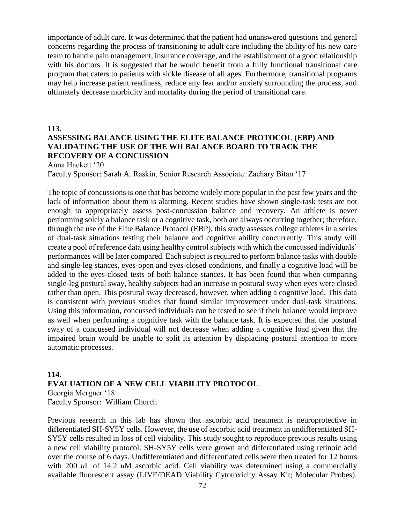importance of adult care. It was determined that the patient had unanswered questions and general concerns regarding the process of transitioning to adult care including the ability of his new care team to handle pain management, insurance coverage, and the establishment of a good relationship with his doctors. It is suggested that he would benefit from a fully functional transitional care program that caters to patients with sickle disease of all ages. Furthermore, transitional programs may help increase patient readiness, reduce any fear and/or anxiety surrounding the process, and ultimately decrease morbidity and mortality during the period of transitional care.

#### **113.**

## **ASSESSING BALANCE USING THE ELITE BALANCE PROTOCOL (EBP) AND VALIDATING THE USE OF THE WII BALANCE BOARD TO TRACK THE RECOVERY OF A CONCUSSION**

Anna Hackett '20

Faculty Sponsor: Sarah A. Raskin, Senior Research Associate: Zachary Bitan '17

The topic of concussions is one that has become widely more popular in the past few years and the lack of information about them is alarming. Recent studies have shown single-task tests are not enough to appropriately assess post-concussion balance and recovery. An athlete is never performing solely a balance task or a cognitive task, both are always occurring together; therefore, through the use of the Elite Balance Protocol (EBP), this study assesses college athletes in a series of dual-task situations testing their balance and cognitive ability concurrently. This study will create a pool of reference data using healthy control subjects with which the concussed individuals' performances will be later compared. Each subject is required to perform balance tasks with double and single-leg stances, eyes-open and eyes-closed conditions, and finally a cognitive load will be added to the eyes-closed tests of both balance stances. It has been found that when comparing single-leg postural sway, healthy subjects had an increase in postural sway when eyes were closed rather than open. This postural sway decreased, however, when adding a cognitive load. This data is consistent with previous studies that found similar improvement under dual-task situations. Using this information, concussed individuals can be tested to see if their balance would improve as well when performing a cognitive task with the balance task. It is expected that the postural sway of a concussed individual will not decrease when adding a cognitive load given that the impaired brain would be unable to split its attention by displacing postural attention to more automatic processes.

## **114. EVALUATION OF A NEW CELL VIABILITY PROTOCOL** Georgia Mergner '18 Faculty Sponsor: William Church

Previous research in this lab has shown that ascorbic acid treatment is neuroprotective in differentiated SH-SY5Y cells. However, the use of ascorbic acid treatment in undifferentiated SH-SY5Y cells resulted in loss of cell viability. This study sought to reproduce previous results using a new cell viability protocol. SH-SY5Y cells were grown and differentiated using retinoic acid over the course of 6 days. Undifferentiated and differentiated cells were then treated for 12 hours with 200 *uL* of 14.2 *uM* ascorbic acid. Cell viability was determined using a commercially available fluorescent assay (LIVE/DEAD Viability Cytotoxicity Assay Kit; Molecular Probes).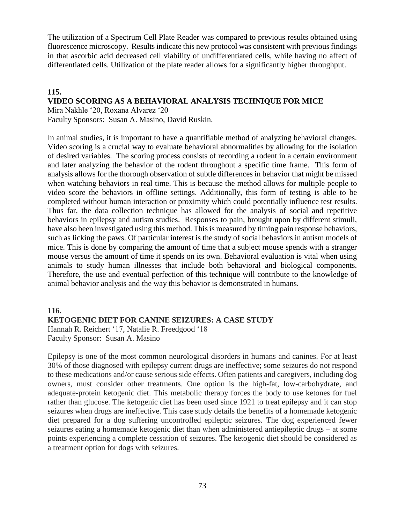The utilization of a Spectrum Cell Plate Reader was compared to previous results obtained using fluorescence microscopy. Results indicate this new protocol was consistent with previous findings in that ascorbic acid decreased cell viability of undifferentiated cells, while having no affect of differentiated cells. Utilization of the plate reader allows for a significantly higher throughput.

## **115. VIDEO SCORING AS A BEHAVIORAL ANALYSIS TECHNIQUE FOR MICE**

Mira Nakhle '20, Roxana Alvarez '20

Faculty Sponsors: Susan A. Masino, David Ruskin.

In animal studies, it is important to have a quantifiable method of analyzing behavioral changes. Video scoring is a crucial way to evaluate behavioral abnormalities by allowing for the isolation of desired variables. The scoring process consists of recording a rodent in a certain environment and later analyzing the behavior of the rodent throughout a specific time frame. This form of analysis allows for the thorough observation of subtle differences in behavior that might be missed when watching behaviors in real time. This is because the method allows for multiple people to video score the behaviors in offline settings. Additionally, this form of testing is able to be completed without human interaction or proximity which could potentially influence test results. Thus far, the data collection technique has allowed for the analysis of social and repetitive behaviors in epilepsy and autism studies. Responses to pain, brought upon by different stimuli, have also been investigated using this method. This is measured by timing pain response behaviors, such as licking the paws. Of particular interest is the study of social behaviors in autism models of mice. This is done by comparing the amount of time that a subject mouse spends with a stranger mouse versus the amount of time it spends on its own. Behavioral evaluation is vital when using animals to study human illnesses that include both behavioral and biological components. Therefore, the use and eventual perfection of this technique will contribute to the knowledge of animal behavior analysis and the way this behavior is demonstrated in humans.

## **116.**

# **KETOGENIC DIET FOR CANINE SEIZURES: A CASE STUDY**

Hannah R. Reichert '17, Natalie R. Freedgood '18 Faculty Sponsor: Susan A. Masino

Epilepsy is one of the most common neurological disorders in humans and canines. For at least 30% of those diagnosed with epilepsy current drugs are ineffective; some seizures do not respond to these medications and/or cause serious side effects. Often patients and caregivers, including dog owners, must consider other treatments. One option is the high-fat, low-carbohydrate, and adequate-protein ketogenic diet. This metabolic therapy forces the body to use ketones for fuel rather than glucose. The ketogenic diet has been used since 1921 to treat epilepsy and it can stop seizures when drugs are ineffective. This case study details the benefits of a homemade ketogenic diet prepared for a dog suffering uncontrolled epileptic seizures. The dog experienced fewer seizures eating a homemade ketogenic diet than when administered antiepileptic drugs – at some points experiencing a complete cessation of seizures. The ketogenic diet should be considered as a treatment option for dogs with seizures.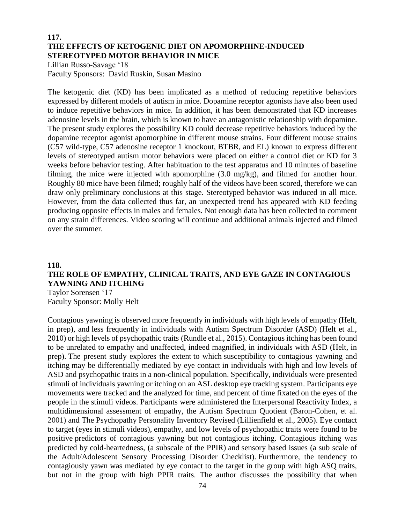## **117. THE EFFECTS OF KETOGENIC DIET ON APOMORPHINE-INDUCED STEREOTYPED MOTOR BEHAVIOR IN MICE**

Lillian Russo-Savage '18 Faculty Sponsors: David Ruskin, Susan Masino

The ketogenic diet (KD) has been implicated as a method of reducing repetitive behaviors expressed by different models of autism in mice. Dopamine receptor agonists have also been used to induce repetitive behaviors in mice. In addition, it has been demonstrated that KD increases adenosine levels in the brain, which is known to have an antagonistic relationship with dopamine. The present study explores the possibility KD could decrease repetitive behaviors induced by the dopamine receptor agonist apomorphine in different mouse strains. Four different mouse strains (C57 wild-type, C57 adenosine receptor 1 knockout, BTBR, and EL) known to express different levels of stereotyped autism motor behaviors were placed on either a control diet or KD for 3 weeks before behavior testing. After habituation to the test apparatus and 10 minutes of baseline filming, the mice were injected with apomorphine (3.0 mg/kg), and filmed for another hour. Roughly 80 mice have been filmed; roughly half of the videos have been scored, therefore we can draw only preliminary conclusions at this stage. Stereotyped behavior was induced in all mice. However, from the data collected thus far, an unexpected trend has appeared with KD feeding producing opposite effects in males and females. Not enough data has been collected to comment on any strain differences. Video scoring will continue and additional animals injected and filmed over the summer.

# **118. THE ROLE OF EMPATHY, CLINICAL TRAITS, AND EYE GAZE IN CONTAGIOUS YAWNING AND ITCHING**

Taylor Sorensen '17 Faculty Sponsor: Molly Helt

Contagious yawning is observed more frequently in individuals with high levels of empathy (Helt, in prep), and less frequently in individuals with Autism Spectrum Disorder (ASD) (Helt et al., 2010) or high levels of psychopathic traits (Rundle et al., 2015). Contagious itching has been found to be unrelated to empathy and unaffected, indeed magnified, in individuals with ASD (Helt, in prep). The present study explores the extent to which susceptibility to contagious yawning and itching may be differentially mediated by eye contact in individuals with high and low levels of ASD and psychopathic traits in a non-clinical population. Specifically, individuals were presented stimuli of individuals yawning or itching on an ASL desktop eye tracking system. Participants eye movements were tracked and the analyzed for time, and percent of time fixated on the eyes of the people in the stimuli videos. Participants were administered the Interpersonal Reactivity Index, a multidimensional assessment of empathy, the Autism Spectrum Quotient (Baron-Cohen, et al. 2001) and The Psychopathy Personality Inventory Revised (Lillienfield et al., 2005). Eye contact to target (eyes in stimuli videos), empathy, and low levels of psychopathic traits were found to be positive predictors of contagious yawning but not contagious itching. Contagious itching was predicted by cold-heartedness, (a subscale of the PPIR) and sensory based issues (a sub scale of the Adult/Adolescent Sensory Processing Disorder Checklist). Furthermore, the tendency to contagiously yawn was mediated by eye contact to the target in the group with high ASQ traits, but not in the group with high PPIR traits. The author discusses the possibility that when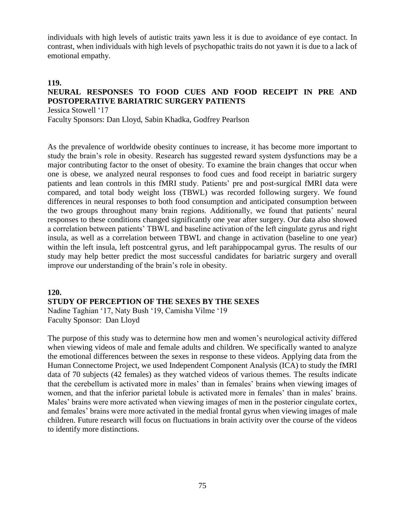individuals with high levels of autistic traits yawn less it is due to avoidance of eye contact. In contrast, when individuals with high levels of psychopathic traits do not yawn it is due to a lack of emotional empathy.

# **119. NEURAL RESPONSES TO FOOD CUES AND FOOD RECEIPT IN PRE AND POSTOPERATIVE BARIATRIC SURGERY PATIENTS**

Jessica Stowell '17

Faculty Sponsors: Dan Lloyd, Sabin Khadka, Godfrey Pearlson

As the prevalence of worldwide obesity continues to increase, it has become more important to study the brain's role in obesity. Research has suggested reward system dysfunctions may be a major contributing factor to the onset of obesity. To examine the brain changes that occur when one is obese, we analyzed neural responses to food cues and food receipt in bariatric surgery patients and lean controls in this fMRI study. Patients' pre and post-surgical fMRI data were compared, and total body weight loss (TBWL) was recorded following surgery. We found differences in neural responses to both food consumption and anticipated consumption between the two groups throughout many brain regions. Additionally, we found that patients' neural responses to these conditions changed significantly one year after surgery. Our data also showed a correlation between patients' TBWL and baseline activation of the left cingulate gyrus and right insula, as well as a correlation between TBWL and change in activation (baseline to one year) within the left insula, left postcentral gyrus, and left parahippocampal gyrus. The results of our study may help better predict the most successful candidates for bariatric surgery and overall improve our understanding of the brain's role in obesity.

#### **120.**

## **STUDY OF PERCEPTION OF THE SEXES BY THE SEXES**

Nadine Taghian '17, Naty Bush '19, Camisha Vilme '19 Faculty Sponsor: Dan Lloyd

The purpose of this study was to determine how men and women's neurological activity differed when viewing videos of male and female adults and children. We specifically wanted to analyze the emotional differences between the sexes in response to these videos. Applying data from the Human Connectome Project, we used Independent Component Analysis (ICA) to study the fMRI data of 70 subjects (42 females) as they watched videos of various themes. The results indicate that the cerebellum is activated more in males' than in females' brains when viewing images of women, and that the inferior parietal lobule is activated more in females' than in males' brains. Males' brains were more activated when viewing images of men in the posterior cingulate cortex, and females' brains were more activated in the medial frontal gyrus when viewing images of male children. Future research will focus on fluctuations in brain activity over the course of the videos to identify more distinctions.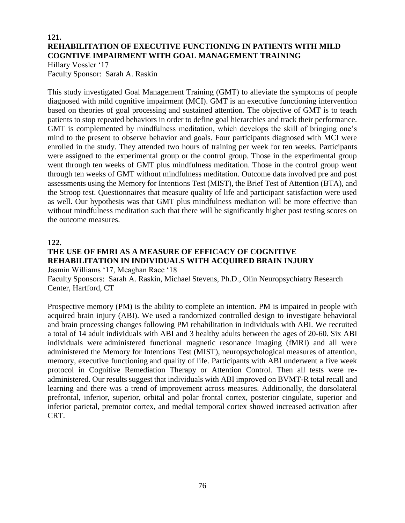# **121. REHABILITATION OF EXECUTIVE FUNCTIONING IN PATIENTS WITH MILD COGNTIVE IMPAIRMENT WITH GOAL MANAGEMENT TRAINING**

Hillary Vossler '17 Faculty Sponsor: Sarah A. Raskin

This study investigated Goal Management Training (GMT) to alleviate the symptoms of people diagnosed with mild cognitive impairment (MCI). GMT is an executive functioning intervention based on theories of goal processing and sustained attention. The objective of GMT is to teach patients to stop repeated behaviors in order to define goal hierarchies and track their performance. GMT is complemented by mindfulness meditation, which develops the skill of bringing one's mind to the present to observe behavior and goals. Four participants diagnosed with MCI were enrolled in the study. They attended two hours of training per week for ten weeks. Participants were assigned to the experimental group or the control group. Those in the experimental group went through ten weeks of GMT plus mindfulness meditation. Those in the control group went through ten weeks of GMT without mindfulness meditation. Outcome data involved pre and post assessments using the Memory for Intentions Test (MIST), the Brief Test of Attention (BTA), and the Stroop test. Questionnaires that measure quality of life and participant satisfaction were used as well. Our hypothesis was that GMT plus mindfulness mediation will be more effective than without mindfulness meditation such that there will be significantly higher post testing scores on the outcome measures.

#### **122.**

## **THE USE OF FMRI AS A MEASURE OF EFFICACY OF COGNITIVE REHABILITATION IN INDIVIDUALS WITH ACQUIRED BRAIN INJURY** Jasmin Williams '17, Meaghan Race '18

Faculty Sponsors: Sarah A. Raskin, Michael Stevens, Ph.D., Olin Neuropsychiatry Research Center, Hartford, CT

Prospective memory (PM) is the ability to complete an intention. PM is impaired in people with acquired brain injury (ABI). We used a randomized controlled design to investigate behavioral and brain processing changes following PM rehabilitation in individuals with ABI. We recruited a total of 14 adult individuals with ABI and 3 healthy adults between the ages of 20-60. Six ABI individuals were administered functional magnetic resonance imaging (fMRI) and all were administered the Memory for Intentions Test (MIST), neuropsychological measures of attention, memory, executive functioning and quality of life. Participants with ABI underwent a five week protocol in Cognitive Remediation Therapy or Attention Control. Then all tests were readministered. Our results suggest that individuals with ABI improved on BVMT-R total recall and learning and there was a trend of improvement across measures. Additionally, the dorsolateral prefrontal, inferior, superior, orbital and polar frontal cortex, posterior cingulate, superior and inferior parietal, premotor cortex, and medial temporal cortex showed increased activation after CRT.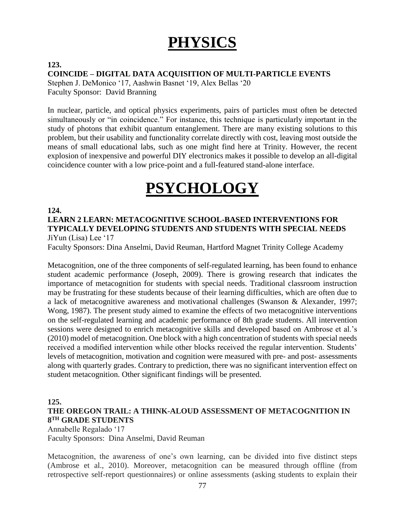# **PHYSICS**

# **123. COINCIDE – DIGITAL DATA ACQUISITION OF MULTI-PARTICLE EVENTS**

Stephen J. DeMonico '17, Aashwin Basnet '19, Alex Bellas '20 Faculty Sponsor: David Branning

In nuclear, particle, and optical physics experiments, pairs of particles must often be detected simultaneously or "in coincidence." For instance, this technique is particularly important in the study of photons that exhibit quantum entanglement. There are many existing solutions to this problem, but their usability and functionality correlate directly with cost, leaving most outside the means of small educational labs, such as one might find here at Trinity. However, the recent explosion of inexpensive and powerful DIY electronics makes it possible to develop an all-digital coincidence counter with a low price-point and a full-featured stand-alone interface.

# **PSYCHOLOGY**

# **124.**

## **LEARN 2 LEARN: METACOGNITIVE SCHOOL-BASED INTERVENTIONS FOR TYPICALLY DEVELOPING STUDENTS AND STUDENTS WITH SPECIAL NEEDS** JiYun (Lisa) Lee '17

Faculty Sponsors: Dina Anselmi, David Reuman, Hartford Magnet Trinity College Academy

Metacognition, one of the three components of self-regulated learning, has been found to enhance student academic performance (Joseph, 2009). There is growing research that indicates the importance of metacognition for students with special needs. Traditional classroom instruction may be frustrating for these students because of their learning difficulties, which are often due to a lack of metacognitive awareness and motivational challenges (Swanson & Alexander, 1997; Wong, 1987). The present study aimed to examine the effects of two metacognitive interventions on the self-regulated learning and academic performance of 8th grade students. All intervention sessions were designed to enrich metacognitive skills and developed based on Ambrose et al.'s (2010) model of metacognition. One block with a high concentration of students with special needs received a modified intervention while other blocks received the regular intervention. Students' levels of metacognition, motivation and cognition were measured with pre- and post- assessments along with quarterly grades. Contrary to prediction, there was no significant intervention effect on student metacognition. Other significant findings will be presented.

# **125.**

# **THE OREGON TRAIL: A THINK-ALOUD ASSESSMENT OF METACOGNITION IN 8 TH GRADE STUDENTS**

Annabelle Regalado '17 Faculty Sponsors: Dina Anselmi, David Reuman

Metacognition, the awareness of one's own learning, can be divided into five distinct steps (Ambrose et al., 2010). Moreover, metacognition can be measured through offline (from retrospective self-report questionnaires) or online assessments (asking students to explain their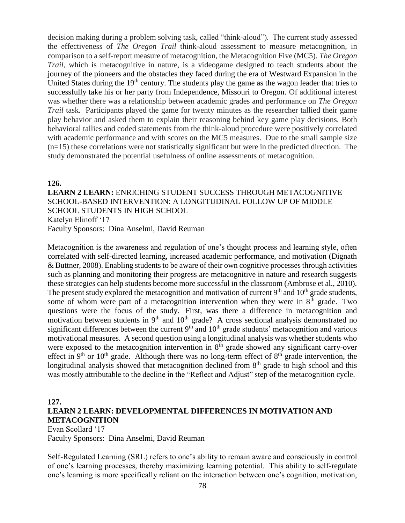decision making during a problem solving task, called "think-aloud"). The current study assessed the effectiveness of *The Oregon Trail* think-aloud assessment to measure metacognition, in comparison to a self-report measure of metacognition, the Metacognition Five (MC5). *The Oregon Trail*, which is metacognitive in nature, is a videogame designed to teach students about the journey of the pioneers and the obstacles they faced during the era of Westward Expansion in the United States during the  $19<sup>th</sup>$  century. The students play the game as the wagon leader that tries to successfully take his or her party from Independence, Missouri to Oregon. Of additional interest was whether there was a relationship between academic grades and performance on *The Oregon Trail* task. Participants played the game for twenty minutes as the researcher tallied their game play behavior and asked them to explain their reasoning behind key game play decisions. Both behavioral tallies and coded statements from the think-aloud procedure were positively correlated with academic performance and with scores on the MC5 measures. Due to the small sample size (n=15) these correlations were not statistically significant but were in the predicted direction. The study demonstrated the potential usefulness of online assessments of metacognition.

#### **126.**

**LEARN 2 LEARN:** ENRICHING STUDENT SUCCESS THROUGH METACOGNITIVE SCHOOL-BASED INTERVENTION: A LONGITUDINAL FOLLOW UP OF MIDDLE SCHOOL STUDENTS IN HIGH SCHOOL Katelyn Elinoff '17 Faculty Sponsors: Dina Anselmi, David Reuman

Metacognition is the awareness and regulation of one's thought process and learning style, often correlated with self-directed learning, increased academic performance, and motivation (Dignath & Buttner, 2008). Enabling students to be aware of their own cognitive processes through activities such as planning and monitoring their progress are metacognitive in nature and research suggests these strategies can help students become more successful in the classroom (Ambrose et al., 2010). The present study explored the metacognition and motivation of current  $9<sup>th</sup>$  and  $10<sup>th</sup>$  grade students, some of whom were part of a metacognition intervention when they were in  $8<sup>th</sup>$  grade. Two questions were the focus of the study. First, was there a difference in metacognition and motivation between students in  $9<sup>th</sup>$  and  $10<sup>th</sup>$  grade? A cross sectional analysis demonstrated no significant differences between the current  $9<sup>th</sup>$  and  $10<sup>th</sup>$  grade students' metacognition and various motivational measures. A second question using a longitudinal analysis was whether students who were exposed to the metacognition intervention in  $8<sup>th</sup>$  grade showed any significant carry-over effect in 9<sup>th</sup> or 10<sup>th</sup> grade. Although there was no long-term effect of  $8<sup>th</sup>$  grade intervention, the longitudinal analysis showed that metacognition declined from  $8<sup>th</sup>$  grade to high school and this was mostly attributable to the decline in the "Reflect and Adjust" step of the metacognition cycle.

## **127.**

# **LEARN 2 LEARN: DEVELOPMENTAL DIFFERENCES IN MOTIVATION AND METACOGNITION**

Evan Scollard '17 Faculty Sponsors: Dina Anselmi, David Reuman

Self-Regulated Learning (SRL) refers to one's ability to remain aware and consciously in control of one's learning processes, thereby maximizing learning potential. This ability to self-regulate one's learning is more specifically reliant on the interaction between one's cognition, motivation,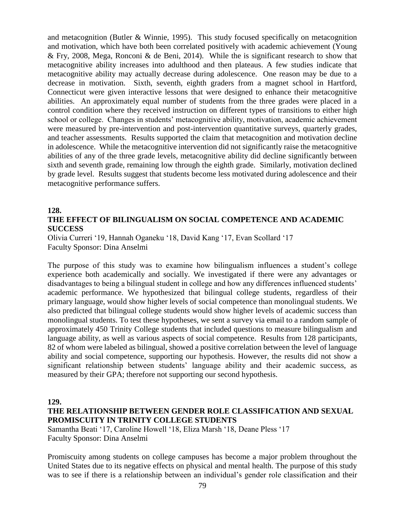and metacognition (Butler & Winnie, 1995). This study focused specifically on metacognition and motivation, which have both been correlated positively with academic achievement (Young & Fry, 2008, Mega, Ronconi & de Beni, 2014). While the is significant research to show that metacognitive ability increases into adulthood and then plateaus. A few studies indicate that metacognitive ability may actually decrease during adolescence. One reason may be due to a decrease in motivation. Sixth, seventh, eighth graders from a magnet school in Hartford, Connecticut were given interactive lessons that were designed to enhance their metacognitive abilities. An approximately equal number of students from the three grades were placed in a control condition where they received instruction on different types of transitions to either high school or college. Changes in students' metacognitive ability, motivation, academic achievement were measured by pre-intervention and post-intervention quantitative surveys, quarterly grades, and teacher assessments. Results supported the claim that metacognition and motivation decline in adolescence. While the metacognitive intervention did not significantly raise the metacognitive abilities of any of the three grade levels, metacognitive ability did decline significantly between sixth and seventh grade, remaining low through the eighth grade. Similarly, motivation declined by grade level. Results suggest that students become less motivated during adolescence and their metacognitive performance suffers.

#### **128. THE EFFECT OF BILINGUALISM ON SOCIAL COMPETENCE AND ACADEMIC SUCCESS**

Olivia Curreri '19, Hannah Oganeku '18, David Kang '17, Evan Scollard '17 Faculty Sponsor: Dina Anselmi

The purpose of this study was to examine how bilingualism influences a student's college experience both academically and socially. We investigated if there were any advantages or disadvantages to being a bilingual student in college and how any differences influenced students' academic performance. We hypothesized that bilingual college students, regardless of their primary language, would show higher levels of social competence than monolingual students. We also predicted that bilingual college students would show higher levels of academic success than monolingual students. To test these hypotheses, we sent a survey via email to a random sample of approximately 450 Trinity College students that included questions to measure bilingualism and language ability, as well as various aspects of social competence. Results from 128 participants, 82 of whom were labeled as bilingual, showed a positive correlation between the level of language ability and social competence, supporting our hypothesis. However, the results did not show a significant relationship between students' language ability and their academic success, as measured by their GPA; therefore not supporting our second hypothesis.

#### **129.**

## **THE RELATIONSHIP BETWEEN GENDER ROLE CLASSIFICATION AND SEXUAL PROMISCUITY IN TRINITY COLLEGE STUDENTS**

Samantha Beati '17, Caroline Howell '18, Eliza Marsh '18, Deane Pless '17 Faculty Sponsor: Dina Anselmi

Promiscuity among students on college campuses has become a major problem throughout the United States due to its negative effects on physical and mental health. The purpose of this study was to see if there is a relationship between an individual's gender role classification and their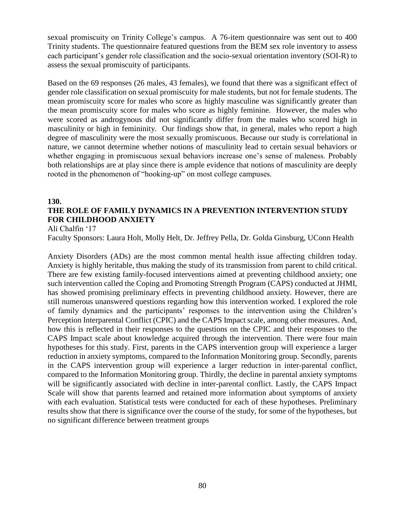sexual promiscuity on Trinity College's campus. A 76-item questionnaire was sent out to 400 Trinity students. The questionnaire featured questions from the BEM sex role inventory to assess each participant's gender role classification and the socio-sexual orientation inventory (SOI-R) to assess the sexual promiscuity of participants.

Based on the 69 responses (26 males, 43 females), we found that there was a significant effect of gender role classification on sexual promiscuity for male students, but not for female students. The mean promiscuity score for males who score as highly masculine was significantly greater than the mean promiscuity score for males who score as highly feminine. However, the males who were scored as androgynous did not significantly differ from the males who scored high in masculinity or high in femininity. Our findings show that, in general, males who report a high degree of masculinity were the most sexually promiscuous. Because our study is correlational in nature, we cannot determine whether notions of masculinity lead to certain sexual behaviors or whether engaging in promiscuous sexual behaviors increase one's sense of maleness. Probably both relationships are at play since there is ample evidence that notions of masculinity are deeply rooted in the phenomenon of "hooking-up" on most college campuses.

#### **130.**

# **THE ROLE OF FAMILY DYNAMICS IN A PREVENTION INTERVENTION STUDY FOR CHILDHOOD ANXIETY**

Ali Chalfin '17

Faculty Sponsors: Laura Holt, Molly Helt, Dr. Jeffrey Pella, Dr. Golda Ginsburg, UConn Health

Anxiety Disorders (ADs) are the most common mental health issue affecting children today. Anxiety is highly heritable, thus making the study of its transmission from parent to child critical. There are few existing family-focused interventions aimed at preventing childhood anxiety; one such intervention called the Coping and Promoting Strength Program (CAPS) conducted at JHMI, has showed promising preliminary effects in preventing childhood anxiety. However, there are still numerous unanswered questions regarding how this intervention worked. I explored the role of family dynamics and the participants' responses to the intervention using the Children's Perception Interparental Conflict (CPIC) and the CAPS Impact scale, among other measures. And, how this is reflected in their responses to the questions on the CPIC and their responses to the CAPS Impact scale about knowledge acquired through the intervention. There were four main hypotheses for this study. First, parents in the CAPS intervention group will experience a larger reduction in anxiety symptoms, compared to the Information Monitoring group. Secondly, parents in the CAPS intervention group will experience a larger reduction in inter-parental conflict, compared to the Information Monitoring group. Thirdly, the decline in parental anxiety symptoms will be significantly associated with decline in inter-parental conflict. Lastly, the CAPS Impact Scale will show that parents learned and retained more information about symptoms of anxiety with each evaluation. Statistical tests were conducted for each of these hypotheses. Preliminary results show that there is significance over the course of the study, for some of the hypotheses, but no significant difference between treatment groups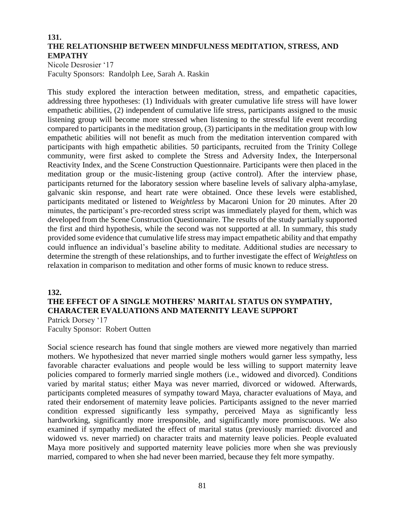## **131. THE RELATIONSHIP BETWEEN MINDFULNESS MEDITATION, STRESS, AND EMPATHY**

Nicole Desrosier '17 Faculty Sponsors: Randolph Lee, Sarah A. Raskin

This study explored the interaction between meditation, stress, and empathetic capacities, addressing three hypotheses: (1) Individuals with greater cumulative life stress will have lower empathetic abilities, (2) independent of cumulative life stress, participants assigned to the music listening group will become more stressed when listening to the stressful life event recording compared to participants in the meditation group, (3) participants in the meditation group with low empathetic abilities will not benefit as much from the meditation intervention compared with participants with high empathetic abilities. 50 participants, recruited from the Trinity College community, were first asked to complete the Stress and Adversity Index, the Interpersonal Reactivity Index, and the Scene Construction Questionnaire. Participants were then placed in the meditation group or the music-listening group (active control). After the interview phase, participants returned for the laboratory session where baseline levels of salivary alpha-amylase, galvanic skin response, and heart rate were obtained. Once these levels were established, participants meditated or listened to *Weightless* by Macaroni Union for 20 minutes. After 20 minutes, the participant's pre-recorded stress script was immediately played for them, which was developed from the Scene Construction Questionnaire. The results of the study partially supported the first and third hypothesis, while the second was not supported at all. In summary, this study provided some evidence that cumulative life stress may impact empathetic ability and that empathy could influence an individual's baseline ability to meditate. Additional studies are necessary to determine the strength of these relationships, and to further investigate the effect of *Weightless* on relaxation in comparison to meditation and other forms of music known to reduce stress.

# **132. THE EFFECT OF A SINGLE MOTHERS' MARITAL STATUS ON SYMPATHY, CHARACTER EVALUATIONS AND MATERNITY LEAVE SUPPORT** Patrick Dorsey '17

Faculty Sponsor: Robert Outten

Social science research has found that single mothers are viewed more negatively than married mothers. We hypothesized that never married single mothers would garner less sympathy, less favorable character evaluations and people would be less willing to support maternity leave policies compared to formerly married single mothers (i.e., widowed and divorced). Conditions varied by marital status; either Maya was never married, divorced or widowed. Afterwards, participants completed measures of sympathy toward Maya, character evaluations of Maya, and rated their endorsement of maternity leave policies. Participants assigned to the never married condition expressed significantly less sympathy, perceived Maya as significantly less hardworking, significantly more irresponsible, and significantly more promiscuous. We also examined if sympathy mediated the effect of marital status (previously married: divorced and widowed vs. never married) on character traits and maternity leave policies. People evaluated Maya more positively and supported maternity leave policies more when she was previously married, compared to when she had never been married, because they felt more sympathy.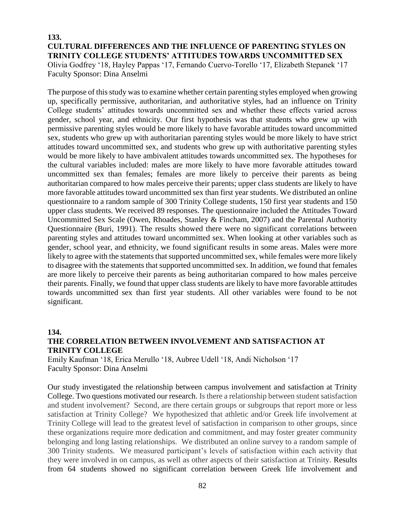# **133. CULTURAL DIFFERENCES AND THE INFLUENCE OF PARENTING STYLES ON TRINITY COLLEGE STUDENTS' ATTITUDES TOWARDS UNCOMMITTED SEX**

Olivia Godfrey '18, Hayley Pappas '17, Fernando Cuervo-Torello '17, Elizabeth Stepanek '17 Faculty Sponsor: Dina Anselmi

The purpose of this study was to examine whether certain parenting styles employed when growing up, specifically permissive, authoritarian, and authoritative styles, had an influence on Trinity College students' attitudes towards uncommitted sex and whether these effects varied across gender, school year, and ethnicity. Our first hypothesis was that students who grew up with permissive parenting styles would be more likely to have favorable attitudes toward uncommitted sex, students who grew up with authoritarian parenting styles would be more likely to have strict attitudes toward uncommitted sex, and students who grew up with authoritative parenting styles would be more likely to have ambivalent attitudes towards uncommitted sex. The hypotheses for the cultural variables included: males are more likely to have more favorable attitudes toward uncommitted sex than females; females are more likely to perceive their parents as being authoritarian compared to how males perceive their parents; upper class students are likely to have more favorable attitudes toward uncommitted sex than first year students. We distributed an online questionnaire to a random sample of 300 Trinity College students, 150 first year students and 150 upper class students. We received 89 responses. The questionnaire included the Attitudes Toward Uncommitted Sex Scale (Owen, Rhoades, Stanley & Fincham, 2007) and the Parental Authority Questionnaire (Buri, 1991). The results showed there were no significant correlations between parenting styles and attitudes toward uncommitted sex. When looking at other variables such as gender, school year, and ethnicity, we found significant results in some areas. Males were more likely to agree with the statements that supported uncommitted sex, while females were more likely to disagree with the statements that supported uncommitted sex. In addition, we found that females are more likely to perceive their parents as being authoritarian compared to how males perceive their parents. Finally, we found that upper class students are likely to have more favorable attitudes towards uncommitted sex than first year students. All other variables were found to be not significant.

#### **134.**

# **THE CORRELATION BETWEEN INVOLVEMENT AND SATISFACTION AT TRINITY COLLEGE**

Emily Kaufman '18, Erica Merullo '18, Aubree Udell '18, Andi Nicholson '17 Faculty Sponsor: Dina Anselmi

Our study investigated the relationship between campus involvement and satisfaction at Trinity College. Two questions motivated our research. Is there a relationship between student satisfaction and student involvement? Second, are there certain groups or subgroups that report more or less satisfaction at Trinity College? We hypothesized that athletic and/or Greek life involvement at Trinity College will lead to the greatest level of satisfaction in comparison to other groups, since these organizations require more dedication and commitment, and may foster greater community belonging and long lasting relationships. We distributed an online survey to a random sample of 300 Trinity students. We measured participant's levels of satisfaction within each activity that they were involved in on campus, as well as other aspects of their satisfaction at Trinity. Results from 64 students showed no significant correlation between Greek life involvement and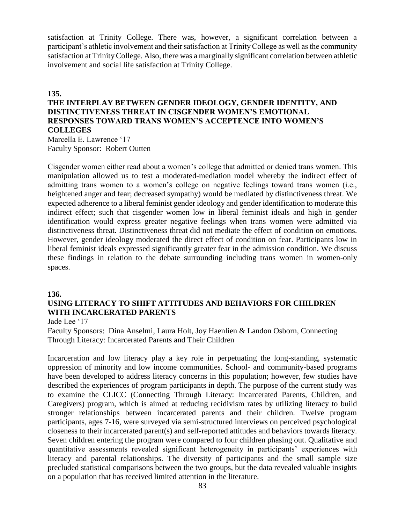satisfaction at Trinity College. There was, however, a significant correlation between a participant's athletic involvement and their satisfaction at Trinity College as well as the community satisfaction at Trinity College. Also, there was a marginally significant correlation between athletic involvement and social life satisfaction at Trinity College.

#### **135.**

# **THE INTERPLAY BETWEEN GENDER IDEOLOGY, GENDER IDENTITY, AND DISTINCTIVENESS THREAT IN CISGENDER WOMEN'S EMOTIONAL RESPONSES TOWARD TRANS WOMEN'S ACCEPTENCE INTO WOMEN'S COLLEGES**

Marcella E. Lawrence '17 Faculty Sponsor: Robert Outten

Cisgender women either read about a women's college that admitted or denied trans women. This manipulation allowed us to test a moderated-mediation model whereby the indirect effect of admitting trans women to a women's college on negative feelings toward trans women (i.e., heightened anger and fear; decreased sympathy) would be mediated by distinctiveness threat. We expected adherence to a liberal feminist gender ideology and gender identification to moderate this indirect effect; such that cisgender women low in liberal feminist ideals and high in gender identification would express greater negative feelings when trans women were admitted via distinctiveness threat. Distinctiveness threat did not mediate the effect of condition on emotions. However, gender ideology moderated the direct effect of condition on fear. Participants low in liberal feminist ideals expressed significantly greater fear in the admission condition. We discuss these findings in relation to the debate surrounding including trans women in women-only spaces.

## **136.**

# **USING LITERACY TO SHIFT ATTITUDES AND BEHAVIORS FOR CHILDREN WITH INCARCERATED PARENTS**

Jade Lee '17

Faculty Sponsors: Dina Anselmi, Laura Holt, Joy Haenlien & Landon Osborn, Connecting Through Literacy: Incarcerated Parents and Their Children

Incarceration and low literacy play a key role in perpetuating the long-standing, systematic oppression of minority and low income communities. School- and community-based programs have been developed to address literacy concerns in this population; however, few studies have described the experiences of program participants in depth. The purpose of the current study was to examine the CLICC (Connecting Through Literacy: Incarcerated Parents, Children, and Caregivers) program, which is aimed at reducing recidivism rates by utilizing literacy to build stronger relationships between incarcerated parents and their children. Twelve program participants, ages 7-16, were surveyed via semi-structured interviews on perceived psychological closeness to their incarcerated parent(s) and self-reported attitudes and behaviors towards literacy. Seven children entering the program were compared to four children phasing out. Qualitative and quantitative assessments revealed significant heterogeneity in participants' experiences with literacy and parental relationships. The diversity of participants and the small sample size precluded statistical comparisons between the two groups, but the data revealed valuable insights on a population that has received limited attention in the literature.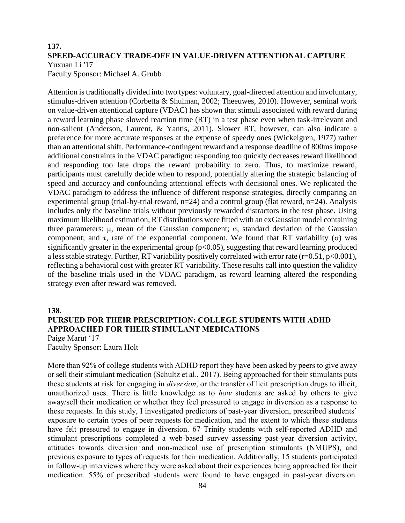#### **137. SPEED-ACCURACY TRADE-OFF IN VALUE-DRIVEN ATTENTIONAL CAPTURE** Yuxuan Li '17

Faculty Sponsor: Michael A. Grubb

Attention is traditionally divided into two types: voluntary, goal-directed attention and involuntary, stimulus-driven attention (Corbetta & Shulman, 2002; Theeuwes, 2010). However, seminal work on value-driven attentional capture (VDAC) has shown that stimuli associated with reward during a reward learning phase slowed reaction time (RT) in a test phase even when task-irrelevant and non-salient (Anderson, Laurent, & Yantis, 2011). Slower RT, however, can also indicate a preference for more accurate responses at the expense of speedy ones (Wickelgren, 1977) rather than an attentional shift. Performance-contingent reward and a response deadline of 800ms impose additional constraints in the VDAC paradigm: responding too quickly decreases reward likelihood and responding too late drops the reward probability to zero. Thus, to maximize reward, participants must carefully decide when to respond, potentially altering the strategic balancing of speed and accuracy and confounding attentional effects with decisional ones. We replicated the VDAC paradigm to address the influence of different response strategies, directly comparing an experimental group (trial-by-trial reward,  $n=24$ ) and a control group (flat reward,  $n=24$ ). Analysis includes only the baseline trials without previously rewarded distractors in the test phase. Using maximum likelihood estimation, RT distributions were fitted with an exGaussian model containing three parameters: μ, mean of the Gaussian component; σ, standard deviation of the Gaussian component; and τ, rate of the exponential component. We found that RT variability (σ) was significantly greater in the experimental group ( $p<0.05$ ), suggesting that reward learning produced a less stable strategy. Further, RT variability positively correlated with error rate  $(r=0.51, p<0.001)$ , reflecting a behavioral cost with greater RT variability. These results call into question the validity of the baseline trials used in the VDAC paradigm, as reward learning altered the responding strategy even after reward was removed.

#### **138.**

# **PURSUED FOR THEIR PRESCRIPTION: COLLEGE STUDENTS WITH ADHD APPROACHED FOR THEIR STIMULANT MEDICATIONS**

*Paige Marut '17 Faculty Sponsor: Laura Holt* 

*More than 92% of college students with ADHD report they have been asked by peers to give away or sell their stimulant medication (Schultz et al., 2017). Being approached for their stimulants puts these students at risk for engaging in diversion, or the transfer of licit prescription drugs to illicit, unauthorized uses. There is little knowledge as to how students are asked by others to give away/sell their medication or whether they feel pressured to engage in diversion as a response to these requests. In this study, I investigated predictors of past-year diversion, prescribed students' exposure to certain types of peer requests for medication, and the extent to which these students*  have felt pressured to engage in diversion. 67 Trinity students with self-reported ADHD and *stimulant prescriptions completed a web-based survey assessing past-year diversion activity, attitudes towards diversion and non-medical use of prescription stimulants (NMUPS), and previous exposure to types of requests for their medication. Additionally, 15 students participated*  in follow-up interviews where they were asked about their experiences being approached for their *medication. 55% of prescribed students were found to have engaged in past-year diversion.*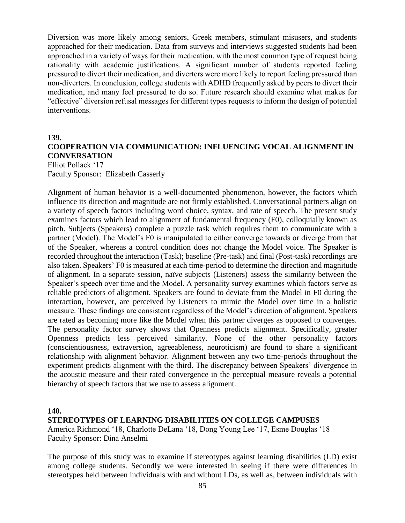*Diversion was more likely among seniors, Greek members, stimulant misusers, and students approached for their medication. Data from surveys and interviews suggested students had been approached in a variety of ways for their medication, with the most common type of request being*  rationality with academic justifications. A significant number of students reported feeling *pressured to divert their medication, and diverters were more likely to report feeling pressured than non-diverters. In conclusion, college students with ADHD frequently asked by peers to divert their medication, and many feel pressured to do so. Future research should examine what makes for "effective" diversion refusal messages for different types requests to inform the design of potential interventions.* 

#### **139.**

# **COOPERATION VIA COMMUNICATION: INFLUENCING VOCAL ALIGNMENT IN CONVERSATION**

Elliot Pollack '17 Faculty Sponsor: Elizabeth Casserly

Alignment of human behavior is a well-documented phenomenon, however, the factors which influence its direction and magnitude are not firmly established. Conversational partners align on a variety of speech factors including word choice, syntax, and rate of speech. The present study examines factors which lead to alignment of fundamental frequency (F0), colloquially known as pitch. Subjects (Speakers) complete a puzzle task which requires them to communicate with a partner (Model). The Model's F0 is manipulated to either converge towards or diverge from that of the Speaker, whereas a control condition does not change the Model voice. The Speaker is recorded throughout the interaction (Task); baseline (Pre-task) and final (Post-task) recordings are also taken. Speakers' F0 is measured at each time-period to determine the direction and magnitude of alignment. In a separate session, naïve subjects (Listeners) assess the similarity between the Speaker's speech over time and the Model. A personality survey examines which factors serve as reliable predictors of alignment. Speakers are found to deviate from the Model in F0 during the interaction, however, are perceived by Listeners to mimic the Model over time in a holistic measure. These findings are consistent regardless of the Model's direction of alignment. Speakers are rated as becoming more like the Model when this partner diverges as opposed to converges. The personality factor survey shows that Openness predicts alignment. Specifically, greater Openness predicts less perceived similarity. None of the other personality factors (conscientiousness, extraversion, agreeableness, neuroticism) are found to share a significant relationship with alignment behavior. Alignment between any two time-periods throughout the experiment predicts alignment with the third. The discrepancy between Speakers' divergence in the acoustic measure and their rated convergence in the perceptual measure reveals a potential hierarchy of speech factors that we use to assess alignment.

#### **140.**

#### **STEREOTYPES OF LEARNING DISABILITIES ON COLLEGE CAMPUSES**

America Richmond '18, Charlotte DeLana '18, Dong Young Lee '17, Esme Douglas '18 Faculty Sponsor: Dina Anselmi

The purpose of this study was to examine if stereotypes against learning disabilities (LD) exist among college students. Secondly we were interested in seeing if there were differences in stereotypes held between individuals with and without LDs, as well as, between individuals with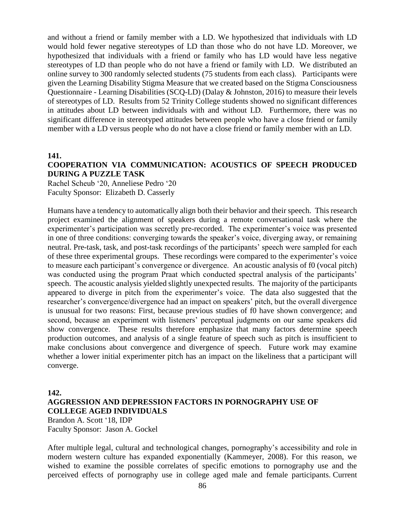and without a friend or family member with a LD. We hypothesized that individuals with LD would hold fewer negative stereotypes of LD than those who do not have LD. Moreover, we hypothesized that individuals with a friend or family who has LD would have less negative stereotypes of LD than people who do not have a friend or family with LD. We distributed an online survey to 300 randomly selected students (75 students from each class). Participants were given the Learning Disability Stigma Measure that we created based on the Stigma Consciousness Questionnaire - Learning Disabilities (SCQ-LD) (Dalay & Johnston, 2016) to measure their levels of stereotypes of LD. Results from 52 Trinity College students showed no significant differences in attitudes about LD between individuals with and without LD. Furthermore, there was no significant difference in stereotyped attitudes between people who have a close friend or family member with a LD versus people who do not have a close friend or family member with an LD.

**141.**

## **COOPERATION VIA COMMUNICATION: ACOUSTICS OF SPEECH PRODUCED DURING A PUZZLE TASK**

Rachel Scheub '20, Anneliese Pedro '20 Faculty Sponsor: Elizabeth D. Casserly

Humans have a tendency to automatically align both their behavior and their speech. This research project examined the alignment of speakers during a remote conversational task where the experimenter's participation was secretly pre-recorded. The experimenter's voice was presented in one of three conditions: converging towards the speaker's voice, diverging away, or remaining neutral. Pre-task, task, and post-task recordings of the participants' speech were sampled for each of these three experimental groups. These recordings were compared to the experimenter's voice to measure each participant's convergence or divergence. An acoustic analysis of f0 (vocal pitch) was conducted using the program Praat which conducted spectral analysis of the participants' speech. The acoustic analysis yielded slightly unexpected results. The majority of the participants appeared to diverge in pitch from the experimenter's voice. The data also suggested that the researcher's convergence/divergence had an impact on speakers' pitch, but the overall divergence is unusual for two reasons: First, because previous studies of f0 have shown convergence; and second, because an experiment with listeners' perceptual judgments on our same speakers did show convergence. These results therefore emphasize that many factors determine speech production outcomes, and analysis of a single feature of speech such as pitch is insufficient to make conclusions about convergence and divergence of speech. Future work may examine whether a lower initial experimenter pitch has an impact on the likeliness that a participant will converge.

**142.**

## **AGGRESSION AND DEPRESSION FACTORS IN PORNOGRAPHY USE OF COLLEGE AGED INDIVIDUALS** Brandon A. Scott '18, IDP Faculty Sponsor: Jason A. Gockel

After multiple legal, cultural and technological changes, pornography's accessibility and role in modern western culture has expanded exponentially (Kammeyer, 2008). For this reason, we wished to examine the possible correlates of specific emotions to pornography use and the perceived effects of pornography use in college aged male and female participants. Current